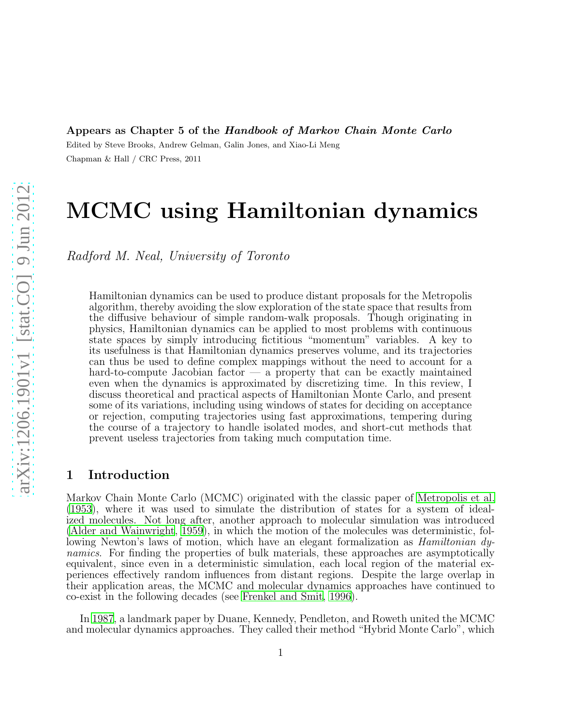#### Appears as Chapter 5 of the Handbook of Markov Chain Monte Carlo

Edited by Steve Brooks, Andrew Gelman, Galin Jones, and Xiao-Li Meng Chapman & Hall / CRC Press, 2011

# MCMC using Hamiltonian dynamics

*Radford M. Neal, University of Toronto*

Hamiltonian dynamics can be used to produce distant proposals for the Metropolis algorithm, thereby avoiding the slow exploration of the state space that results from the diffusive behaviour of simple random-walk proposals. Though originating in physics, Hamiltonian dynamics can be applied to most problems with continuous state spaces by simply introducing fictitious "momentum" variables. A key to its usefulness is that Hamiltonian dynamics preserves volume, and its trajectories can thus be used to define complex mappings without the need to account for a hard-to-compute Jacobian factor  $-$  a property that can be exactly maintained even when the dynamics is approximated by discretizing time. In this review, I discuss theoretical and practical aspects of Hamiltonian Monte Carlo, and present some of its variations, including using windows of states for deciding on acceptance or rejection, computing trajectories using fast approximations, tempering during the course of a trajectory to handle isolated modes, and short-cut methods that prevent useless trajectories from taking much computation time.

## 1 Introduction

Markov Chain Monte Carlo (MCMC) originated with the classic paper of [Metropolis et al.](#page-49-0) [\(1953](#page-49-0)), where it was used to simulate the distribution of states for a system of idealized molecules. Not long after, another approach to molecular simulation was introduced [\(Alder and Wainwright, 1959\)](#page-48-0), in which the motion of the molecules was deterministic, following Newton's laws of motion, which have an elegant formalization as *Hamiltonian dynamics*. For finding the properties of bulk materials, these approaches are asymptotically equivalent, since even in a deterministic simulation, each local region of the material experiences effectively random influences from distant regions. Despite the large overlap in their application areas, the MCMC and molecular dynamics approaches have continued to co-exist in the following decades (see [Frenkel and Smit, 1996](#page-48-1)).

In [1987](#page-48-2), a landmark paper by Duane, Kennedy, Pendleton, and Roweth united the MCMC and molecular dynamics approaches. They called their method "Hybrid Monte Carlo", which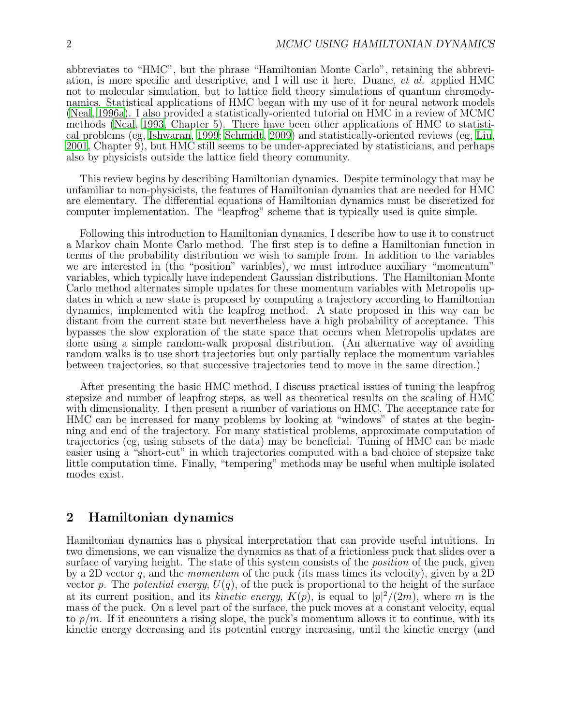abbreviates to "HMC", but the phrase "Hamiltonian Monte Carlo", retaining the abbreviation, is more specific and descriptive, and I will use it here. Duane, *et al.* applied HMC not to molecular simulation, but to lattice field theory simulations of quantum chromodynamics. Statistical applications of HMC began with my use of it for neural network models [\(Neal, 1996a\)](#page-49-1). I also provided a statistically-oriented tutorial on HMC in a review of MCMC methods [\(Neal, 1993,](#page-49-2) Chapter 5). There have been other applications of HMC to statistical problems (eg, [Ishwaran](#page-48-3), [1999;](#page-48-3) [Schmidt](#page-50-0), [2009\)](#page-50-0) and statistically-oriented reviews (eg, [Liu,](#page-49-3) [2001,](#page-49-3) Chapter 9), but HMC still seems to be under-appreciated by statisticians, and perhaps also by physicists outside the lattice field theory community.

This review begins by describing Hamiltonian dynamics. Despite terminology that may be unfamiliar to non-physicists, the features of Hamiltonian dynamics that are needed for HMC are elementary. The differential equations of Hamiltonian dynamics must be discretized for computer implementation. The "leapfrog" scheme that is typically used is quite simple.

Following this introduction to Hamiltonian dynamics, I describe how to use it to construct a Markov chain Monte Carlo method. The first step is to define a Hamiltonian function in terms of the probability distribution we wish to sample from. In addition to the variables we are interested in (the "position" variables), we must introduce auxiliary "momentum" variables, which typically have independent Gaussian distributions. The Hamiltonian Monte Carlo method alternates simple updates for these momentum variables with Metropolis updates in which a new state is proposed by computing a trajectory according to Hamiltonian dynamics, implemented with the leapfrog method. A state proposed in this way can be distant from the current state but nevertheless have a high probability of acceptance. This bypasses the slow exploration of the state space that occurs when Metropolis updates are done using a simple random-walk proposal distribution. (An alternative way of avoiding random walks is to use short trajectories but only partially replace the momentum variables between trajectories, so that successive trajectories tend to move in the same direction.)

After presenting the basic HMC method, I discuss practical issues of tuning the leapfrog stepsize and number of leapfrog steps, as well as theoretical results on the scaling of HMC with dimensionality. I then present a number of variations on HMC. The acceptance rate for HMC can be increased for many problems by looking at "windows" of states at the beginning and end of the trajectory. For many statistical problems, approximate computation of trajectories (eg, using subsets of the data) may be beneficial. Tuning of HMC can be made easier using a "short-cut" in which trajectories computed with a bad choice of stepsize take little computation time. Finally, "tempering" methods may be useful when multiple isolated modes exist.

## 2 Hamiltonian dynamics

Hamiltonian dynamics has a physical interpretation that can provide useful intuitions. In two dimensions, we can visualize the dynamics as that of a frictionless puck that slides over a surface of varying height. The state of this system consists of the *position* of the puck, given by a 2D vector q, and the *momentum* of the puck (its mass times its velocity), given by a 2D vector p. The *potential energy*,  $U(q)$ , of the puck is proportional to the height of the surface at its current position, and its *kinetic energy*,  $K(p)$ , is equal to  $|p|^2/(2m)$ , where m is the mass of the puck. On a level part of the surface, the puck moves at a constant velocity, equal to  $p/m$ . If it encounters a rising slope, the puck's momentum allows it to continue, with its kinetic energy decreasing and its potential energy increasing, until the kinetic energy (and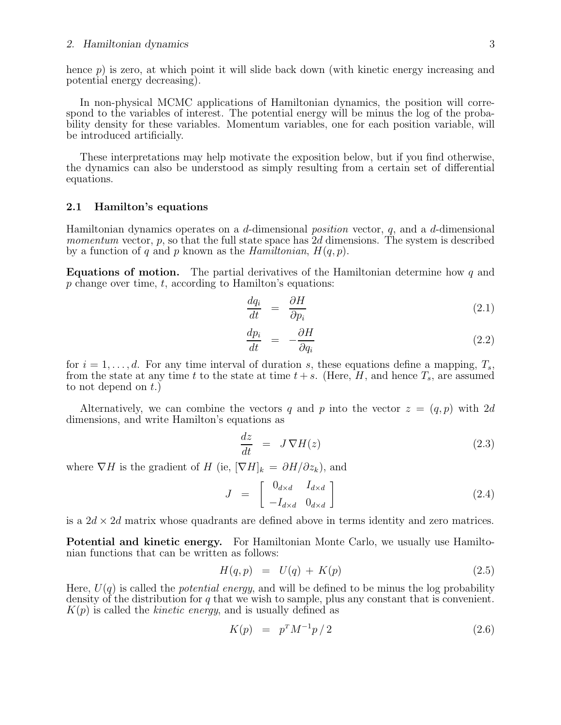#### 2. Hamiltonian dynamics 3

hence  $p$ ) is zero, at which point it will slide back down (with kinetic energy increasing and potential energy decreasing).

In non-physical MCMC applications of Hamiltonian dynamics, the position will correspond to the variables of interest. The potential energy will be minus the log of the probability density for these variables. Momentum variables, one for each position variable, will be introduced artificially.

These interpretations may help motivate the exposition below, but if you find otherwise, the dynamics can also be understood as simply resulting from a certain set of differential equations.

#### <span id="page-2-4"></span>2.1 Hamilton's equations

Hamiltonian dynamics operates on a d-dimensional *position* vector, q, and a d-dimensional *momentum* vector,  $p$ , so that the full state space has 2d dimensions. The system is described by a function of q and p known as the *Hamiltonian*, H(q, p).

**Equations of motion.** The partial derivatives of the Hamiltonian determine how q and  $p$  change over time,  $t$ , according to Hamilton's equations:

<span id="page-2-0"></span>
$$
\frac{dq_i}{dt} = \frac{\partial H}{\partial p_i} \tag{2.1}
$$

$$
\frac{dp_i}{dt} = -\frac{\partial H}{\partial q_i} \tag{2.2}
$$

for  $i = 1, \ldots, d$ . For any time interval of duration s, these equations define a mapping,  $T_{s}$ , from the state at any time t to the state at time  $t + s$ . (Here, H, and hence  $T_s$ , are assumed to not depend on  $t$ .)

Alternatively, we can combine the vectors q and p into the vector  $z = (q, p)$  with 2d dimensions, and write Hamilton's equations as

$$
\frac{dz}{dt} = J \nabla H(z) \tag{2.3}
$$

where  $\nabla H$  is the gradient of H (ie,  $[\nabla H]_k = \partial H/\partial z_k$ ), and

<span id="page-2-3"></span>
$$
J = \begin{bmatrix} 0_{d \times d} & I_{d \times d} \\ -I_{d \times d} & 0_{d \times d} \end{bmatrix}
$$
 (2.4)

is a  $2d \times 2d$  matrix whose quadrants are defined above in terms identity and zero matrices.

Potential and kinetic energy. For Hamiltonian Monte Carlo, we usually use Hamiltonian functions that can be written as follows:

<span id="page-2-1"></span>
$$
H(q, p) = U(q) + K(p) \tag{2.5}
$$

Here,  $U(q)$  is called the *potential energy*, and will be defined to be minus the log probability density of the distribution for  $q$  that we wish to sample, plus any constant that is convenient.  $K(p)$  is called the *kinetic energy*, and is usually defined as

<span id="page-2-2"></span>
$$
K(p) = p^T M^{-1} p / 2 \tag{2.6}
$$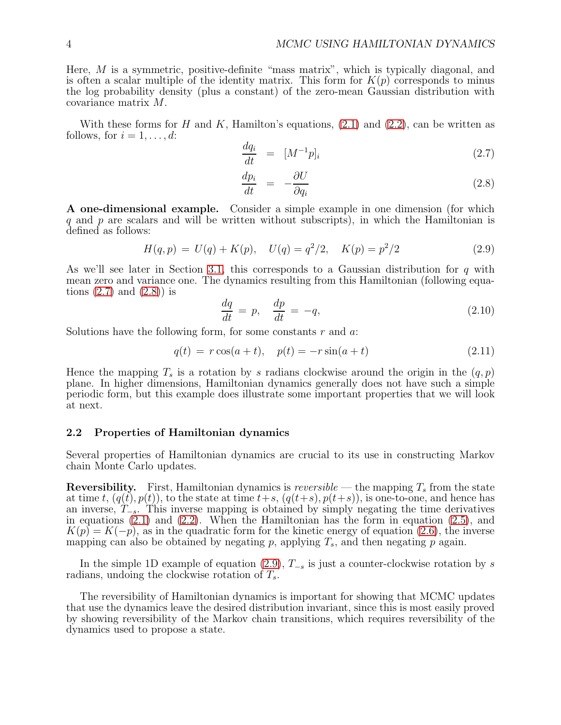Here, M is a symmetric, positive-definite "mass matrix", which is typically diagonal, and is often a scalar multiple of the identity matrix. This form for  $K(p)$  corresponds to minus the log probability density (plus a constant) of the zero-mean Gaussian distribution with covariance matrix M.

With these forms for H and K, Hamilton's equations,  $(2.1)$  and  $(2.2)$ , can be written as follows, for  $i = 1, \ldots, d$ :

<span id="page-3-0"></span>
$$
\frac{dq_i}{dt} = [M^{-1}p]_i \tag{2.7}
$$

$$
\frac{dp_i}{dt} = -\frac{\partial U}{\partial q_i} \tag{2.8}
$$

A one-dimensional example. Consider a simple example in one dimension (for which q and  $p$  are scalars and will be written without subscripts), in which the Hamiltonian is defined as follows:

<span id="page-3-1"></span>
$$
H(q, p) = U(q) + K(p), \quad U(q) = q^2/2, \quad K(p) = p^2/2 \tag{2.9}
$$

As we'll see later in Section [3.1,](#page-10-0) this corresponds to a Gaussian distribution for q with mean zero and variance one. The dynamics resulting from this Hamiltonian (following equations  $(2.7)$  and  $(2.8)$  is

$$
\frac{dq}{dt} = p, \quad \frac{dp}{dt} = -q,\tag{2.10}
$$

Solutions have the following form, for some constants  $r$  and  $a$ .

<span id="page-3-2"></span>
$$
q(t) = r \cos(a+t), \quad p(t) = -r \sin(a+t) \tag{2.11}
$$

Hence the mapping  $T_s$  is a rotation by s radians clockwise around the origin in the  $(q, p)$ plane. In higher dimensions, Hamiltonian dynamics generally does not have such a simple periodic form, but this example does illustrate some important properties that we will look at next.

#### 2.2 Properties of Hamiltonian dynamics

Several properties of Hamiltonian dynamics are crucial to its use in constructing Markov chain Monte Carlo updates.

**Reversibility.** First, Hamiltonian dynamics is  $reversible$  — the mapping  $T_s$  from the state at time t,  $(q(t), p(t))$ , to the state at time  $t+s$ ,  $(q(t+s), p(t+s))$ , is one-to-one, and hence has an inverse,  $T_{-s}$ . This inverse mapping is obtained by simply negating the time derivatives in equations [\(2.1\)](#page-2-0) and [\(2.2\)](#page-2-0). When the Hamiltonian has the form in equation [\(2.5\)](#page-2-1), and  $K(p) = K(-p)$ , as in the quadratic form for the kinetic energy of equation [\(2.6\)](#page-2-2), the inverse mapping can also be obtained by negating p, applying  $T_s$ , and then negating p again.

In the simple 1D example of equation [\(2.9\)](#page-3-1),  $T_{-s}$  is just a counter-clockwise rotation by s radians, undoing the clockwise rotation of  $T_s$ .

The reversibility of Hamiltonian dynamics is important for showing that MCMC updates that use the dynamics leave the desired distribution invariant, since this is most easily proved by showing reversibility of the Markov chain transitions, which requires reversibility of the dynamics used to propose a state.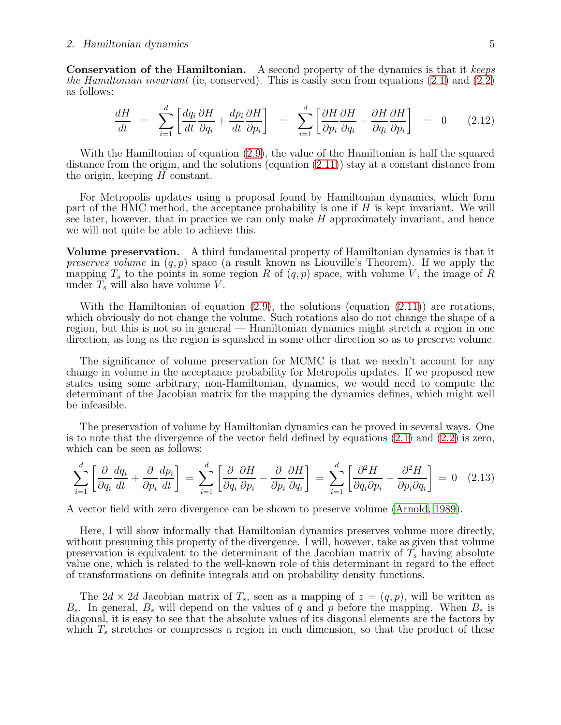Conservation of the Hamiltonian. A second property of the dynamics is that it *keeps the Hamiltonian invariant* (ie, conserved). This is easily seen from equations [\(2.1\)](#page-2-0) and [\(2.2\)](#page-2-0) as follows:

$$
\frac{dH}{dt} = \sum_{i=1}^{d} \left[ \frac{dq_i}{dt} \frac{\partial H}{\partial q_i} + \frac{dp_i}{dt} \frac{\partial H}{\partial p_i} \right] = \sum_{i=1}^{d} \left[ \frac{\partial H}{\partial p_i} \frac{\partial H}{\partial q_i} - \frac{\partial H}{\partial q_i} \frac{\partial H}{\partial p_i} \right] = 0 \quad (2.12)
$$

With the Hamiltonian of equation [\(2.9\)](#page-3-1), the value of the Hamiltonian is half the squared distance from the origin, and the solutions (equation [\(2.11\)](#page-3-2)) stay at a constant distance from the origin, keeping  $H$  constant.

For Metropolis updates using a proposal found by Hamiltonian dynamics, which form part of the HMC method, the acceptance probability is one if  $H$  is kept invariant. We will see later, however, that in practice we can only make H approximately invariant, and hence we will not quite be able to achieve this.

Volume preservation. A third fundamental property of Hamiltonian dynamics is that it *preserves volume* in  $(q, p)$  space (a result known as Liouville's Theorem). If we apply the mapping  $T_s$  to the points in some region R of  $(q, p)$  space, with volume V, the image of R under  $T_s$  will also have volume V.

With the Hamiltonian of equation  $(2.9)$ , the solutions (equation  $(2.11)$ ) are rotations, which obviously do not change the volume. Such rotations also do not change the shape of a region, but this is not so in general — Hamiltonian dynamics might stretch a region in one direction, as long as the region is squashed in some other direction so as to preserve volume.

The significance of volume preservation for MCMC is that we needn't account for any change in volume in the acceptance probability for Metropolis updates. If we proposed new states using some arbitrary, non-Hamiltonian, dynamics, we would need to compute the determinant of the Jacobian matrix for the mapping the dynamics defines, which might well be infeasible.

The preservation of volume by Hamiltonian dynamics can be proved in several ways. One is to note that the divergence of the vector field defined by equations [\(2.1\)](#page-2-0) and [\(2.2\)](#page-2-0) is zero, which can be seen as follows:

$$
\sum_{i=1}^{d} \left[ \frac{\partial}{\partial q_i} \frac{dq_i}{dt} + \frac{\partial}{\partial p_i} \frac{dp_i}{dt} \right] = \sum_{i=1}^{d} \left[ \frac{\partial}{\partial q_i} \frac{\partial H}{\partial p_i} - \frac{\partial}{\partial p_i} \frac{\partial H}{\partial q_i} \right] = \sum_{i=1}^{d} \left[ \frac{\partial^2 H}{\partial q_i \partial p_i} - \frac{\partial^2 H}{\partial p_i \partial q_i} \right] = 0 \quad (2.13)
$$

A vector field with zero divergence can be shown to preserve volume [\(Arnold](#page-48-4), [1989\)](#page-48-4).

Here, I will show informally that Hamiltonian dynamics preserves volume more directly, without presuming this property of the divergence. I will, however, take as given that volume preservation is equivalent to the determinant of the Jacobian matrix of  $T_s$  having absolute value one, which is related to the well-known role of this determinant in regard to the effect of transformations on definite integrals and on probability density functions.

The 2d  $\times$  2d Jacobian matrix of  $T_s$ , seen as a mapping of  $z = (q, p)$ , will be written as  $B_s$ . In general,  $B_s$  will depend on the values of q and p before the mapping. When  $B_s$  is diagonal, it is easy to see that the absolute values of its diagonal elements are the factors by which  $T_s$  stretches or compresses a region in each dimension, so that the product of these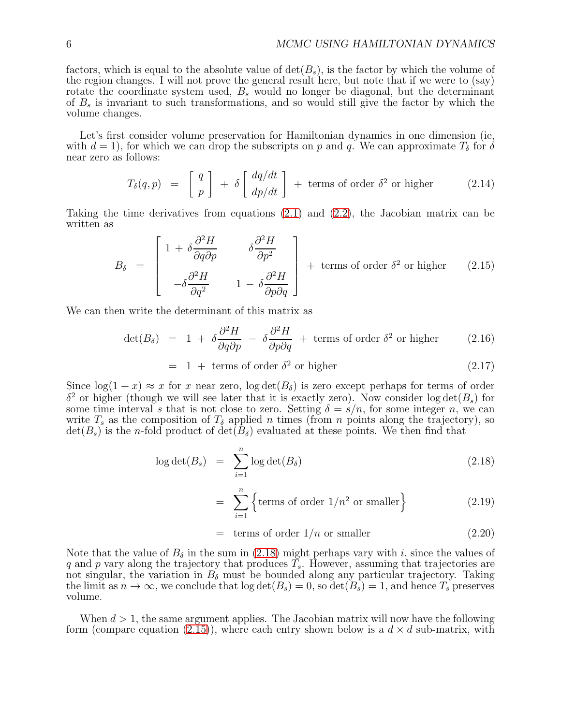factors, which is equal to the absolute value of  $\det(B_s)$ , is the factor by which the volume of the region changes. I will not prove the general result here, but note that if we were to (say) rotate the coordinate system used,  $B_s$  would no longer be diagonal, but the determinant of  $B_s$  is invariant to such transformations, and so would still give the factor by which the volume changes.

Let's first consider volume preservation for Hamiltonian dynamics in one dimension (ie, with  $d = 1$ , for which we can drop the subscripts on p and q. We can approximate  $T_{\delta}$  for  $\delta$ near zero as follows:

$$
T_{\delta}(q, p) = \begin{bmatrix} q \\ p \end{bmatrix} + \delta \begin{bmatrix} dq/dt \\ dp/dt \end{bmatrix} + \text{terms of order } \delta^2 \text{ or higher} \qquad (2.14)
$$

Taking the time derivatives from equations [\(2.1\)](#page-2-0) and [\(2.2\)](#page-2-0), the Jacobian matrix can be written as

<span id="page-5-1"></span>
$$
B_{\delta} = \begin{bmatrix} 1 + \delta \frac{\partial^2 H}{\partial q \partial p} & \delta \frac{\partial^2 H}{\partial p^2} \\ -\delta \frac{\partial^2 H}{\partial q^2} & 1 - \delta \frac{\partial^2 H}{\partial p \partial q} \end{bmatrix} + \text{terms of order } \delta^2 \text{ or higher} \qquad (2.15)
$$

We can then write the determinant of this matrix as

$$
\det(B_{\delta}) = 1 + \delta \frac{\partial^2 H}{\partial q \partial p} - \delta \frac{\partial^2 H}{\partial p \partial q} + \text{terms of order } \delta^2 \text{ or higher}
$$
 (2.16)

$$
= 1 + terms of order  $\delta^2$  or higher
$$
 (2.17)

Since  $\log(1+x) \approx x$  for x near zero,  $\log \det(B_\delta)$  is zero except perhaps for terms of order  $\delta^2$  or higher (though we will see later that it is exactly zero). Now consider log  $\det(B_s)$  for some time interval s that is not close to zero. Setting  $\delta = s/n$ , for some integer n, we can write  $T_s$  as the composition of  $T_\delta$  applied n times (from n points along the trajectory), so  $\det(B_s)$  is the *n*-fold product of  $\det(B_\delta)$  evaluated at these points. We then find that

<span id="page-5-0"></span>
$$
\log \det(B_s) = \sum_{i=1}^n \log \det(B_\delta)
$$
\n(2.18)

$$
= \sum_{i=1}^{n} \left\{ \text{terms of order } 1/n^2 \text{ or smaller} \right\} \tag{2.19}
$$

$$
= \text{ terms of order } 1/n \text{ or smaller} \tag{2.20}
$$

Note that the value of  $B_{\delta}$  in the sum in [\(2.18\)](#page-5-0) might perhaps vary with i, since the values of q and p vary along the trajectory that produces  $\tilde{T}_s$ . However, assuming that trajectories are not singular, the variation in  $B_{\delta}$  must be bounded along any particular trajectory. Taking the limit as  $n \to \infty$ , we conclude that  $\log \det(B_s) = 0$ , so  $\det(B_s) = 1$ , and hence  $T_s$  preserves volume.

When  $d > 1$ , the same argument applies. The Jacobian matrix will now have the following form (compare equation [\(2.15\)](#page-5-1)), where each entry shown below is a  $d \times d$  sub-matrix, with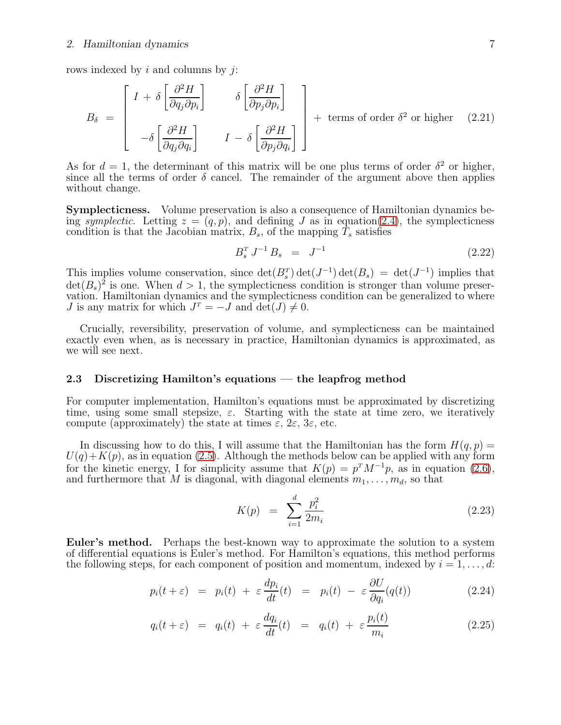#### 2. Hamiltonian dynamics 7

rows indexed by  $i$  and columns by  $j$ :

$$
B_{\delta} = \begin{bmatrix} I + \delta \left[ \frac{\partial^2 H}{\partial q_j \partial p_i} \right] & \delta \left[ \frac{\partial^2 H}{\partial p_j \partial p_i} \right] \\ -\delta \left[ \frac{\partial^2 H}{\partial q_j \partial q_i} \right] & I - \delta \left[ \frac{\partial^2 H}{\partial p_j \partial q_i} \right] \end{bmatrix} + \text{terms of order } \delta^2 \text{ or higher} \quad (2.21)
$$

As for  $d = 1$ , the determinant of this matrix will be one plus terms of order  $\delta^2$  or higher, since all the terms of order  $\delta$  cancel. The remainder of the argument above then applies without change.

Symplecticness. Volume preservation is also a consequence of Hamiltonian dynamics being *symplectic*. Letting  $z = (q, p)$ , and defining J as in equation[\(2.4\)](#page-2-3), the symplecticness condition is that the Jacobian matrix,  $B_s$ , of the mapping  $\bar{T}_s$  satisfies

$$
B_s^T J^{-1} B_s = J^{-1} \tag{2.22}
$$

This implies volume conservation, since  $\det(B_s^T) \det(J^{-1}) \det(B_s) = \det(J^{-1})$  implies that  $\det(B_s)^2$  is one. When  $d > 1$ , the symplecticness condition is stronger than volume preservation. Hamiltonian dynamics and the symplecticness condition can be generalized to where *J* is any matrix for which  $J^T = -J$  and  $\det(J) \neq 0$ .

Crucially, reversibility, preservation of volume, and symplecticness can be maintained exactly even when, as is necessary in practice, Hamiltonian dynamics is approximated, as we will see next.

#### <span id="page-6-0"></span>2.3 Discretizing Hamilton's equations — the leapfrog method

For computer implementation, Hamilton's equations must be approximated by discretizing time, using some small stepsize,  $\varepsilon$ . Starting with the state at time zero, we iteratively compute (approximately) the state at times  $\varepsilon$ ,  $2\varepsilon$ ,  $3\varepsilon$ , etc.

In discussing how to do this, I will assume that the Hamiltonian has the form  $H(q, p) =$  $U(q) + K(p)$ , as in equation [\(2.5\)](#page-2-1). Although the methods below can be applied with any form for the kinetic energy, I for simplicity assume that  $K(p) = p^T M^{-1} p$ , as in equation [\(2.6\)](#page-2-2), and furthermore that M is diagonal, with diagonal elements  $m_1, \ldots, m_d$ , so that

<span id="page-6-1"></span>
$$
K(p) = \sum_{i=1}^{d} \frac{p_i^2}{2m_i}
$$
\n(2.23)

Euler's method. Perhaps the best-known way to approximate the solution to a system of differential equations is Euler's method. For Hamilton's equations, this method performs the following steps, for each component of position and momentum, indexed by  $i = 1, \ldots, d$ :

$$
p_i(t+\varepsilon) = p_i(t) + \varepsilon \frac{dp_i}{dt}(t) = p_i(t) - \varepsilon \frac{\partial U}{\partial q_i}(q(t)) \qquad (2.24)
$$

$$
q_i(t+\varepsilon) = q_i(t) + \varepsilon \frac{dq_i}{dt}(t) = q_i(t) + \varepsilon \frac{p_i(t)}{m_i}
$$
 (2.25)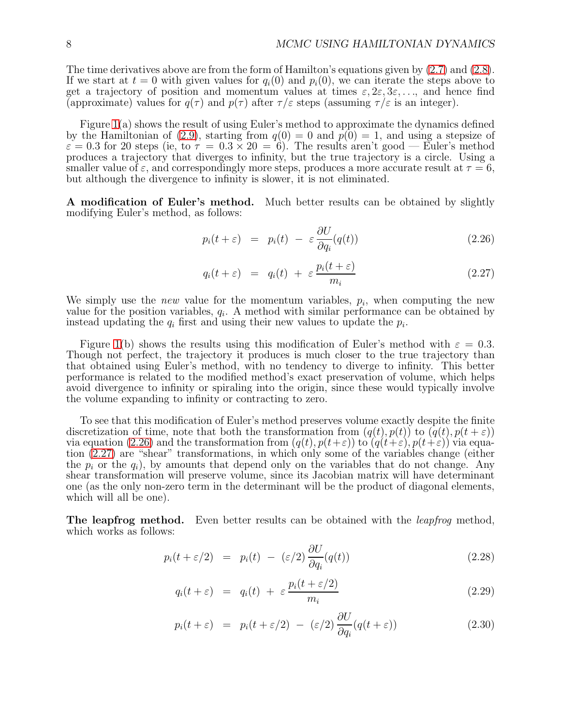The time derivatives above are from the form of Hamilton's equations given by [\(2.7\)](#page-3-0) and [\(2.8\)](#page-3-0). If we start at  $t = 0$  with given values for  $q_i(0)$  and  $p_i(0)$ , we can iterate the steps above to get a trajectory of position and momentum values at times  $\varepsilon, 2\varepsilon, 3\varepsilon, \ldots$ , and hence find (approximate) values for  $q(\tau)$  and  $p(\tau)$  after  $\tau/\varepsilon$  steps (assuming  $\tau/\varepsilon$  is an integer).

Figure [1\(](#page-8-0)a) shows the result of using Euler's method to approximate the dynamics defined by the Hamiltonian of [\(2.9\)](#page-3-1), starting from  $q(0) = 0$  and  $p(0) = 1$ , and using a stepsize of  $\varepsilon = 0.3$  for 20 steps (ie, to  $\tau = 0.3 \times 20 = 6$ ). The results aren't good — Euler's method produces a trajectory that diverges to infinity, but the true trajectory is a circle. Using a smaller value of  $\varepsilon$ , and correspondingly more steps, produces a more accurate result at  $\tau = 6$ , but although the divergence to infinity is slower, it is not eliminated.

A modification of Euler's method. Much better results can be obtained by slightly modifying Euler's method, as follows:

<span id="page-7-0"></span>
$$
p_i(t+\varepsilon) = p_i(t) - \varepsilon \frac{\partial U}{\partial q_i}(q(t)) \qquad (2.26)
$$

$$
q_i(t+\varepsilon) = q_i(t) + \varepsilon \frac{p_i(t+\varepsilon)}{m_i}
$$
\n(2.27)

We simply use the *new* value for the momentum variables,  $p_i$ , when computing the new value for the position variables,  $q_i$ . A method with similar performance can be obtained by instead updating the  $q_i$  first and using their new values to update the  $p_i$ .

Figure [1\(](#page-8-0)b) shows the results using this modification of Euler's method with  $\varepsilon = 0.3$ . Though not perfect, the trajectory it produces is much closer to the true trajectory than that obtained using Euler's method, with no tendency to diverge to infinity. This better performance is related to the modified method's exact preservation of volume, which helps avoid divergence to infinity or spiraling into the origin, since these would typically involve the volume expanding to infinity or contracting to zero.

To see that this modification of Euler's method preserves volume exactly despite the finite discretization of time, note that both the transformation from  $(q(t), p(t))$  to  $(q(t), p(t + \varepsilon))$ via equation [\(2.26\)](#page-7-0) and the transformation from  $(q(t), p(t+\varepsilon))$  to  $(q(t+\varepsilon), p(t+\varepsilon))$  via equation [\(2.27\)](#page-7-0) are "shear" transformations, in which only some of the variables change (either the  $p_i$  or the  $q_i$ ), by amounts that depend only on the variables that do not change. Any shear transformation will preserve volume, since its Jacobian matrix will have determinant one (as the only non-zero term in the determinant will be the product of diagonal elements, which will all be one).

The leapfrog method. Even better results can be obtained with the *leapfrog* method, which works as follows:

<span id="page-7-1"></span>
$$
p_i(t + \varepsilon/2) = p_i(t) - (\varepsilon/2) \frac{\partial U}{\partial q_i}(q(t)) \tag{2.28}
$$

$$
q_i(t+\varepsilon) = q_i(t) + \varepsilon \frac{p_i(t+\varepsilon/2)}{m_i}
$$
\n(2.29)

$$
p_i(t+\varepsilon) = p_i(t+\varepsilon/2) - (\varepsilon/2) \frac{\partial U}{\partial q_i} (q(t+\varepsilon))
$$
\n(2.30)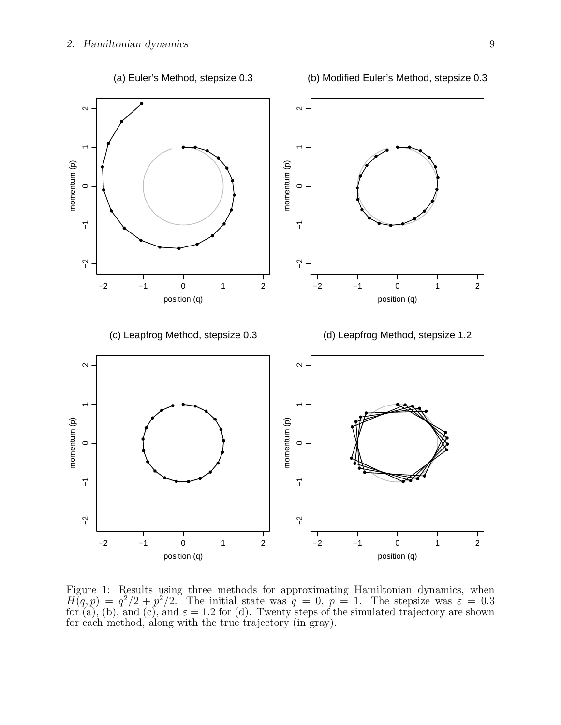

<span id="page-8-0"></span>Figure 1: Results using three methods for approximating Hamiltonian dynamics, when  $H(q, p) = q^2/2 + p^2/2$ . The initial state was  $q = 0, p = 1$ . The stepsize was  $\varepsilon = 0.3$ for (a), (b), and (c), and  $\varepsilon = 1.2$  for (d). Twenty steps of the simulated trajectory are shown for each method, along with the true trajectory (in gray).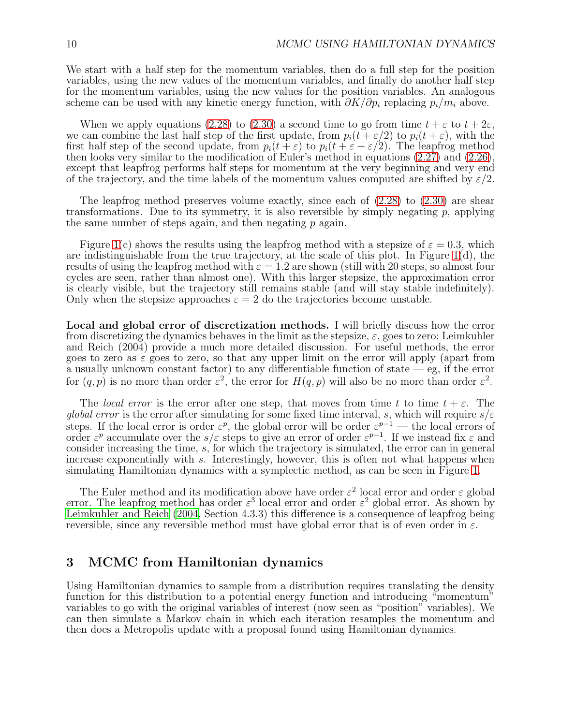We start with a half step for the momentum variables, then do a full step for the position variables, using the new values of the momentum variables, and finally do another half step for the momentum variables, using the new values for the position variables. An analogous scheme can be used with any kinetic energy function, with  $\partial K/\partial p_i$  replacing  $p_i/m_i$  above.

When we apply equations [\(2.28\)](#page-7-1) to [\(2.30\)](#page-7-1) a second time to go from time  $t + \varepsilon$  to  $t + 2\varepsilon$ , we can combine the last half step of the first update, from  $p_i(t + \varepsilon/2)$  to  $p_i(t + \varepsilon)$ , with the first half step of the second update, from  $p_i(t + \varepsilon)$  to  $p_i(t + \varepsilon + \varepsilon/2)$ . The leapfrog method then looks very similar to the modification of Euler's method in equations [\(2.27\)](#page-7-0) and [\(2.26\)](#page-7-0), except that leapfrog performs half steps for momentum at the very beginning and very end of the trajectory, and the time labels of the momentum values computed are shifted by  $\varepsilon/2$ .

The leapfrog method preserves volume exactly, since each of [\(2.28\)](#page-7-1) to [\(2.30\)](#page-7-1) are shear transformations. Due to its symmetry, it is also reversible by simply negating  $p$ , applying the same number of steps again, and then negating p again.

Figure [1\(](#page-8-0)c) shows the results using the leapfrog method with a stepsize of  $\varepsilon = 0.3$ , which are indistinguishable from the true trajectory, at the scale of this plot. In Figure  $1(d)$ , the results of using the leapfrog method with  $\varepsilon = 1.2$  are shown (still with 20 steps, so almost four cycles are seen, rather than almost one). With this larger stepsize, the approximation error is clearly visible, but the trajectory still remains stable (and will stay stable indefinitely). Only when the stepsize approaches  $\varepsilon = 2$  do the trajectories become unstable.

Local and global error of discretization methods. I will briefly discuss how the error from discretizing the dynamics behaves in the limit as the stepsize,  $\varepsilon$ , goes to zero; Leimkuhler and Reich (2004) provide a much more detailed discussion. For useful methods, the error goes to zero as  $\varepsilon$  goes to zero, so that any upper limit on the error will apply (apart from a usually unknown constant factor) to any differentiable function of state  $-$  eg, if the error for  $(q, p)$  is no more than order  $\varepsilon^2$ , the error for  $H(q, p)$  will also be no more than order  $\varepsilon^2$ .

The *local error* is the error after one step, that moves from time t to time  $t + \varepsilon$ . The *global error* is the error after simulating for some fixed time interval, s, which will require  $s/\varepsilon$ steps. If the local error is order  $\varepsilon^p$ , the global error will be order  $\varepsilon^{p-1}$  — the local errors of order  $\varepsilon^p$  accumulate over the s/ $\varepsilon$  steps to give an error of order  $\varepsilon^{p-1}$ . If we instead fix  $\varepsilon$  and consider increasing the time, s, for which the trajectory is simulated, the error can in general increase exponentially with s. Interestingly, however, this is often not what happens when simulating Hamiltonian dynamics with a symplectic method, as can be seen in Figure [1.](#page-8-0)

The Euler method and its modification above have order  $\varepsilon^2$  local error and order  $\varepsilon$  global error. The leapfrog method has order  $\varepsilon^3$  local error and order  $\varepsilon^2$  global error. As shown by [Leimkuhler and Reich \(2004,](#page-49-4) Section 4.3.3) this difference is a consequence of leapfrog being reversible, since any reversible method must have global error that is of even order in  $\varepsilon$ .

## 3 MCMC from Hamiltonian dynamics

Using Hamiltonian dynamics to sample from a distribution requires translating the density function for this distribution to a potential energy function and introducing "momentum" variables to go with the original variables of interest (now seen as "position" variables). We can then simulate a Markov chain in which each iteration resamples the momentum and then does a Metropolis update with a proposal found using Hamiltonian dynamics.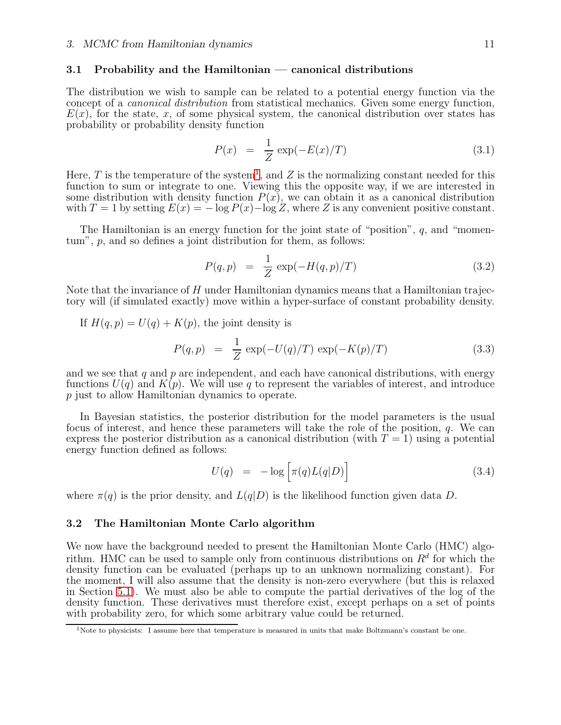#### <span id="page-10-0"></span>3.1 Probability and the Hamiltonian — canonical distributions

The distribution we wish to sample can be related to a potential energy function via the concept of a *canonical distribution* from statistical mechanics. Given some energy function,  $E(x)$ , for the state, x, of some physical system, the canonical distribution over states has probability or probability density function

<span id="page-10-4"></span>
$$
P(x) = \frac{1}{Z} \exp(-E(x)/T) \tag{3.1}
$$

Here, T is the temperature of the system<sup>[1](#page-10-1)</sup>, and Z is the normalizing constant needed for this function to sum or integrate to one. Viewing this the opposite way, if we are interested in some distribution with density function  $P(x)$ , we can obtain it as a canonical distribution with  $T = 1$  by setting  $E(x) = -\log P(x) - \log Z$ , where Z is any convenient positive constant.

The Hamiltonian is an energy function for the joint state of "position",  $q$ , and "momentum", p, and so defines a joint distribution for them, as follows:

$$
P(q, p) = \frac{1}{Z} \exp(-H(q, p)/T)
$$
\n(3.2)

Note that the invariance of H under Hamiltonian dynamics means that a Hamiltonian trajectory will (if simulated exactly) move within a hyper-surface of constant probability density.

If  $H(q, p) = U(q) + K(p)$ , the joint density is

<span id="page-10-2"></span>
$$
P(q, p) = \frac{1}{Z} \exp(-U(q)/T) \exp(-K(p)/T)
$$
\n(3.3)

and we see that q and  $p$  are independent, and each have canonical distributions, with energy functions  $U(q)$  and  $K(p)$ . We will use q to represent the variables of interest, and introduce p just to allow Hamiltonian dynamics to operate.

In Bayesian statistics, the posterior distribution for the model parameters is the usual focus of interest, and hence these parameters will take the role of the position,  $q$ . We can express the posterior distribution as a canonical distribution (with  $T = 1$ ) using a potential energy function defined as follows:

$$
U(q) = -\log \left[ \pi(q)L(q|D) \right] \tag{3.4}
$$

<span id="page-10-3"></span>where  $\pi(q)$  is the prior density, and  $L(q|D)$  is the likelihood function given data D.

#### 3.2 The Hamiltonian Monte Carlo algorithm

We now have the background needed to present the Hamiltonian Monte Carlo (HMC) algorithm. HMC can be used to sample only from continuous distributions on  $R<sup>d</sup>$  for which the density function can be evaluated (perhaps up to an unknown normalizing constant). For the moment, I will also assume that the density is non-zero everywhere (but this is relaxed in Section [5.1\)](#page-32-0). We must also be able to compute the partial derivatives of the log of the density function. These derivatives must therefore exist, except perhaps on a set of points with probability zero, for which some arbitrary value could be returned.

<span id="page-10-1"></span><sup>&</sup>lt;sup>1</sup>Note to physicists: I assume here that temperature is measured in units that make Boltzmann's constant be one.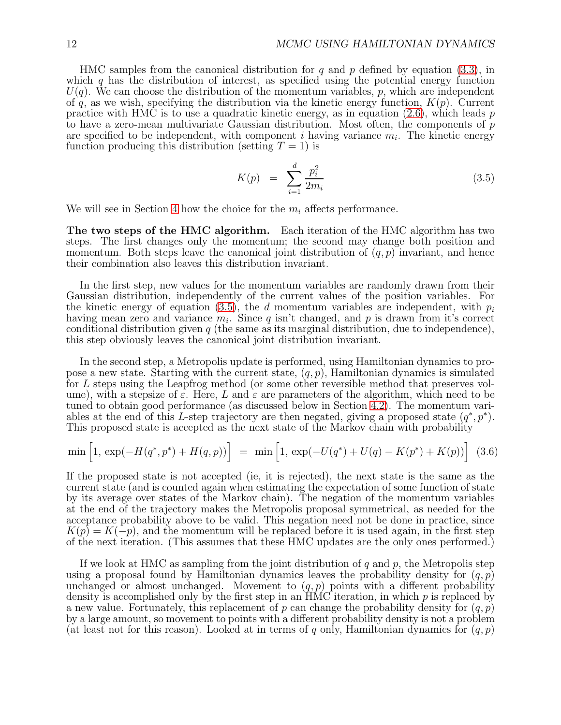HMC samples from the canonical distribution for q and p defined by equation [\(3.3\)](#page-10-2), in which  $q$  has the distribution of interest, as specified using the potential energy function  $U(q)$ . We can choose the distribution of the momentum variables, p, which are independent of q, as we wish, specifying the distribution via the kinetic energy function,  $K(p)$ . Current practice with HMC is to use a quadratic kinetic energy, as in equation  $(2.6)$ , which leads p to have a zero-mean multivariate Gaussian distribution. Most often, the components of  $p$ are specified to be independent, with component i having variance  $m_i$ . The kinetic energy function producing this distribution (setting  $T = 1$ ) is

<span id="page-11-0"></span>
$$
K(p) = \sum_{i=1}^{d} \frac{p_i^2}{2m_i}
$$
\n(3.5)

We will see in Section [4](#page-20-0) how the choice for the  $m_i$  affects performance.

The two steps of the HMC algorithm. Each iteration of the HMC algorithm has two steps. The first changes only the momentum; the second may change both position and momentum. Both steps leave the canonical joint distribution of  $(q, p)$  invariant, and hence their combination also leaves this distribution invariant.

In the first step, new values for the momentum variables are randomly drawn from their Gaussian distribution, independently of the current values of the position variables. For the kinetic energy of equation [\(3.5\)](#page-11-0), the d momentum variables are independent, with  $p_i$ having mean zero and variance  $m_i$ . Since q isn't changed, and p is drawn from it's correct conditional distribution given  $q$  (the same as its marginal distribution, due to independence), this step obviously leaves the canonical joint distribution invariant.

In the second step, a Metropolis update is performed, using Hamiltonian dynamics to propose a new state. Starting with the current state,  $(q, p)$ , Hamiltonian dynamics is simulated for L steps using the Leapfrog method (or some other reversible method that preserves volume), with a stepsize of  $\varepsilon$ . Here, L and  $\varepsilon$  are parameters of the algorithm, which need to be tuned to obtain good performance (as discussed below in Section [4.2\)](#page-22-0). The momentum variables at the end of this L-step trajectory are then negated, giving a proposed state  $(q^*, p^*)$ . This proposed state is accepted as the next state of the Markov chain with probability

$$
\min\left[1, \exp(-H(q^*, p^*) + H(q, p))\right] = \min\left[1, \exp(-U(q^*) + U(q) - K(p^*) + K(p))\right] \tag{3.6}
$$

If the proposed state is not accepted (ie, it is rejected), the next state is the same as the current state (and is counted again when estimating the expectation of some function of state by its average over states of the Markov chain). The negation of the momentum variables at the end of the trajectory makes the Metropolis proposal symmetrical, as needed for the acceptance probability above to be valid. This negation need not be done in practice, since  $K(p) = K(-p)$ , and the momentum will be replaced before it is used again, in the first step of the next iteration. (This assumes that these HMC updates are the only ones performed.)

If we look at HMC as sampling from the joint distribution of  $q$  and  $p$ , the Metropolis step using a proposal found by Hamiltonian dynamics leaves the probability density for  $(q, p)$ unchanged or almost unchanged. Movement to  $(q, p)$  points with a different probability density is accomplished only by the first step in an HMC iteration, in which  $p$  is replaced by a new value. Fortunately, this replacement of p can change the probability density for  $(q, p)$ by a large amount, so movement to points with a different probability density is not a problem (at least not for this reason). Looked at in terms of q only, Hamiltonian dynamics for  $(q, p)$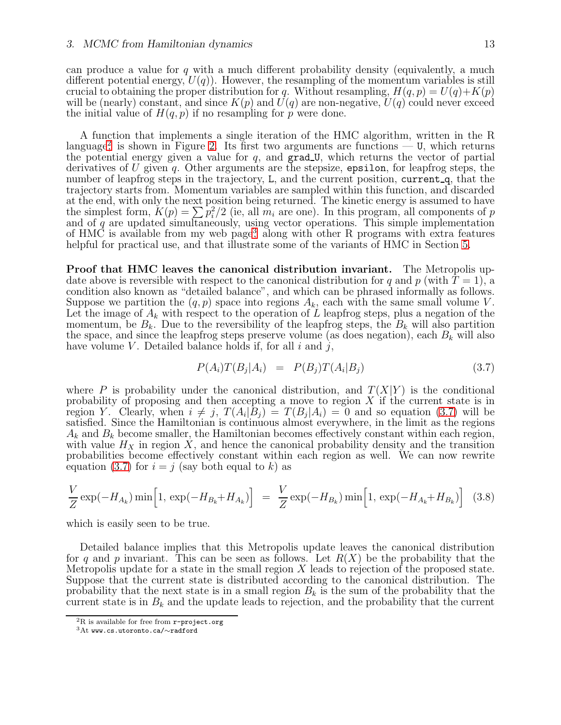can produce a value for q with a much different probability density (equivalently, a much different potential energy,  $U(q)$ ). However, the resampling of the momentum variables is still crucial to obtaining the proper distribution for q. Without resampling,  $H(q, p) = U(q) + K(p)$ will be (nearly) constant, and since  $K(p)$  and  $U(q)$  are non-negative,  $U(q)$  could never exceed the initial value of  $H(q, p)$  if no resampling for p were done.

A function that implements a single iteration of the HMC algorithm, written in the R language<sup>2</sup>[,](#page-12-0) is shown in Figure [2.](#page-13-0) Its first two arguments are functions  $-$  U, which returns the potential energy given a value for  $q$ , and  $grad$ U, which returns the vector of partial derivatives of U given  $q$ . Other arguments are the stepsize, epsilon, for leapfrog steps, the number of leapfrog steps in the trajectory, L, and the current position, current  $q$ , that the trajectory starts from. Momentum variables are sampled within this function, and discarded at the end, with only the next position being returned. The kinetic energy is assumed to have the simplest form,  $K(p) = \sum p_i^2/2$  (ie, all  $m_i$  are one). In this program, all components of p and of q are updated simultaneously, using vector operations. This simple implementation of HMC is available from my web page<sup>3</sup>[,](#page-12-1) along with other R programs with extra features helpful for practical use, and that illustrate some of the variants of HMC in Section [5.](#page-32-1)

Proof that HMC leaves the canonical distribution invariant. The Metropolis update above is reversible with respect to the canonical distribution for q and p (with  $T = 1$ ), a condition also known as "detailed balance", and which can be phrased informally as follows. Suppose we partition the  $(q, p)$  space into regions  $A_k$ , each with the same small volume V. Let the image of  $A_k$  with respect to the operation of L leapfrog steps, plus a negation of the momentum, be  $B_k$ . Due to the reversibility of the leapfrog steps, the  $B_k$  will also partition the space, and since the leapfrog steps preserve volume (as does negation), each  $B_k$  will also have volume V. Detailed balance holds if, for all i and  $j$ ,

<span id="page-12-2"></span>
$$
P(A_i)T(B_j|A_i) = P(B_j)T(A_i|B_j)
$$
\n(3.7)

where P is probability under the canonical distribution, and  $T(X|Y)$  is the conditional probability of proposing and then accepting a move to region  $X$  if the current state is in region Y. Clearly, when  $i \neq j$ ,  $T(A_i|B_j) = T(B_j|A_i) = 0$  and so equation [\(3.7\)](#page-12-2) will be satisfied. Since the Hamiltonian is continuous almost everywhere, in the limit as the regions  $A_k$  and  $B_k$  become smaller, the Hamiltonian becomes effectively constant within each region, with value  $H_X$  in region X, and hence the canonical probability density and the transition probabilities become effectively constant within each region as well. We can now rewrite equation [\(3.7\)](#page-12-2) for  $i = j$  (say both equal to k) as

$$
\frac{V}{Z} \exp(-H_{A_k}) \min\left[1, \exp(-H_{B_k} + H_{A_k})\right] = \frac{V}{Z} \exp(-H_{B_k}) \min\left[1, \exp(-H_{A_k} + H_{B_k})\right]
$$
(3.8)

which is easily seen to be true.

Detailed balance implies that this Metropolis update leaves the canonical distribution for q and p invariant. This can be seen as follows. Let  $R(X)$  be the probability that the Metropolis update for a state in the small region  $X$  leads to rejection of the proposed state. Suppose that the current state is distributed according to the canonical distribution. The probability that the next state is in a small region  $B_k$  is the sum of the probability that the current state is in  $B_k$  and the update leads to rejection, and the probability that the current

 ${}^{2}R$  is available for free from  $r$ -project.org

<span id="page-12-1"></span><span id="page-12-0"></span><sup>3</sup>At www.cs.utoronto.ca/∼radford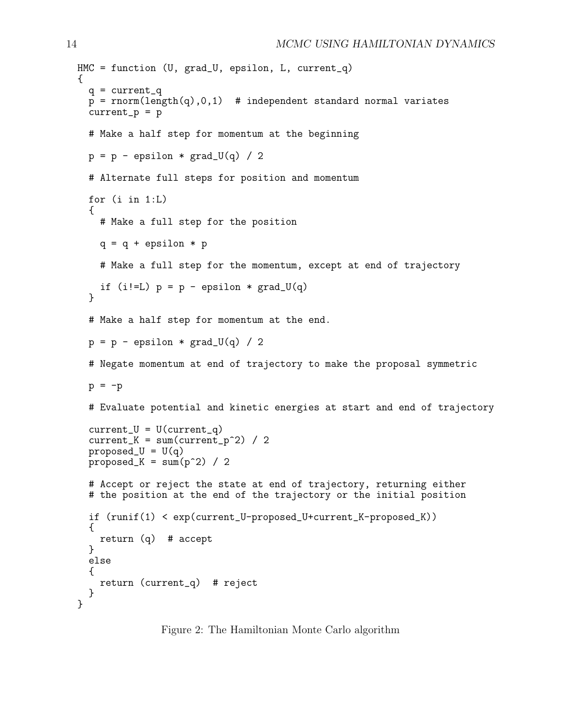```
HMC = function (U, grad_U, epsilon, L, current_q)
{
 q = current_q
  p = rnorm(length(q), 0, 1) # independent standard normal variates
  current_p = p# Make a half step for momentum at the beginning
  p = p - epsilon * grad_U(q) / 2# Alternate full steps for position and momentum
  for (i in 1:L)
  {
    # Make a full step for the position
    q = q + epsilon is \neq p# Make a full step for the momentum, except at end of trajectory
   if (i!=L) p = p - ep silon * grad_U(q)}
  # Make a half step for momentum at the end.
  p = p - epsilon * grad_U(q) / 2# Negate momentum at end of trajectory to make the proposal symmetric
 p = -p# Evaluate potential and kinetic energies at start and end of trajectory
  current_U = U(current_q)current_K = sum(current_p^2) / 2proposed_U = U(q)proposed_K = sum(p^2) / 2# Accept or reject the state at end of trajectory, returning either
  # the position at the end of the trajectory or the initial position
  if (runif(1) < exp(current_U-proposed_U+current_K-proposed_K))
  {
   return (q) # accept
  }
  else
  {
   return (current_q) # reject
 }
}
```
<span id="page-13-0"></span>Figure 2: The Hamiltonian Monte Carlo algorithm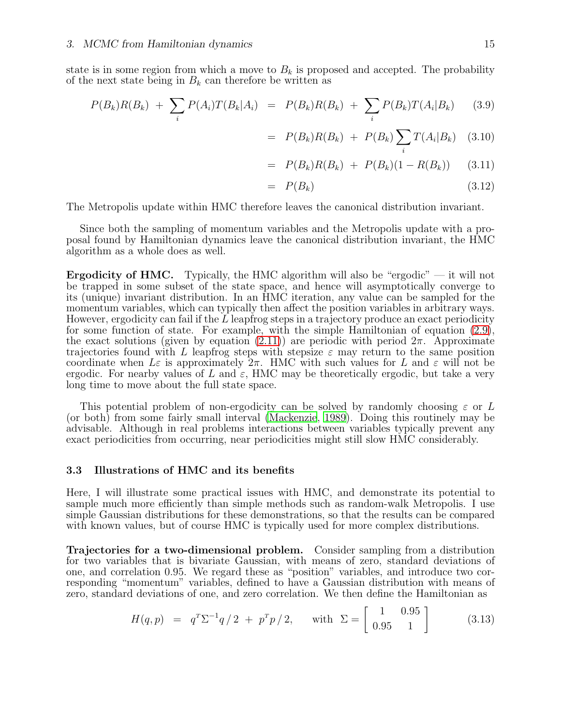state is in some region from which a move to  $B_k$  is proposed and accepted. The probability of the next state being in  $B_k$  can therefore be written as

$$
P(B_k)R(B_k) + \sum_i P(A_i)T(B_k|A_i) = P(B_k)R(B_k) + \sum_i P(B_k)T(A_i|B_k)
$$
(3.9)

$$
= P(B_k)R(B_k) + P(B_k) \sum_i T(A_i|B_k) \quad (3.10)
$$

$$
= P(B_k)R(B_k) + P(B_k)(1 - R(B_k)) \qquad (3.11)
$$

$$
= P(B_k) \tag{3.12}
$$

The Metropolis update within HMC therefore leaves the canonical distribution invariant.

Since both the sampling of momentum variables and the Metropolis update with a proposal found by Hamiltonian dynamics leave the canonical distribution invariant, the HMC algorithm as a whole does as well.

**Ergodicity of HMC.** Typically, the HMC algorithm will also be "ergodic"  $-$  it will not be trapped in some subset of the state space, and hence will asymptotically converge to its (unique) invariant distribution. In an HMC iteration, any value can be sampled for the momentum variables, which can typically then affect the position variables in arbitrary ways. However, ergodicity can fail if the  $L$  leapfrog steps in a trajectory produce an exact periodicity for some function of state. For example, with the simple Hamiltonian of equation [\(2.9\)](#page-3-1), the exact solutions (given by equation [\(2.11\)](#page-3-2)) are periodic with period  $2\pi$ . Approximate trajectories found with L leapfrog steps with stepsize  $\varepsilon$  may return to the same position coordinate when  $L\varepsilon$  is approximately  $2\pi$ . HMC with such values for L and  $\varepsilon$  will not be ergodic. For nearby values of L and  $\varepsilon$ , HMC may be theoretically ergodic, but take a very long time to move about the full state space.

This potential problem of non-ergodicity can be solved by randomly choosing  $\varepsilon$  or L (or both) from some fairly small interval [\(Mackenzie](#page-49-5), [1989\)](#page-49-5). Doing this routinely may be advisable. Although in real problems interactions between variables typically prevent any exact periodicities from occurring, near periodicities might still slow HMC considerably.

#### <span id="page-14-0"></span>3.3 Illustrations of HMC and its benefits

Here, I will illustrate some practical issues with HMC, and demonstrate its potential to sample much more efficiently than simple methods such as random-walk Metropolis. I use simple Gaussian distributions for these demonstrations, so that the results can be compared with known values, but of course HMC is typically used for more complex distributions.

Trajectories for a two-dimensional problem. Consider sampling from a distribution for two variables that is bivariate Gaussian, with means of zero, standard deviations of one, and correlation 0.95. We regard these as "position" variables, and introduce two corresponding "momentum" variables, defined to have a Gaussian distribution with means of zero, standard deviations of one, and zero correlation. We then define the Hamiltonian as

$$
H(q, p) = q^T \Sigma^{-1} q / 2 + p^T p / 2, \quad \text{with } \Sigma = \begin{bmatrix} 1 & 0.95 \\ 0.95 & 1 \end{bmatrix}
$$
 (3.13)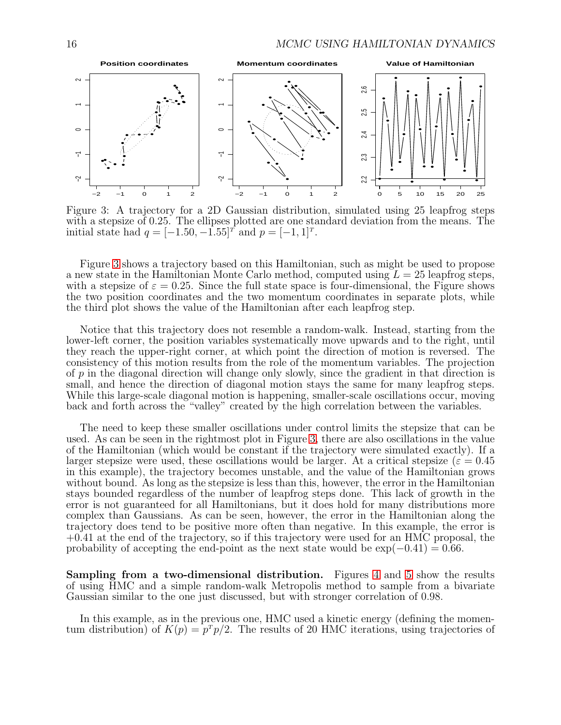

<span id="page-15-0"></span>Figure 3: A trajectory for a 2D Gaussian distribution, simulated using 25 leapfrog steps with a stepsize of 0.25. The ellipses plotted are one standard deviation from the means. The initial state had  $q = [-1.50, -1.55]^T$  and  $p = [-1, 1]^T$ .

Figure [3](#page-15-0) shows a trajectory based on this Hamiltonian, such as might be used to propose a new state in the Hamiltonian Monte Carlo method, computed using  $L = 25$  leapfrog steps, with a stepsize of  $\varepsilon = 0.25$ . Since the full state space is four-dimensional, the Figure shows the two position coordinates and the two momentum coordinates in separate plots, while the third plot shows the value of the Hamiltonian after each leapfrog step.

Notice that this trajectory does not resemble a random-walk. Instead, starting from the lower-left corner, the position variables systematically move upwards and to the right, until they reach the upper-right corner, at which point the direction of motion is reversed. The consistency of this motion results from the role of the momentum variables. The projection of p in the diagonal direction will change only slowly, since the gradient in that direction is small, and hence the direction of diagonal motion stays the same for many leapfrog steps. While this large-scale diagonal motion is happening, smaller-scale oscillations occur, moving back and forth across the "valley" created by the high correlation between the variables.

The need to keep these smaller oscillations under control limits the stepsize that can be used. As can be seen in the rightmost plot in Figure [3,](#page-15-0) there are also oscillations in the value of the Hamiltonian (which would be constant if the trajectory were simulated exactly). If a larger stepsize were used, these oscillations would be larger. At a critical stepsize ( $\varepsilon = 0.45$ ) in this example), the trajectory becomes unstable, and the value of the Hamiltonian grows without bound. As long as the stepsize is less than this, however, the error in the Hamiltonian stays bounded regardless of the number of leapfrog steps done. This lack of growth in the error is not guaranteed for all Hamiltonians, but it does hold for many distributions more complex than Gaussians. As can be seen, however, the error in the Hamiltonian along the trajectory does tend to be positive more often than negative. In this example, the error is  $+0.41$  at the end of the trajectory, so if this trajectory were used for an HMC proposal, the probability of accepting the end-point as the next state would be  $\exp(-0.41) = 0.66$ .

Sampling from a two-dimensional distribution. Figures [4](#page-16-0) and [5](#page-16-1) show the results of using HMC and a simple random-walk Metropolis method to sample from a bivariate Gaussian similar to the one just discussed, but with stronger correlation of 0.98.

In this example, as in the previous one, HMC used a kinetic energy (defining the momentum distribution) of  $K(p) = p^T p/2$ . The results of 20 HMC iterations, using trajectories of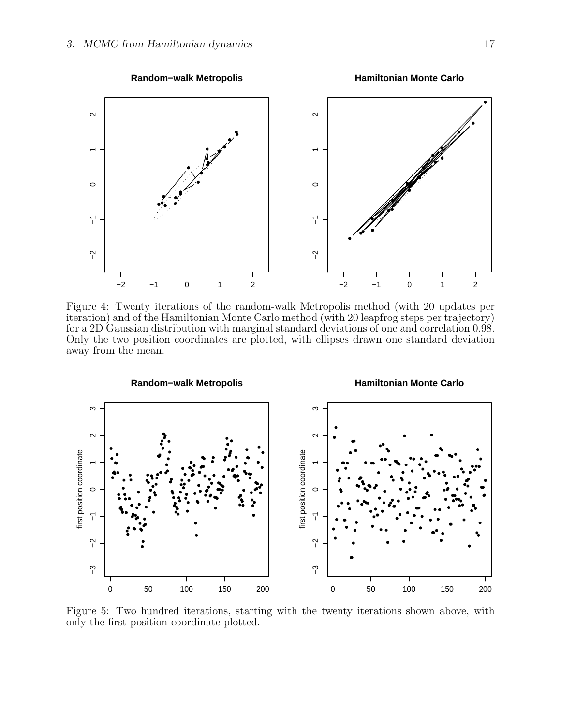

<span id="page-16-0"></span>Figure 4: Twenty iterations of the random-walk Metropolis method (with 20 updates per iteration) and of the Hamiltonian Monte Carlo method (with 20 leapfrog steps per trajectory) for a 2D Gaussian distribution with marginal standard deviations of one and correlation 0.98. Only the two position coordinates are plotted, with ellipses drawn one standard deviation away from the mean.



<span id="page-16-1"></span>Figure 5: Two hundred iterations, starting with the twenty iterations shown above, with only the first position coordinate plotted.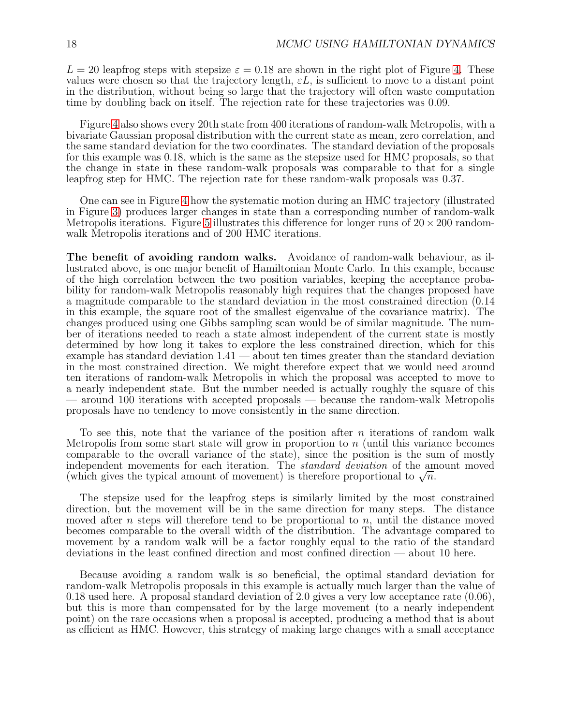$L = 20$  leapfrog steps with stepsize  $\varepsilon = 0.18$  are shown in the right plot of Figure [4.](#page-16-0) These values were chosen so that the trajectory length,  $\varepsilon L$ , is sufficient to move to a distant point in the distribution, without being so large that the trajectory will often waste computation time by doubling back on itself. The rejection rate for these trajectories was 0.09.

Figure [4](#page-16-0) also shows every 20th state from 400 iterations of random-walk Metropolis, with a bivariate Gaussian proposal distribution with the current state as mean, zero correlation, and the same standard deviation for the two coordinates. The standard deviation of the proposals for this example was 0.18, which is the same as the stepsize used for HMC proposals, so that the change in state in these random-walk proposals was comparable to that for a single leapfrog step for HMC. The rejection rate for these random-walk proposals was 0.37.

One can see in Figure [4](#page-16-0) how the systematic motion during an HMC trajectory (illustrated in Figure [3\)](#page-15-0) produces larger changes in state than a corresponding number of random-walk Metropolis iterations. Figure [5](#page-16-1) illustrates this difference for longer runs of  $20 \times 200$  randomwalk Metropolis iterations and of 200 HMC iterations.

The benefit of avoiding random walks. Avoidance of random-walk behaviour, as illustrated above, is one major benefit of Hamiltonian Monte Carlo. In this example, because of the high correlation between the two position variables, keeping the acceptance probability for random-walk Metropolis reasonably high requires that the changes proposed have a magnitude comparable to the standard deviation in the most constrained direction (0.14 in this example, the square root of the smallest eigenvalue of the covariance matrix). The changes produced using one Gibbs sampling scan would be of similar magnitude. The number of iterations needed to reach a state almost independent of the current state is mostly determined by how long it takes to explore the less constrained direction, which for this example has standard deviation  $1.41$  — about ten times greater than the standard deviation in the most constrained direction. We might therefore expect that we would need around ten iterations of random-walk Metropolis in which the proposal was accepted to move to a nearly independent state. But the number needed is actually roughly the square of this — around 100 iterations with accepted proposals — because the random-walk Metropolis proposals have no tendency to move consistently in the same direction.

To see this, note that the variance of the position after  $n$  iterations of random walk Metropolis from some start state will grow in proportion to  $n$  (until this variance becomes comparable to the overall variance of the state), since the position is the sum of mostly independent movements for each iteration. The *standard deviation* of the amount moved (which gives the typical amount of movement) is therefore proportional to  $\sqrt{n}$ .

The stepsize used for the leapfrog steps is similarly limited by the most constrained direction, but the movement will be in the same direction for many steps. The distance moved after *n* steps will therefore tend to be proportional to *n*, until the distance moved becomes comparable to the overall width of the distribution. The advantage compared to movement by a random walk will be a factor roughly equal to the ratio of the standard deviations in the least confined direction and most confined direction — about 10 here.

Because avoiding a random walk is so beneficial, the optimal standard deviation for random-walk Metropolis proposals in this example is actually much larger than the value of 0.18 used here. A proposal standard deviation of 2.0 gives a very low acceptance rate (0.06), but this is more than compensated for by the large movement (to a nearly independent point) on the rare occasions when a proposal is accepted, producing a method that is about as efficient as HMC. However, this strategy of making large changes with a small acceptance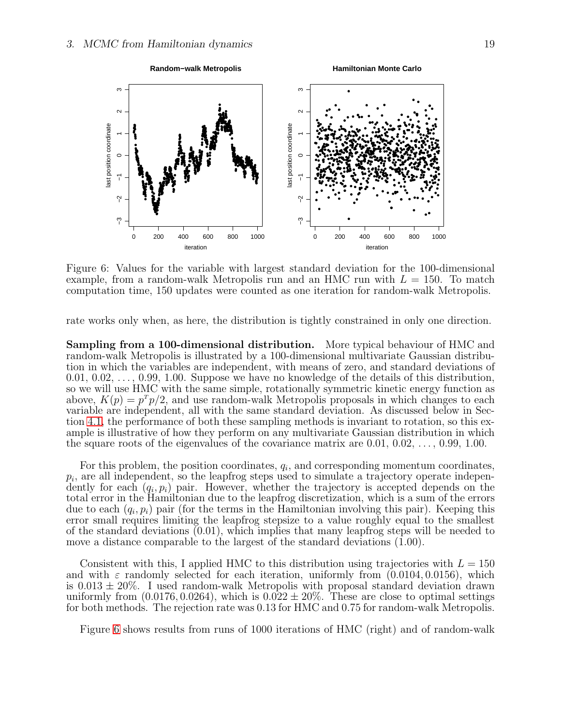

<span id="page-18-0"></span>Figure 6: Values for the variable with largest standard deviation for the 100-dimensional example, from a random-walk Metropolis run and an HMC run with  $L = 150$ . To match computation time, 150 updates were counted as one iteration for random-walk Metropolis.

rate works only when, as here, the distribution is tightly constrained in only one direction.

Sampling from a 100-dimensional distribution. More typical behaviour of HMC and random-walk Metropolis is illustrated by a 100-dimensional multivariate Gaussian distribution in which the variables are independent, with means of zero, and standard deviations of  $0.01, 0.02, \ldots, 0.99, 1.00$ . Suppose we have no knowledge of the details of this distribution, so we will use HMC with the same simple, rotationally symmetric kinetic energy function as above,  $K(p) = p^T p/2$ , and use random-walk Metropolis proposals in which changes to each variable are independent, all with the same standard deviation. As discussed below in Section [4.1,](#page-20-1) the performance of both these sampling methods is invariant to rotation, so this example is illustrative of how they perform on any multivariate Gaussian distribution in which the square roots of the eigenvalues of the covariance matrix are  $0.01, 0.02, \ldots, 0.99, 1.00$ .

For this problem, the position coordinates,  $q_i$ , and corresponding momentum coordinates,  $p_i$ , are all independent, so the leapfrog steps used to simulate a trajectory operate independently for each  $(q_i, p_i)$  pair. However, whether the trajectory is accepted depends on the total error in the Hamiltonian due to the leapfrog discretization, which is a sum of the errors due to each  $(q_i, p_i)$  pair (for the terms in the Hamiltonian involving this pair). Keeping this error small requires limiting the leapfrog stepsize to a value roughly equal to the smallest of the standard deviations (0.01), which implies that many leapfrog steps will be needed to move a distance comparable to the largest of the standard deviations (1.00).

Consistent with this, I applied HMC to this distribution using trajectories with  $L = 150$ and with  $\varepsilon$  randomly selected for each iteration, uniformly from (0.0104, 0.0156), which is  $0.013 \pm 20\%$ . I used random-walk Metropolis with proposal standard deviation drawn uniformly from  $(0.0176, 0.0264)$ , which is  $0.022 \pm 20\%$ . These are close to optimal settings for both methods. The rejection rate was 0.13 for HMC and 0.75 for random-walk Metropolis.

Figure [6](#page-18-0) shows results from runs of 1000 iterations of HMC (right) and of random-walk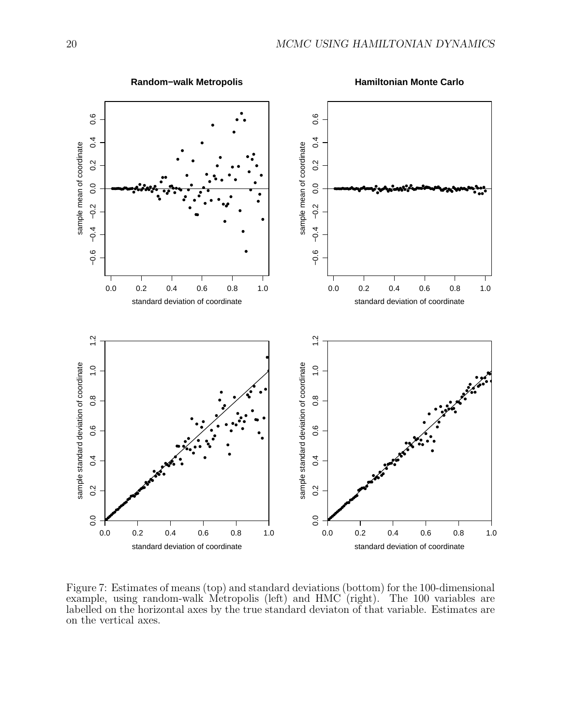

<span id="page-19-0"></span>Figure 7: Estimates of means (top) and standard deviations (bottom) for the 100-dimensional example, using random-walk Metropolis (left) and HMC (right). The 100 variables are labelled on the horizontal axes by the true standard deviaton of that variable. Estimates are on the vertical axes.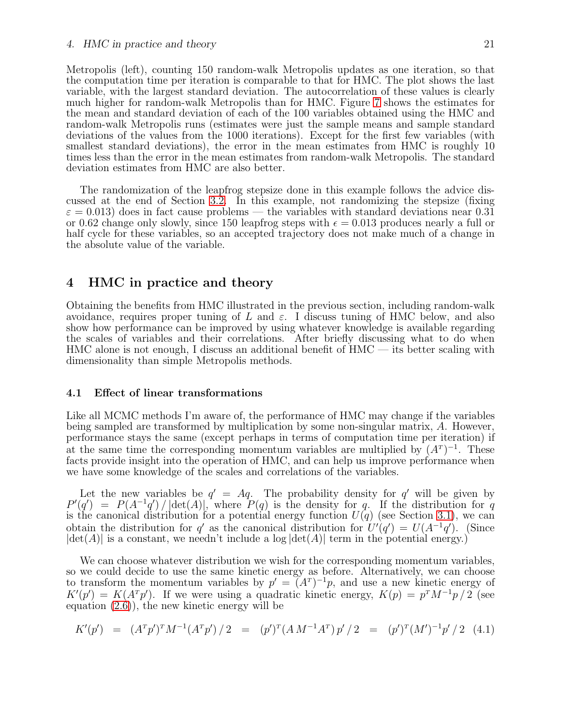Metropolis (left), counting 150 random-walk Metropolis updates as one iteration, so that the computation time per iteration is comparable to that for HMC. The plot shows the last variable, with the largest standard deviation. The autocorrelation of these values is clearly much higher for random-walk Metropolis than for HMC. Figure [7](#page-19-0) shows the estimates for the mean and standard deviation of each of the 100 variables obtained using the HMC and random-walk Metropolis runs (estimates were just the sample means and sample standard deviations of the values from the 1000 iterations). Except for the first few variables (with smallest standard deviations), the error in the mean estimates from HMC is roughly 10 times less than the error in the mean estimates from random-walk Metropolis. The standard deviation estimates from HMC are also better.

The randomization of the leapfrog stepsize done in this example follows the advice discussed at the end of Section [3.2.](#page-10-3) In this example, not randomizing the stepsize (fixing  $\varepsilon = 0.013$ ) does in fact cause problems — the variables with standard deviations near 0.31 or 0.62 change only slowly, since 150 leapfrog steps with  $\epsilon = 0.013$  produces nearly a full or half cycle for these variables, so an accepted trajectory does not make much of a change in the absolute value of the variable.

## <span id="page-20-0"></span>4 HMC in practice and theory

Obtaining the benefits from HMC illustrated in the previous section, including random-walk avoidance, requires proper tuning of L and  $\varepsilon$ . I discuss tuning of HMC below, and also show how performance can be improved by using whatever knowledge is available regarding the scales of variables and their correlations. After briefly discussing what to do when HMC alone is not enough, I discuss an additional benefit of HMC — its better scaling with dimensionality than simple Metropolis methods.

#### <span id="page-20-1"></span>4.1 Effect of linear transformations

Like all MCMC methods I'm aware of, the performance of HMC may change if the variables being sampled are transformed by multiplication by some non-singular matrix, A. However, performance stays the same (except perhaps in terms of computation time per iteration) if at the same time the corresponding momentum variables are multiplied by  $(A<sup>T</sup>)<sup>-1</sup>$ . These facts provide insight into the operation of HMC, and can help us improve performance when we have some knowledge of the scales and correlations of the variables.

Let the new variables be  $q' = Aq$ . The probability density for  $q'$  will be given by  $P'(q') = P(A^{-1}q') / |\text{det}(A)|$ , where  $P(q)$  is the density for q. If the distribution for q is the canonical distribution for a potential energy function  $U(q)$  (see Section [3.1\)](#page-10-0), we can obtain the distribution for q' as the canonical distribution for  $U'(q') = U(A^{-1}q')$ . (Since  $|\text{det}(A)|$  is a constant, we needn't include a log  $|\text{det}(A)|$  term in the potential energy.)

We can choose whatever distribution we wish for the corresponding momentum variables, so we could decide to use the same kinetic energy as before. Alternatively, we can choose to transform the momentum variables by  $p' = (A^T)^{-1}p$ , and use a new kinetic energy of  $K'(p') = K(A^T p')$ . If we were using a quadratic kinetic energy,  $K(p) = p^T M^{-1} p / 2$  (see equation [\(2.6\)](#page-2-2)), the new kinetic energy will be

<span id="page-20-2"></span>
$$
K'(p') = (A^T p')^T M^{-1} (A^T p') / 2 = (p')^T (A M^{-1} A^T) p' / 2 = (p')^T (M')^{-1} p' / 2
$$
 (4.1)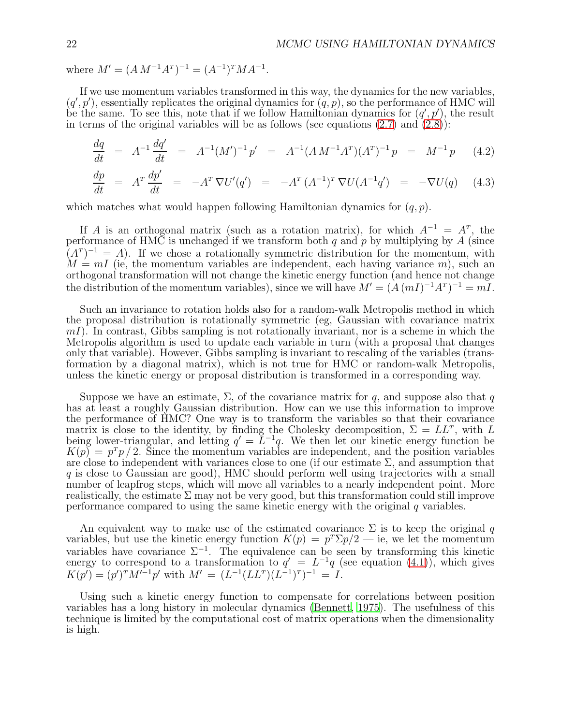where  $M' = (AM^{-1}A^T)^{-1} = (A^{-1})^T MA^{-1}$ .

If we use momentum variables transformed in this way, the dynamics for the new variables,  $(q', p')$ , essentially replicates the original dynamics for  $(q, p)$ , so the performance of HMC will be the same. To see this, note that if we follow Hamiltonian dynamics for  $(q', p')$ , the result in terms of the original variables will be as follows (see equations  $(2.7)$  and  $(2.8)$ ):

$$
\frac{dq}{dt} = A^{-1} \frac{dq'}{dt} = A^{-1} (M')^{-1} p' = A^{-1} (A M^{-1} A^T) (A^T)^{-1} p = M^{-1} p \quad (4.2)
$$

$$
\frac{dp}{dt} = A^T \frac{dp'}{dt} = -A^T \nabla U'(q') = -A^T (A^{-1})^T \nabla U (A^{-1} q') = -\nabla U(q) \quad (4.3)
$$

which matches what would happen following Hamiltonian dynamics for  $(q, p)$ .

If A is an orthogonal matrix (such as a rotation matrix), for which  $A^{-1} = A^{T}$ , the performance of HMC is unchanged if we transform both  $q$  and  $p$  by multiplying by  $A$  (since  $(A<sup>T</sup>)<sup>-1</sup> = A$ ). If we chose a rotationally symmetric distribution for the momentum, with  $M = mI$  (ie, the momentum variables are independent, each having variance m), such an orthogonal transformation will not change the kinetic energy function (and hence not change the distribution of the momentum variables), since we will have  $M' = (A(mI)^{-1}A^T)^{-1} = mI$ .

Such an invariance to rotation holds also for a random-walk Metropolis method in which the proposal distribution is rotationally symmetric (eg, Gaussian with covariance matrix  $mI$ ). In contrast, Gibbs sampling is not rotationally invariant, nor is a scheme in which the Metropolis algorithm is used to update each variable in turn (with a proposal that changes only that variable). However, Gibbs sampling is invariant to rescaling of the variables (transformation by a diagonal matrix), which is not true for HMC or random-walk Metropolis, unless the kinetic energy or proposal distribution is transformed in a corresponding way.

Suppose we have an estimate,  $\Sigma$ , of the covariance matrix for q, and suppose also that q has at least a roughly Gaussian distribution. How can we use this information to improve the performance of HMC? One way is to transform the variables so that their covariance matrix is close to the identity, by finding the Cholesky decomposition,  $\Sigma = LL^T$ , with L being lower-triangular, and letting  $q' = L^{-1}q$ . We then let our kinetic energy function be  $K(p) = p^T p / 2$ . Since the momentum variables are independent, and the position variables are close to independent with variances close to one (if our estimate  $\Sigma$ , and assumption that q is close to Gaussian are good), HMC should perform well using trajectories with a small number of leapfrog steps, which will move all variables to a nearly independent point. More realistically, the estimate  $\Sigma$  may not be very good, but this transformation could still improve performance compared to using the same kinetic energy with the original  $q$  variables.

An equivalent way to make use of the estimated covariance  $\Sigma$  is to keep the original q variables, but use the kinetic energy function  $K(p) = p^T \Sigma p/2$  — ie, we let the momentum variables have covariance  $\Sigma^{-1}$ . The equivalence can be seen by transforming this kinetic energy to correspond to a transformation to  $q' = L^{-1}q$  (see equation [\(4.1\)](#page-20-2)), which gives  $K(p') = (p')^T M'^{-1} p'$  with  $M' = (L^{-1}(LL^T)(L^{-1})^T)^{-1} = I$ .

Using such a kinetic energy function to compensate for correlations between position variables has a long history in molecular dynamics [\(Bennett](#page-48-5), [1975](#page-48-5)). The usefulness of this technique is limited by the computational cost of matrix operations when the dimensionality is high.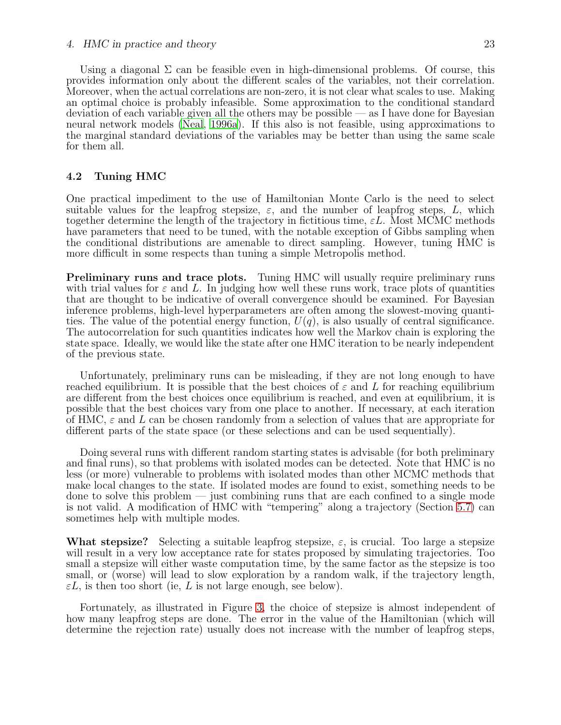Using a diagonal  $\Sigma$  can be feasible even in high-dimensional problems. Of course, this provides information only about the different scales of the variables, not their correlation. Moreover, when the actual correlations are non-zero, it is not clear what scales to use. Making an optimal choice is probably infeasible. Some approximation to the conditional standard deviation of each variable given all the others may be possible — as I have done for Bayesian neural network models [\(Neal](#page-49-1), [1996a](#page-49-1)). If this also is not feasible, using approximations to the marginal standard deviations of the variables may be better than using the same scale for them all.

#### <span id="page-22-0"></span>4.2 Tuning HMC

One practical impediment to the use of Hamiltonian Monte Carlo is the need to select suitable values for the leapfrog stepsize,  $\varepsilon$ , and the number of leapfrog steps, L, which together determine the length of the trajectory in fictitious time,  $\varepsilon L$ . Most MCMC methods have parameters that need to be tuned, with the notable exception of Gibbs sampling when the conditional distributions are amenable to direct sampling. However, tuning HMC is more difficult in some respects than tuning a simple Metropolis method.

Preliminary runs and trace plots. Tuning HMC will usually require preliminary runs with trial values for  $\varepsilon$  and L. In judging how well these runs work, trace plots of quantities that are thought to be indicative of overall convergence should be examined. For Bayesian inference problems, high-level hyperparameters are often among the slowest-moving quantities. The value of the potential energy function,  $U(q)$ , is also usually of central significance. The autocorrelation for such quantities indicates how well the Markov chain is exploring the state space. Ideally, we would like the state after one HMC iteration to be nearly independent of the previous state.

Unfortunately, preliminary runs can be misleading, if they are not long enough to have reached equilibrium. It is possible that the best choices of  $\varepsilon$  and L for reaching equilibrium are different from the best choices once equilibrium is reached, and even at equilibrium, it is possible that the best choices vary from one place to another. If necessary, at each iteration of HMC,  $\varepsilon$  and L can be chosen randomly from a selection of values that are appropriate for different parts of the state space (or these selections and can be used sequentially).

Doing several runs with different random starting states is advisable (for both preliminary and final runs), so that problems with isolated modes can be detected. Note that HMC is no less (or more) vulnerable to problems with isolated modes than other MCMC methods that make local changes to the state. If isolated modes are found to exist, something needs to be done to solve this problem — just combining runs that are each confined to a single mode is not valid. A modification of HMC with "tempering" along a trajectory (Section [5.7\)](#page-45-0) can sometimes help with multiple modes.

**What stepsize?** Selecting a suitable leapfrog stepsize,  $\varepsilon$ , is crucial. Too large a stepsize will result in a very low acceptance rate for states proposed by simulating trajectories. Too small a stepsize will either waste computation time, by the same factor as the stepsize is too small, or (worse) will lead to slow exploration by a random walk, if the trajectory length,  $\varepsilon$ L, is then too short (ie, L is not large enough, see below).

Fortunately, as illustrated in Figure [3,](#page-15-0) the choice of stepsize is almost independent of how many leapfrog steps are done. The error in the value of the Hamiltonian (which will determine the rejection rate) usually does not increase with the number of leapfrog steps,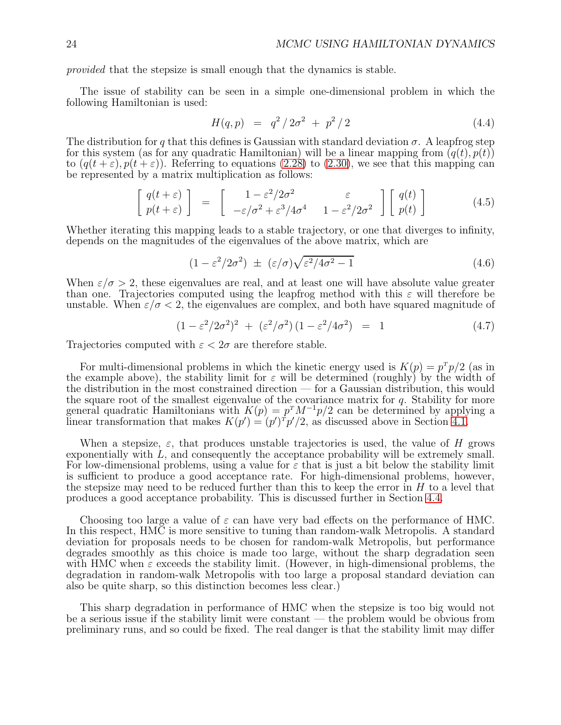*provided* that the stepsize is small enough that the dynamics is stable.

The issue of stability can be seen in a simple one-dimensional problem in which the following Hamiltonian is used:

$$
H(q, p) = q^2 / 2\sigma^2 + p^2 / 2 \tag{4.4}
$$

The distribution for q that this defines is Gaussian with standard deviation  $\sigma$ . A leapfrog step for this system (as for any quadratic Hamiltonian) will be a linear mapping from  $(q(t), p(t))$ to  $(q(t+\varepsilon), p(t+\varepsilon))$ . Referring to equations [\(2.28\)](#page-7-1) to [\(2.30\)](#page-7-1), we see that this mapping can be represented by a matrix multiplication as follows:

$$
\begin{bmatrix} q(t+\varepsilon) \\ p(t+\varepsilon) \end{bmatrix} = \begin{bmatrix} 1-\varepsilon^2/2\sigma^2 & \varepsilon \\ -\varepsilon/\sigma^2 + \varepsilon^3/4\sigma^4 & 1-\varepsilon^2/2\sigma^2 \end{bmatrix} \begin{bmatrix} q(t) \\ p(t) \end{bmatrix}
$$
(4.5)

Whether iterating this mapping leads to a stable trajectory, or one that diverges to infinity, depends on the magnitudes of the eigenvalues of the above matrix, which are

$$
(1 - \varepsilon^2 / 2\sigma^2) \pm (\varepsilon / \sigma) \sqrt{\varepsilon^2 / 4\sigma^2 - 1} \tag{4.6}
$$

When  $\varepsilon/\sigma > 2$ , these eigenvalues are real, and at least one will have absolute value greater than one. Trajectories computed using the leapfrog method with this  $\varepsilon$  will therefore be unstable. When  $\varepsilon/\sigma < 2$ , the eigenvalues are complex, and both have squared magnitude of

$$
(1 - \varepsilon^2 / 2\sigma^2)^2 + (\varepsilon^2 / \sigma^2) (1 - \varepsilon^2 / 4\sigma^2) = 1 \tag{4.7}
$$

Trajectories computed with  $\varepsilon < 2\sigma$  are therefore stable.

For multi-dimensional problems in which the kinetic energy used is  $K(p) = p^T p/2$  (as in the example above), the stability limit for  $\varepsilon$  will be determined (roughly) by the width of the distribution in the most constrained direction — for a Gaussian distribution, this would the square root of the smallest eigenvalue of the covariance matrix for q. Stability for more general quadratic Hamiltonians with  $K(p) = p^T M^{-1} p/2$  can be determined by applying a linear transformation that makes  $K(p') = (p')^T p'/2$ , as discussed above in Section [4.1.](#page-20-1)

When a stepsize,  $\varepsilon$ , that produces unstable trajectories is used, the value of H grows exponentially with L, and consequently the acceptance probability will be extremely small. For low-dimensional problems, using a value for  $\varepsilon$  that is just a bit below the stability limit is sufficient to produce a good acceptance rate. For high-dimensional problems, however, the stepsize may need to be reduced further than this to keep the error in  $H$  to a level that produces a good acceptance probability. This is discussed further in Section [4.4.](#page-26-0)

Choosing too large a value of  $\varepsilon$  can have very bad effects on the performance of HMC. In this respect, HMC is more sensitive to tuning than random-walk Metropolis. A standard deviation for proposals needs to be chosen for random-walk Metropolis, but performance degrades smoothly as this choice is made too large, without the sharp degradation seen with HMC when  $\varepsilon$  exceeds the stability limit. (However, in high-dimensional problems, the degradation in random-walk Metropolis with too large a proposal standard deviation can also be quite sharp, so this distinction becomes less clear.)

This sharp degradation in performance of HMC when the stepsize is too big would not be a serious issue if the stability limit were constant — the problem would be obvious from preliminary runs, and so could be fixed. The real danger is that the stability limit may differ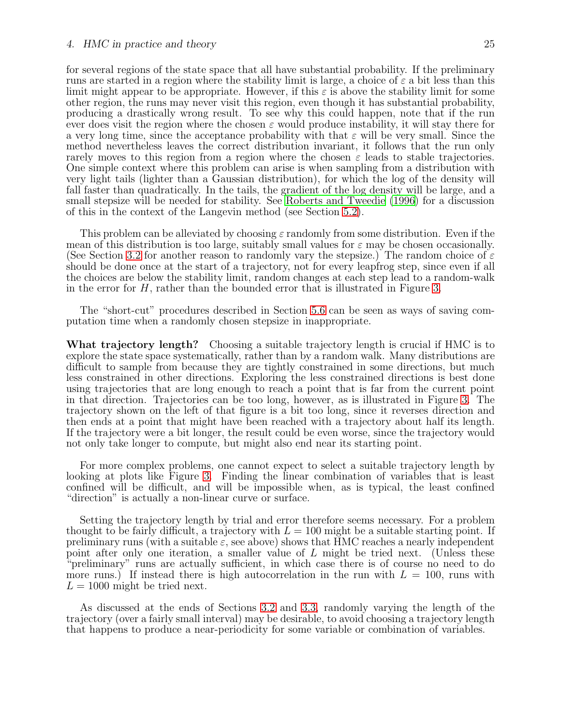for several regions of the state space that all have substantial probability. If the preliminary runs are started in a region where the stability limit is large, a choice of  $\varepsilon$  a bit less than this limit might appear to be appropriate. However, if this  $\varepsilon$  is above the stability limit for some other region, the runs may never visit this region, even though it has substantial probability, producing a drastically wrong result. To see why this could happen, note that if the run ever does visit the region where the chosen  $\varepsilon$  would produce instability, it will stay there for a very long time, since the acceptance probability with that  $\varepsilon$  will be very small. Since the method nevertheless leaves the correct distribution invariant, it follows that the run only rarely moves to this region from a region where the chosen  $\varepsilon$  leads to stable trajectories. One simple context where this problem can arise is when sampling from a distribution with very light tails (lighter than a Gaussian distribution), for which the log of the density will fall faster than quadratically. In the tails, the gradient of the log density will be large, and a small stepsize will be needed for stability. See [Roberts and Tweedie \(1996\)](#page-50-1) for a discussion of this in the context of the Langevin method (see Section [5.2\)](#page-36-0).

This problem can be alleviated by choosing  $\varepsilon$  randomly from some distribution. Even if the mean of this distribution is too large, suitably small values for  $\varepsilon$  may be chosen occasionally. (See Section [3.2](#page-10-3) for another reason to randomly vary the stepsize.) The random choice of  $\varepsilon$ should be done once at the start of a trajectory, not for every leapfrog step, since even if all the choices are below the stability limit, random changes at each step lead to a random-walk in the error for  $H$ , rather than the bounded error that is illustrated in Figure [3.](#page-15-0)

The "short-cut" procedures described in Section [5.6](#page-43-0) can be seen as ways of saving computation time when a randomly chosen stepsize in inappropriate.

What trajectory length? Choosing a suitable trajectory length is crucial if HMC is to explore the state space systematically, rather than by a random walk. Many distributions are difficult to sample from because they are tightly constrained in some directions, but much less constrained in other directions. Exploring the less constrained directions is best done using trajectories that are long enough to reach a point that is far from the current point in that direction. Trajectories can be too long, however, as is illustrated in Figure [3.](#page-15-0) The trajectory shown on the left of that figure is a bit too long, since it reverses direction and then ends at a point that might have been reached with a trajectory about half its length. If the trajectory were a bit longer, the result could be even worse, since the trajectory would not only take longer to compute, but might also end near its starting point.

For more complex problems, one cannot expect to select a suitable trajectory length by looking at plots like Figure [3.](#page-15-0) Finding the linear combination of variables that is least confined will be difficult, and will be impossible when, as is typical, the least confined "direction" is actually a non-linear curve or surface.

Setting the trajectory length by trial and error therefore seems necessary. For a problem thought to be fairly difficult, a trajectory with  $L = 100$  might be a suitable starting point. If preliminary runs (with a suitable  $\varepsilon$ , see above) shows that HMC reaches a nearly independent point after only one iteration, a smaller value of  $L$  might be tried next. (Unless these "preliminary" runs are actually sufficient, in which case there is of course no need to do more runs.) If instead there is high autocorrelation in the run with  $L = 100$ , runs with  $L = 1000$  might be tried next.

As discussed at the ends of Sections [3.2](#page-10-3) and [3.3,](#page-14-0) randomly varying the length of the trajectory (over a fairly small interval) may be desirable, to avoid choosing a trajectory length that happens to produce a near-periodicity for some variable or combination of variables.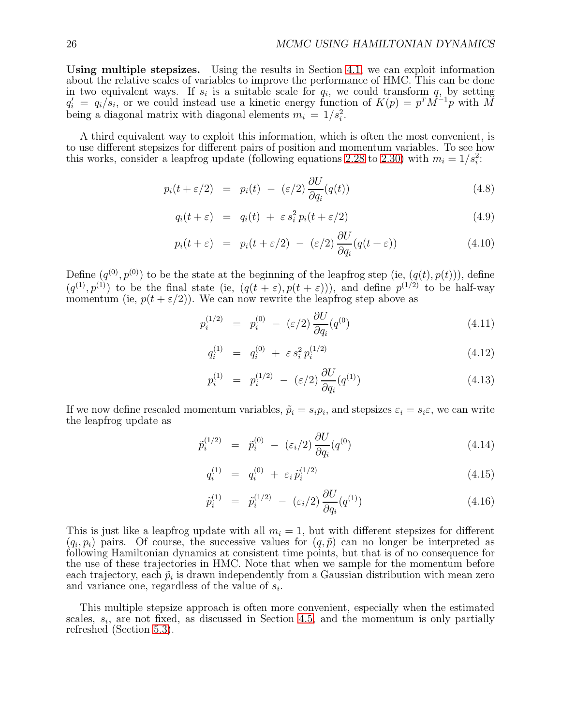Using multiple stepsizes. Using the results in Section [4.1,](#page-20-1) we can exploit information about the relative scales of variables to improve the performance of HMC. This can be done in two equivalent ways. If  $s_i$  is a suitable scale for  $q_i$ , we could transform  $q$ , by setting  $q'_i = q_i/s_i$ , or we could instead use a kinetic energy function of  $K(p) = p^T M^{-1} p$  with M being a diagonal matrix with diagonal elements  $m_i = 1/s_i^2$ .

A third equivalent way to exploit this information, which is often the most convenient, is to use different stepsizes for different pairs of position and momentum variables. To see how this works, consider a leapfrog update (following equations [2.28](#page-7-1) to [2.30\)](#page-7-1) with  $m_i = 1/s_i^2$ :

$$
p_i(t + \varepsilon/2) = p_i(t) - (\varepsilon/2) \frac{\partial U}{\partial q_i}(q(t)) \tag{4.8}
$$

$$
q_i(t+\varepsilon) = q_i(t) + \varepsilon s_i^2 p_i(t+\varepsilon/2)
$$
\n(4.9)

$$
p_i(t+\varepsilon) = p_i(t+\varepsilon/2) - (\varepsilon/2) \frac{\partial U}{\partial q_i} (q(t+\varepsilon)) \tag{4.10}
$$

Define  $(q^{(0)}, p^{(0)})$  to be the state at the beginning of the leapfrog step (ie,  $(q(t), p(t))$ ), define  $(q^{(1)}, p^{(1)})$  to be the final state (ie,  $(q(t + \varepsilon), p(t + \varepsilon))$ ), and define  $p^{(1/2)}$  to be half-way momentum (ie,  $p(t + \varepsilon/2)$ ). We can now rewrite the leapfrog step above as

$$
p_i^{(1/2)} = p_i^{(0)} - (\varepsilon/2) \frac{\partial U}{\partial q_i} (q^{(0)})
$$
\n(4.11)

$$
q_i^{(1)} = q_i^{(0)} + \varepsilon s_i^2 p_i^{(1/2)}
$$
\n(4.12)

$$
p_i^{(1)} = p_i^{(1/2)} - (\varepsilon/2) \frac{\partial U}{\partial q_i} (q^{(1)}) \tag{4.13}
$$

If we now define rescaled momentum variables,  $\tilde{p}_i = s_i p_i$ , and stepsizes  $\varepsilon_i = s_i \varepsilon$ , we can write the leapfrog update as

$$
\tilde{p}_i^{(1/2)} = \tilde{p}_i^{(0)} - (\varepsilon_i/2) \frac{\partial U}{\partial q_i} (q^{(0)} \tag{4.14}
$$

$$
q_i^{(1)} = q_i^{(0)} + \varepsilon_i \, \tilde{p}_i^{(1/2)} \tag{4.15}
$$

$$
\tilde{p}_i^{(1)} = \tilde{p}_i^{(1/2)} - (\varepsilon_i/2) \frac{\partial U}{\partial q_i}(q^{(1)}) \tag{4.16}
$$

This is just like a leapfrog update with all  $m_i = 1$ , but with different stepsizes for different  $(q_i, p_i)$  pairs. Of course, the successive values for  $(q, \tilde{p})$  can no longer be interpreted as following Hamiltonian dynamics at consistent time points, but that is of no consequence for the use of these trajectories in HMC. Note that when we sample for the momentum before each trajectory, each  $\tilde{p}_i$  is drawn independently from a Gaussian distribution with mean zero and variance one, regardless of the value of  $s_i$ .

This multiple stepsize approach is often more convenient, especially when the estimated scales,  $s_i$ , are not fixed, as discussed in Section [4.5,](#page-30-0) and the momentum is only partially refreshed (Section [5.3\)](#page-38-0).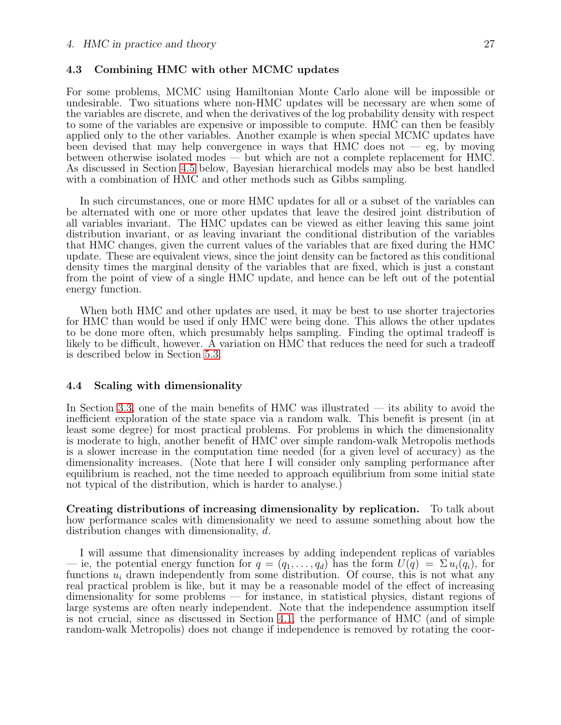#### <span id="page-26-1"></span>4.3 Combining HMC with other MCMC updates

For some problems, MCMC using Hamiltonian Monte Carlo alone will be impossible or undesirable. Two situations where non-HMC updates will be necessary are when some of the variables are discrete, and when the derivatives of the log probability density with respect to some of the variables are expensive or impossible to compute. HMC can then be feasibly applied only to the other variables. Another example is when special MCMC updates have been devised that may help convergence in ways that  $HMC$  does not  $-$  eg, by moving between otherwise isolated modes — but which are not a complete replacement for HMC. As discussed in Section [4.5](#page-30-0) below, Bayesian hierarchical models may also be best handled with a combination of HMC and other methods such as Gibbs sampling.

In such circumstances, one or more HMC updates for all or a subset of the variables can be alternated with one or more other updates that leave the desired joint distribution of all variables invariant. The HMC updates can be viewed as either leaving this same joint distribution invariant, or as leaving invariant the conditional distribution of the variables that HMC changes, given the current values of the variables that are fixed during the HMC update. These are equivalent views, since the joint density can be factored as this conditional density times the marginal density of the variables that are fixed, which is just a constant from the point of view of a single HMC update, and hence can be left out of the potential energy function.

When both HMC and other updates are used, it may be best to use shorter trajectories for HMC than would be used if only HMC were being done. This allows the other updates to be done more often, which presumably helps sampling. Finding the optimal tradeoff is likely to be difficult, however. A variation on HMC that reduces the need for such a tradeoff is described below in Section [5.3.](#page-38-0)

#### <span id="page-26-0"></span>4.4 Scaling with dimensionality

In Section [3.3,](#page-14-0) one of the main benefits of HMC was illustrated — its ability to avoid the inefficient exploration of the state space via a random walk. This benefit is present (in at least some degree) for most practical problems. For problems in which the dimensionality is moderate to high, another benefit of HMC over simple random-walk Metropolis methods is a slower increase in the computation time needed (for a given level of accuracy) as the dimensionality increases. (Note that here I will consider only sampling performance after equilibrium is reached, not the time needed to approach equilibrium from some initial state not typical of the distribution, which is harder to analyse.)

Creating distributions of increasing dimensionality by replication. To talk about how performance scales with dimensionality we need to assume something about how the distribution changes with dimensionality, d.

I will assume that dimensionality increases by adding independent replicas of variables — ie, the potential energy function for  $q = (q_1, \ldots, q_d)$  has the form  $U(q) = \sum u_i(q_i)$ , for functions  $u_i$  drawn independently from some distribution. Of course, this is not what any real practical problem is like, but it may be a reasonable model of the effect of increasing dimensionality for some problems — for instance, in statistical physics, distant regions of large systems are often nearly independent. Note that the independence assumption itself is not crucial, since as discussed in Section [4.1,](#page-20-1) the performance of HMC (and of simple random-walk Metropolis) does not change if independence is removed by rotating the coor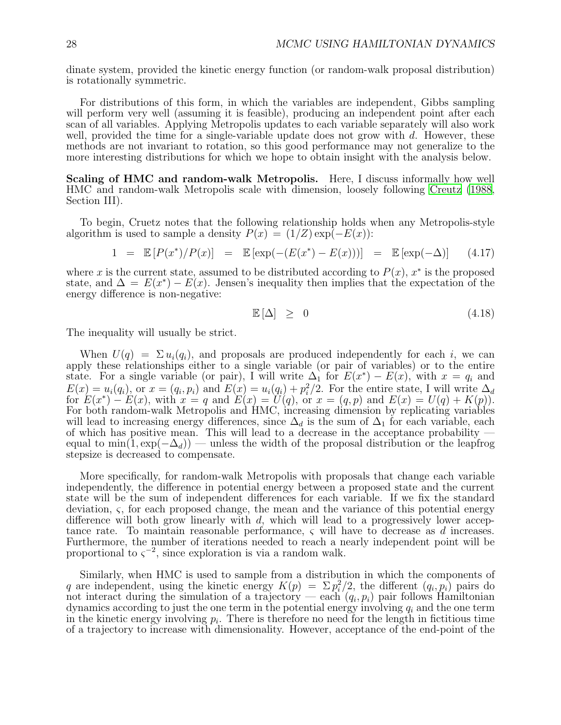dinate system, provided the kinetic energy function (or random-walk proposal distribution) is rotationally symmetric.

For distributions of this form, in which the variables are independent, Gibbs sampling will perform very well (assuming it is feasible), producing an independent point after each scan of all variables. Applying Metropolis updates to each variable separately will also work well, provided the time for a single-variable update does not grow with  $d$ . However, these methods are not invariant to rotation, so this good performance may not generalize to the more interesting distributions for which we hope to obtain insight with the analysis below.

Scaling of HMC and random-walk Metropolis. Here, I discuss informally how well HMC and random-walk Metropolis scale with dimension, loosely following [Creutz \(1988,](#page-48-6) Section III.

To begin, Cruetz notes that the following relationship holds when any Metropolis-style algorithm is used to sample a density  $P(x) = (1/Z) \exp(-E(x))$ :

<span id="page-27-0"></span>
$$
1 = \mathbb{E}[P(x^*)/P(x)] = \mathbb{E}[\exp(-(E(x^*) - E(x)))] = \mathbb{E}[\exp(-\Delta)] \quad (4.17)
$$

where x is the current state, assumed to be distributed according to  $P(x)$ ,  $x^*$  is the proposed state, and  $\Delta = E(x^*) - E(x)$ . Jensen's inequality then implies that the expectation of the energy difference is non-negative:

$$
\mathbb{E}\left[\Delta\right] \geq 0 \tag{4.18}
$$

The inequality will usually be strict.

When  $U(q) = \Sigma u_i(q_i)$ , and proposals are produced independently for each i, we can apply these relationships either to a single variable (or pair of variables) or to the entire state. For a single variable (or pair), I will write  $\Delta_1$  for  $E(x^*) - E(x)$ , with  $x = q_i$  and  $E(x) = u_i(q_i)$ , or  $x = (q_i, p_i)$  and  $E(x) = u_i(q_i) + p_i^2/2$ . For the entire state, I will write  $\Delta_d$ for  $E(x^*) - E(x)$ , with  $x = q$  and  $E(x) = U(q)$ , or  $x = (q, p)$  and  $E(x) = U(q) + K(p)$ . For both random-walk Metropolis and HMC, increasing dimension by replicating variables will lead to increasing energy differences, since  $\Delta_d$  is the sum of  $\Delta_1$  for each variable, each of which has positive mean. This will lead to a decrease in the acceptance probability equal to  $\min(1, \exp(-\Delta_d))$  — unless the width of the proposal distribution or the leapfrog stepsize is decreased to compensate.

More specifically, for random-walk Metropolis with proposals that change each variable independently, the difference in potential energy between a proposed state and the current state will be the sum of independent differences for each variable. If we fix the standard deviation, ς, for each proposed change, the mean and the variance of this potential energy difference will both grow linearly with  $d$ , which will lead to a progressively lower acceptance rate. To maintain reasonable performance,  $\varsigma$  will have to decrease as d increases. Furthermore, the number of iterations needed to reach a nearly independent point will be proportional to  $\zeta^{-2}$ , since exploration is via a random walk.

Similarly, when HMC is used to sample from a distribution in which the components of q are independent, using the kinetic energy  $K(p) = \sum p_i^2/2$ , the different  $(q_i, p_i)$  pairs do not interact during the simulation of a trajectory — each  $(q_i, p_i)$  pair follows Hamiltonian dynamics according to just the one term in the potential energy involving  $q_i$  and the one term in the kinetic energy involving  $p_i$ . There is therefore no need for the length in fictitious time of a trajectory to increase with dimensionality. However, acceptance of the end-point of the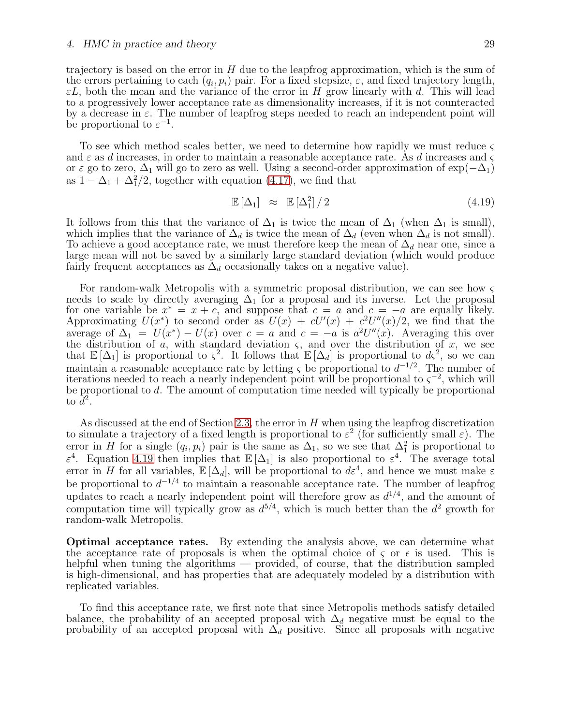trajectory is based on the error in  $H$  due to the leapfrog approximation, which is the sum of the errors pertaining to each  $(q_i, p_i)$  pair. For a fixed stepsize,  $\varepsilon$ , and fixed trajectory length,  $\varepsilon L$ , both the mean and the variance of the error in H grow linearly with d. This will lead to a progressively lower acceptance rate as dimensionality increases, if it is not counteracted by a decrease in  $\varepsilon$ . The number of leapfrog steps needed to reach an independent point will be proportional to  $\varepsilon^{-1}$ .

To see which method scales better, we need to determine how rapidly we must reduce  $\varsigma$ and  $\varepsilon$  as d increases, in order to maintain a reasonable acceptance rate. As d increases and  $\varsigma$ or  $\varepsilon$  go to zero,  $\Delta_1$  will go to zero as well. Using a second-order approximation of exp( $-\Delta_1$ ) as  $1 - \Delta_1 + \Delta_1^2/2$ , together with equation [\(4.17\)](#page-27-0), we find that

<span id="page-28-0"></span>
$$
\mathbb{E}\left[\Delta_1\right] \approx \mathbb{E}\left[\Delta_1^2\right]/2 \tag{4.19}
$$

It follows from this that the variance of  $\Delta_1$  is twice the mean of  $\Delta_1$  (when  $\Delta_1$  is small), which implies that the variance of  $\Delta_d$  is twice the mean of  $\Delta_d$  (even when  $\Delta_d$  is not small). To achieve a good acceptance rate, we must therefore keep the mean of  $\Delta_d$  near one, since a large mean will not be saved by a similarly large standard deviation (which would produce fairly frequent acceptances as  $\Delta_d$  occasionally takes on a negative value).

For random-walk Metropolis with a symmetric proposal distribution, we can see how  $\varsigma$ needs to scale by directly averaging  $\Delta_1$  for a proposal and its inverse. Let the proposal for one variable be  $x^* = x + c$ , and suppose that  $c = a$  and  $c = -a$  are equally likely. Approximating  $U(x^*)$  to second order as  $U(x) + cU'(x) + c^2U''(x)/2$ , we find that the average of  $\Delta_1 = U(x^*) - U(x)$  over  $c = a$  and  $c = -a$  is  $a^2U''(x)$ . Averaging this over the distribution of a, with standard deviation  $\varsigma$ , and over the distribution of x, we see that  $\mathbb{E}[\Delta_1]$  is proportional to  $\zeta^2$ . It follows that  $\mathbb{E}[\Delta_d]$  is proportional to  $d\zeta^2$ , so we can maintain a reasonable acceptance rate by letting  $\varsigma$  be proportional to  $d^{-1/2}$ . The number of iterations needed to reach a nearly independent point will be proportional to  $\zeta^{-2}$ , which will be proportional to d. The amount of computation time needed will typically be proportional to  $\tilde{d}^2$ .

As discussed at the end of Section [2.3,](#page-6-0) the error in  $H$  when using the leapfrog discretization to simulate a trajectory of a fixed length is proportional to  $\varepsilon^2$  (for sufficiently small  $\varepsilon$ ). The error in H for a single  $(q_i, p_i)$  pair is the same as  $\Delta_1$ , so we see that  $\Delta_1^2$  is proportional to  $\varepsilon^4$ . Equation [4.19](#page-28-0) then implies that  $\mathbb{E}[\Delta_1]$  is also proportional to  $\varepsilon^4$ . The average total error in H for all variables,  $\mathbb{E}[\Delta_d]$ , will be proportional to  $d\varepsilon^4$ , and hence we must make  $\varepsilon$ be proportional to  $d^{-1/4}$  to maintain a reasonable acceptance rate. The number of leapfrog updates to reach a nearly independent point will therefore grow as  $d^{1/4}$ , and the amount of computation time will typically grow as  $d^{5/4}$ , which is much better than the  $d^2$  growth for random-walk Metropolis.

Optimal acceptance rates. By extending the analysis above, we can determine what the acceptance rate of proposals is when the optimal choice of  $\varsigma$  or  $\epsilon$  is used. This is helpful when tuning the algorithms — provided, of course, that the distribution sampled is high-dimensional, and has properties that are adequately modeled by a distribution with replicated variables.

To find this acceptance rate, we first note that since Metropolis methods satisfy detailed balance, the probability of an accepted proposal with  $\Delta_d$  negative must be equal to the probability of an accepted proposal with  $\Delta_d$  positive. Since all proposals with negative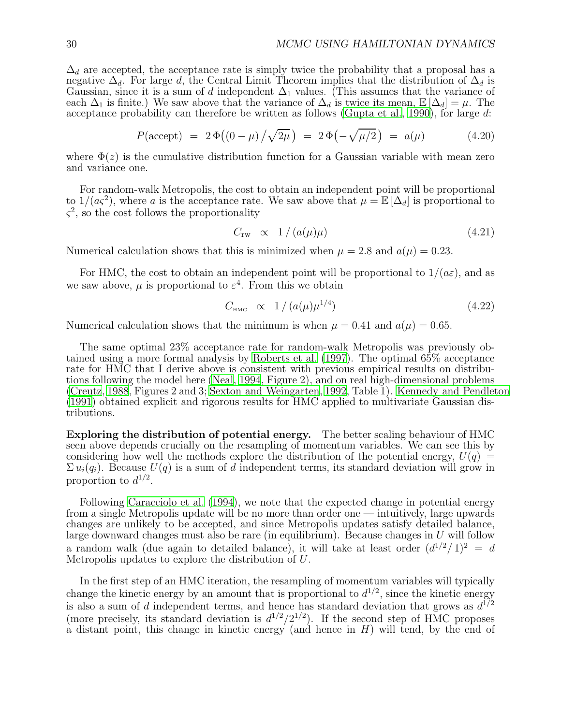$\Delta_d$  are accepted, the acceptance rate is simply twice the probability that a proposal has a negative  $\Delta_d$ . For large d, the Central Limit Theorem implies that the distribution of  $\Delta_d$  is Gaussian, since it is a sum of d independent  $\Delta_1$  values. (This assumes that the variance of each  $\Delta_1$  is finite.) We saw above that the variance of  $\Delta_d$  is twice its mean,  $\mathbb{E}[\Delta_d] = \mu$ . The acceptance probability can therefore be written as follows [\(Gupta](#page-48-7) et al., [1990](#page-48-7)), for large d:

<span id="page-29-0"></span>
$$
P(\text{accept}) = 2\Phi((0-\mu)/\sqrt{2\mu}) = 2\Phi(-\sqrt{\mu/2}) = a(\mu) \tag{4.20}
$$

where  $\Phi(z)$  is the cumulative distribution function for a Gaussian variable with mean zero and variance one.

For random-walk Metropolis, the cost to obtain an independent point will be proportional to  $1/(a\varsigma^2)$ , where a is the acceptance rate. We saw above that  $\mu = \mathbb{E}[\Delta_d]$  is proportional to  $\varsigma^2$ , so the cost follows the proportionality

$$
C_{\text{rw}} \propto 1/(a(\mu)\mu) \tag{4.21}
$$

Numerical calculation shows that this is minimized when  $\mu = 2.8$  and  $a(\mu) = 0.23$ .

For HMC, the cost to obtain an independent point will be proportional to  $1/(a\epsilon)$ , and as we saw above,  $\mu$  is proportional to  $\varepsilon^4$ . From this we obtain

$$
C_{\text{HMC}} \propto 1/(a(\mu)\mu^{1/4}) \tag{4.22}
$$

Numerical calculation shows that the minimum is when  $\mu = 0.41$  and  $a(\mu) = 0.65$ .

The same optimal 23% acceptance rate for random-walk Metropolis was previously obtained using a more formal analysis by [Roberts et al. \(1997](#page-50-2)). The optimal 65% acceptance rate for HMC that I derive above is consistent with previous empirical results on distributions following the model here [\(Neal, 1994,](#page-49-6) Figure 2), and on real high-dimensional problems [\(Creutz](#page-48-6), [1988,](#page-48-6) Figures 2 and 3; [Sexton and Weingarten, 1992](#page-50-3), Table 1). [Kennedy and Pendleton](#page-49-7) [\(1991](#page-49-7)) obtained explicit and rigorous results for HMC applied to multivariate Gaussian distributions.

Exploring the distribution of potential energy. The better scaling behaviour of HMC seen above depends crucially on the resampling of momentum variables. We can see this by considering how well the methods explore the distribution of the potential energy,  $U(q)$  =  $\Sigma u_i(q_i)$ . Because  $U(q)$  is a sum of d independent terms, its standard deviation will grow in proportion to  $d^{1/2}$ .

Following [Caracciolo et al. \(1994](#page-48-8)), we note that the expected change in potential energy from a single Metropolis update will be no more than order one — intuitively, large upwards changes are unlikely to be accepted, and since Metropolis updates satisfy detailed balance, large downward changes must also be rare (in equilibrium). Because changes in  $U$  will follow a random walk (due again to detailed balance), it will take at least order  $(d^{1/2}/1)^2 = d$ Metropolis updates to explore the distribution of U.

In the first step of an HMC iteration, the resampling of momentum variables will typically change the kinetic energy by an amount that is proportional to  $d^{1/2}$ , since the kinetic energy is also a sum of d independent terms, and hence has standard deviation that grows as  $d^{1/2}$ (more precisely, its standard deviation is  $d^{1/2}/2^{1/2}$ ). If the second step of HMC proposes a distant point, this change in kinetic energy (and hence in  $H$ ) will tend, by the end of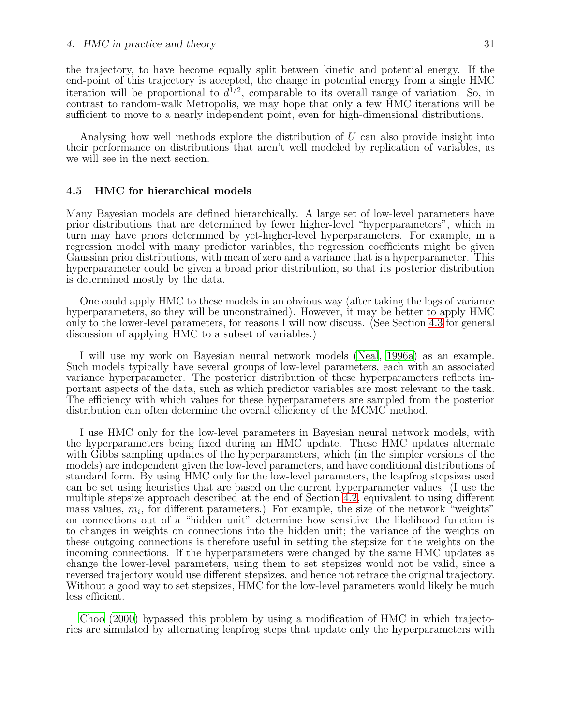the trajectory, to have become equally split between kinetic and potential energy. If the end-point of this trajectory is accepted, the change in potential energy from a single HMC iteration will be proportional to  $d^{1/2}$ , comparable to its overall range of variation. So, in contrast to random-walk Metropolis, we may hope that only a few HMC iterations will be sufficient to move to a nearly independent point, even for high-dimensional distributions.

Analysing how well methods explore the distribution of U can also provide insight into their performance on distributions that aren't well modeled by replication of variables, as we will see in the next section.

#### <span id="page-30-0"></span>4.5 HMC for hierarchical models

Many Bayesian models are defined hierarchically. A large set of low-level parameters have prior distributions that are determined by fewer higher-level "hyperparameters", which in turn may have priors determined by yet-higher-level hyperparameters. For example, in a regression model with many predictor variables, the regression coefficients might be given Gaussian prior distributions, with mean of zero and a variance that is a hyperparameter. This hyperparameter could be given a broad prior distribution, so that its posterior distribution is determined mostly by the data.

One could apply HMC to these models in an obvious way (after taking the logs of variance hyperparameters, so they will be unconstrained). However, it may be better to apply HMC only to the lower-level parameters, for reasons I will now discuss. (See Section [4.3](#page-26-1) for general discussion of applying HMC to a subset of variables.)

I will use my work on Bayesian neural network models [\(Neal](#page-49-1), [1996a\)](#page-49-1) as an example. Such models typically have several groups of low-level parameters, each with an associated variance hyperparameter. The posterior distribution of these hyperparameters reflects important aspects of the data, such as which predictor variables are most relevant to the task. The efficiency with which values for these hyperparameters are sampled from the posterior distribution can often determine the overall efficiency of the MCMC method.

I use HMC only for the low-level parameters in Bayesian neural network models, with the hyperparameters being fixed during an HMC update. These HMC updates alternate with Gibbs sampling updates of the hyperparameters, which (in the simpler versions of the models) are independent given the low-level parameters, and have conditional distributions of standard form. By using HMC only for the low-level parameters, the leapfrog stepsizes used can be set using heuristics that are based on the current hyperparameter values. (I use the multiple stepsize approach described at the end of Section [4.2,](#page-22-0) equivalent to using different mass values,  $m_i$ , for different parameters.) For example, the size of the network "weights" on connections out of a "hidden unit" determine how sensitive the likelihood function is to changes in weights on connections into the hidden unit; the variance of the weights on these outgoing connections is therefore useful in setting the stepsize for the weights on the incoming connections. If the hyperparameters were changed by the same HMC updates as change the lower-level parameters, using them to set stepsizes would not be valid, since a reversed trajectory would use different stepsizes, and hence not retrace the original trajectory. Without a good way to set stepsizes, HMC for the low-level parameters would likely be much less efficient.

[Choo \(2000\)](#page-48-9) bypassed this problem by using a modification of HMC in which trajectories are simulated by alternating leapfrog steps that update only the hyperparameters with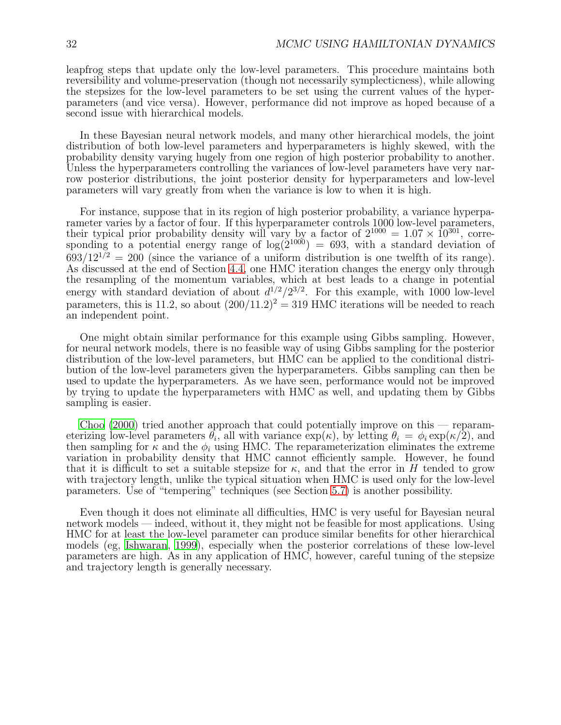leapfrog steps that update only the low-level parameters. This procedure maintains both reversibility and volume-preservation (though not necessarily symplecticness), while allowing the stepsizes for the low-level parameters to be set using the current values of the hyperparameters (and vice versa). However, performance did not improve as hoped because of a second issue with hierarchical models.

In these Bayesian neural network models, and many other hierarchical models, the joint distribution of both low-level parameters and hyperparameters is highly skewed, with the probability density varying hugely from one region of high posterior probability to another. Unless the hyperparameters controlling the variances of low-level parameters have very narrow posterior distributions, the joint posterior density for hyperparameters and low-level parameters will vary greatly from when the variance is low to when it is high.

For instance, suppose that in its region of high posterior probability, a variance hyperparameter varies by a factor of four. If this hyperparameter controls 1000 low-level parameters, their typical prior probability density will vary by a factor of  $2^{1000} = 1.07 \times 10^{301}$ , corresponding to a potential energy range of  $log(2^{1000}) = 693$ , with a standard deviation of  $693/12^{1/2} = 200$  (since the variance of a uniform distribution is one twelfth of its range). As discussed at the end of Section [4.4,](#page-26-0) one HMC iteration changes the energy only through the resampling of the momentum variables, which at best leads to a change in potential energy with standard deviation of about  $d^{1/2}/2^{3/2}$ . For this example, with 1000 low-level parameters, this is 11.2, so about  $(200/11.2)^2 = 319$  HMC iterations will be needed to reach an independent point.

One might obtain similar performance for this example using Gibbs sampling. However, for neural network models, there is no feasible way of using Gibbs sampling for the posterior distribution of the low-level parameters, but HMC can be applied to the conditional distribution of the low-level parameters given the hyperparameters. Gibbs sampling can then be used to update the hyperparameters. As we have seen, performance would not be improved by trying to update the hyperparameters with HMC as well, and updating them by Gibbs sampling is easier.

[Choo \(2000\)](#page-48-9) tried another approach that could potentially improve on this — reparameterizing low-level parameters  $\theta_i$ , all with variance  $\exp(\kappa)$ , by letting  $\theta_i = \phi_i \exp(\kappa/2)$ , and then sampling for  $\kappa$  and the  $\phi_i$  using HMC. The reparameterization eliminates the extreme variation in probability density that HMC cannot efficiently sample. However, he found that it is difficult to set a suitable stepsize for  $\kappa$ , and that the error in H tended to grow with trajectory length, unlike the typical situation when HMC is used only for the low-level parameters. Use of "tempering" techniques (see Section [5.7\)](#page-45-0) is another possibility.

Even though it does not eliminate all difficulties, HMC is very useful for Bayesian neural network models — indeed, without it, they might not be feasible for most applications. Using HMC for at least the low-level parameter can produce similar benefits for other hierarchical models (eg, [Ishwaran, 1999\)](#page-48-3), especially when the posterior correlations of these low-level parameters are high. As in any application of HMC, however, careful tuning of the stepsize and trajectory length is generally necessary.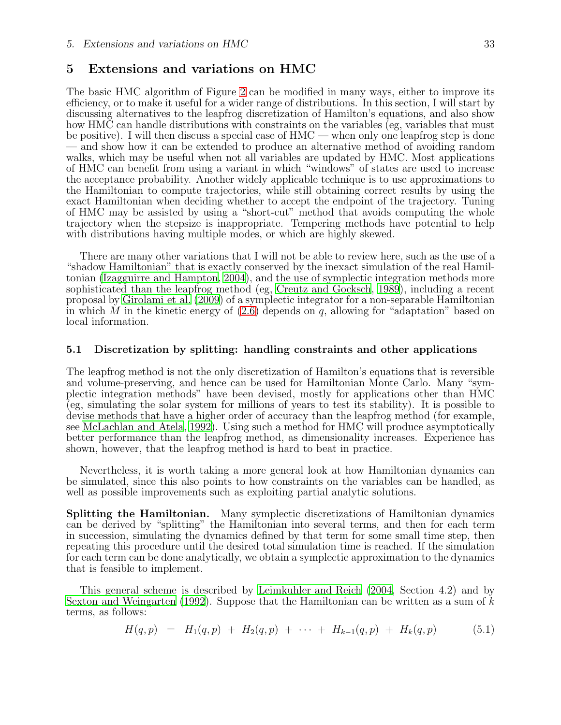## <span id="page-32-1"></span>5 Extensions and variations on HMC

The basic HMC algorithm of Figure [2](#page-13-0) can be modified in many ways, either to improve its efficiency, or to make it useful for a wider range of distributions. In this section, I will start by discussing alternatives to the leapfrog discretization of Hamilton's equations, and also show how HMC can handle distributions with constraints on the variables (eg, variables that must be positive). I will then discuss a special case of HMC — when only one leapfrog step is done — and show how it can be extended to produce an alternative method of avoiding random walks, which may be useful when not all variables are updated by HMC. Most applications of HMC can benefit from using a variant in which "windows" of states are used to increase the acceptance probability. Another widely applicable technique is to use approximations to the Hamiltonian to compute trajectories, while still obtaining correct results by using the exact Hamiltonian when deciding whether to accept the endpoint of the trajectory. Tuning of HMC may be assisted by using a "short-cut" method that avoids computing the whole trajectory when the stepsize is inappropriate. Tempering methods have potential to help with distributions having multiple modes, or which are highly skewed.

There are many other variations that I will not be able to review here, such as the use of a "shadow Hamiltonian" that is exactly conserved by the inexact simulation of the real Hamiltonian [\(Izagguirre and Hampton](#page-49-8), [2004\)](#page-49-8), and the use of symplectic integration methods more sophisticated than the leapfrog method (eg, [Creutz and Gocksch](#page-48-10), [1989](#page-48-10)), including a recent proposal by [Girolami et al. \(2009\)](#page-48-11) of a symplectic integrator for a non-separable Hamiltonian in which M in the kinetic energy of  $(2.6)$  depends on q, allowing for "adaptation" based on local information.

#### <span id="page-32-0"></span>5.1 Discretization by splitting: handling constraints and other applications

The leapfrog method is not the only discretization of Hamilton's equations that is reversible and volume-preserving, and hence can be used for Hamiltonian Monte Carlo. Many "symplectic integration methods" have been devised, mostly for applications other than HMC (eg, simulating the solar system for millions of years to test its stability). It is possible to devise methods that have a higher order of accuracy than the leapfrog method (for example, see [McLachlan and Atela](#page-49-9), [1992\)](#page-49-9). Using such a method for HMC will produce asymptotically better performance than the leapfrog method, as dimensionality increases. Experience has shown, however, that the leapfrog method is hard to beat in practice.

Nevertheless, it is worth taking a more general look at how Hamiltonian dynamics can be simulated, since this also points to how constraints on the variables can be handled, as well as possible improvements such as exploiting partial analytic solutions.

Splitting the Hamiltonian. Many symplectic discretizations of Hamiltonian dynamics can be derived by "splitting" the Hamiltonian into several terms, and then for each term in succession, simulating the dynamics defined by that term for some small time step, then repeating this procedure until the desired total simulation time is reached. If the simulation for each term can be done analytically, we obtain a symplectic approximation to the dynamics that is feasible to implement.

This general scheme is described by [Leimkuhler and Reich \(2004,](#page-49-4) Section 4.2) and by [Sexton and Weingarten \(1992\)](#page-50-3). Suppose that the Hamiltonian can be written as a sum of  $k$ terms, as follows:

$$
H(q,p) = H_1(q,p) + H_2(q,p) + \cdots + H_{k-1}(q,p) + H_k(q,p) \tag{5.1}
$$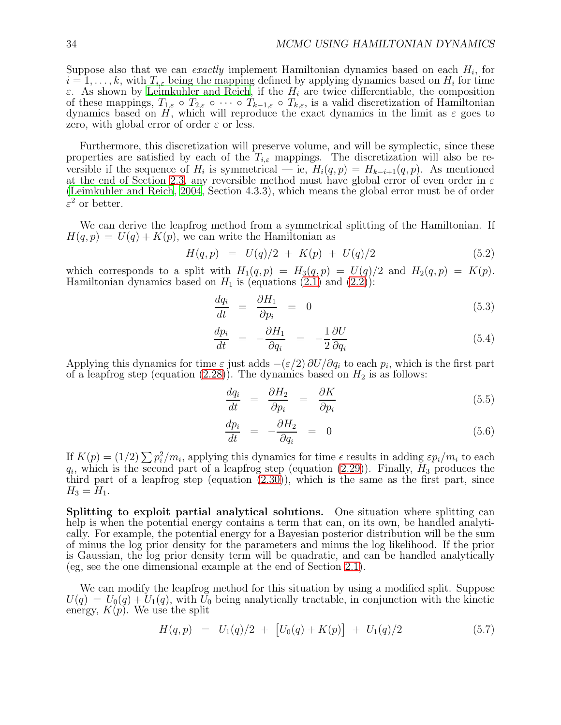Suppose also that we can *exactly* implement Hamiltonian dynamics based on each  $H_i$ , for  $i = 1, \ldots, k$ , with  $T_{i,\varepsilon}$  being the mapping defined by applying dynamics based on  $H_i$  for time  $\varepsilon$ . As shown by [Leimkuhler and Reich](#page-49-4), if the  $H_i$  are twice differentiable, the composition of these mappings,  $T_{1,\varepsilon} \circ T_{2,\varepsilon} \circ \cdots \circ T_{k-1,\varepsilon} \circ T_{k,\varepsilon}$ , is a valid discretization of Hamiltonian dynamics based on H, which will reproduce the exact dynamics in the limit as  $\varepsilon$  goes to zero, with global error of order  $\varepsilon$  or less.

Furthermore, this discretization will preserve volume, and will be symplectic, since these properties are satisfied by each of the  $T_{i,\varepsilon}$  mappings. The discretization will also be reversible if the sequence of  $H_i$  is symmetrical — ie,  $H_i(q,p) = H_{k-i+1}(q,p)$ . As mentioned at the end of Section [2.3,](#page-6-0) any reversible method must have global error of even order in  $\varepsilon$ [\(Leimkuhler and Reich](#page-49-4), [2004](#page-49-4), Section 4.3.3), which means the global error must be of order  $\varepsilon^2$  or better.

We can derive the leapfrog method from a symmetrical splitting of the Hamiltonian. If  $H(q, p) = U(q) + K(p)$ , we can write the Hamiltonian as

$$
H(q, p) = U(q)/2 + K(p) + U(q)/2 \tag{5.2}
$$

which corresponds to a split with  $H_1(q, p) = H_3(q, p) = U(q)/2$  and  $H_2(q, p) = K(p)$ . Hamiltonian dynamics based on  $H_1$  is (equations [\(2.1\)](#page-2-0) and [\(2.2\)](#page-2-0)):

$$
\frac{dq_i}{dt} = \frac{\partial H_1}{\partial p_i} = 0 \tag{5.3}
$$

$$
\frac{dp_i}{dt} = -\frac{\partial H_1}{\partial q_i} = -\frac{1}{2} \frac{\partial U}{\partial q_i} \tag{5.4}
$$

Applying this dynamics for time  $\varepsilon$  just adds  $-(\varepsilon/2) \partial U/\partial q_i$  to each  $p_i$ , which is the first part of a leapfrog step (equation [\(2.28\)](#page-7-1)). The dynamics based on  $H_2$  is as follows:

$$
\frac{dq_i}{dt} = \frac{\partial H_2}{\partial p_i} = \frac{\partial K}{\partial p_i} \tag{5.5}
$$

$$
\frac{dp_i}{dt} = -\frac{\partial H_2}{\partial q_i} = 0 \tag{5.6}
$$

If  $K(p) = (1/2) \sum p_i^2 / m_i$ , applying this dynamics for time  $\epsilon$  results in adding  $\varepsilon p_i / m_i$  to each  $q_i$ , which is the second part of a leapfrog step (equation  $(2.29)$ ). Finally,  $H_3$  produces the third part of a leapfrog step (equation  $(2.30)$ ), which is the same as the first part, since  $H_3 = H_1.$ 

Splitting to exploit partial analytical solutions. One situation where splitting can help is when the potential energy contains a term that can, on its own, be handled analytically. For example, the potential energy for a Bayesian posterior distribution will be the sum of minus the log prior density for the parameters and minus the log likelihood. If the prior is Gaussian, the log prior density term will be quadratic, and can be handled analytically (eg, see the one dimensional example at the end of Section [2.1\)](#page-2-4).

We can modify the leapfrog method for this situation by using a modified split. Suppose  $U(q) = U_0(q) + U_1(q)$ , with  $U_0$  being analytically tractable, in conjunction with the kinetic energy,  $K(p)$ . We use the split

<span id="page-33-0"></span>
$$
H(q, p) = U_1(q)/2 + [U_0(q) + K(p)] + U_1(q)/2 \tag{5.7}
$$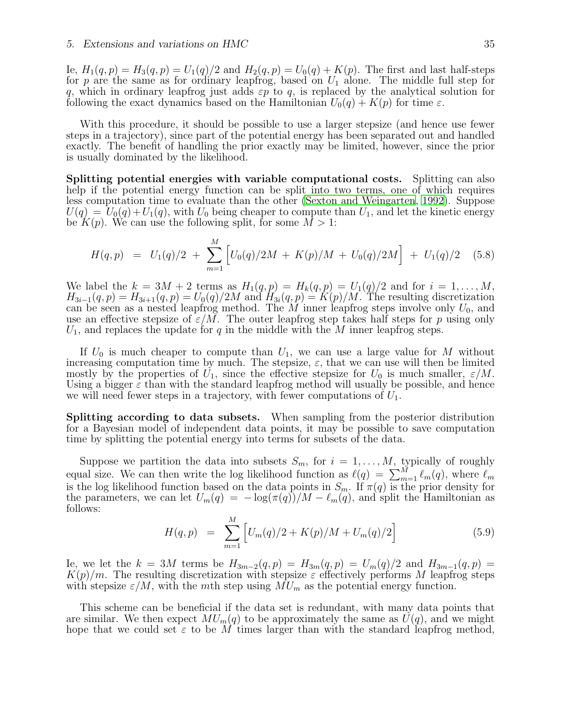Ie,  $H_1(q, p) = H_3(q, p) = U_1(q)/2$  and  $H_2(q, p) = U_0(q) + K(p)$ . The first and last half-steps for p are the same as for ordinary leapfrog, based on  $U_1$  alone. The middle full step for q, which in ordinary leapfrog just adds  $\varepsilon p$  to q, is replaced by the analytical solution for following the exact dynamics based on the Hamiltonian  $U_0(q) + K(p)$  for time  $\varepsilon$ .

With this procedure, it should be possible to use a larger stepsize (and hence use fewer steps in a trajectory), since part of the potential energy has been separated out and handled exactly. The benefit of handling the prior exactly may be limited, however, since the prior is usually dominated by the likelihood.

Splitting potential energies with variable computational costs. Splitting can also help if the potential energy function can be split into two terms, one of which requires less computation time to evaluate than the other [\(Sexton and Weingarten](#page-50-3), [1992\)](#page-50-3). Suppose  $U(q) = U_0(q) + U_1(q)$ , with  $U_0$  being cheaper to compute than  $U_1$ , and let the kinetic energy be  $K(p)$ . We can use the following split, for some  $M > 1$ :

$$
H(q,p) = U_1(q)/2 + \sum_{m=1}^{M} \left[ U_0(q)/2M + K(p)/M + U_0(q)/2M \right] + U_1(q)/2 \quad (5.8)
$$

We label the  $k = 3M + 2$  terms as  $H_1(q, p) = H_k(q, p) = U_1(q)/2$  and for  $i = 1, ..., M$ ,  $H_{3i-1}(q, p) = H_{3i+1}(q, p) = U_0(q)/2M$  and  $H_{3i}(q, p) = K(p)/M$ . The resulting discretization can be seen as a nested leapfrog method. The  $\hat{M}$  inner leapfrog steps involve only  $U_0$ , and use an effective stepsize of  $\varepsilon/M$ . The outer leapfrog step takes half steps for p using only  $U_1$ , and replaces the update for q in the middle with the M inner leapfrog steps.

If  $U_0$  is much cheaper to compute than  $U_1$ , we can use a large value for M without increasing computation time by much. The stepsize,  $\varepsilon$ , that we can use will then be limited mostly by the properties of  $\check{U}_1$ , since the effective stepsize for  $U_0$  is much smaller,  $\varepsilon/M$ . Using a bigger  $\varepsilon$  than with the standard leapfrog method will usually be possible, and hence we will need fewer steps in a trajectory, with fewer computations of  $U_1$ .

Splitting according to data subsets. When sampling from the posterior distribution for a Bayesian model of independent data points, it may be possible to save computation time by splitting the potential energy into terms for subsets of the data.

Suppose we partition the data into subsets  $S_m$ , for  $i = 1, \ldots, M$ , typically of roughly equal size. We can then write the log likelihood function as  $\ell(q) = \sum_{m=1}^{M} \ell_m(q)$ , where  $\ell_m$ is the log likelihood function based on the data points in  $S_{m}$ . If  $\pi(q)$  is the prior density for the parameters, we can let  $U_m(q) = -\log(\pi(q))/M - \ell_m(q)$ , and split the Hamiltonian as follows:

$$
H(q,p) = \sum_{m=1}^{M} \left[ U_m(q)/2 + K(p)/M + U_m(q)/2 \right] \tag{5.9}
$$

Ie, we let the  $k = 3M$  terms be  $H_{3m-2}(q, p) = H_{3m}(q, p) = U_m(q)/2$  and  $H_{3m-1}(q, p) =$  $K(p)/m$ . The resulting discretization with stepsize  $\varepsilon$  effectively performs M leapfrog steps with stepsize  $\varepsilon/M$ , with the mth step using  $MU_m$  as the potential energy function.

This scheme can be beneficial if the data set is redundant, with many data points that are similar. We then expect  $MU_m(q)$  to be approximately the same as  $U(q)$ , and we might hope that we could set  $\varepsilon$  to be M times larger than with the standard leapfrog method,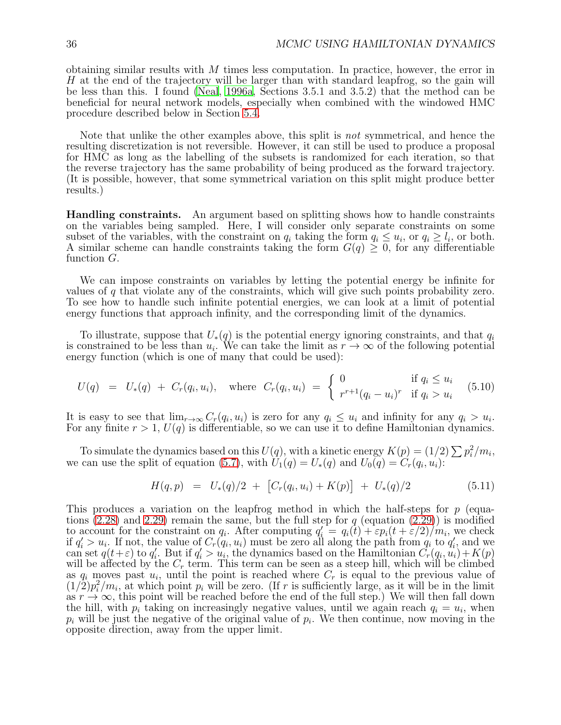obtaining similar results with  $M$  times less computation. In practice, however, the error in H at the end of the trajectory will be larger than with standard leapfrog, so the gain will be less than this. I found [\(Neal, 1996a](#page-49-1), Sections 3.5.1 and 3.5.2) that the method can be beneficial for neural network models, especially when combined with the windowed HMC procedure described below in Section [5.4.](#page-39-0)

Note that unlike the other examples above, this split is *not* symmetrical, and hence the resulting discretization is not reversible. However, it can still be used to produce a proposal for HMC as long as the labelling of the subsets is randomized for each iteration, so that the reverse trajectory has the same probability of being produced as the forward trajectory. (It is possible, however, that some symmetrical variation on this split might produce better results.)

Handling constraints. An argument based on splitting shows how to handle constraints on the variables being sampled. Here, I will consider only separate constraints on some subset of the variables, with the constraint on  $q_i$  taking the form  $q_i \le u_i$ , or  $q_i \ge l_i$ , or both. A similar scheme can handle constraints taking the form  $G(q) > 0$ , for any differentiable function G.

We can impose constraints on variables by letting the potential energy be infinite for values of q that violate any of the constraints, which will give such points probability zero. To see how to handle such infinite potential energies, we can look at a limit of potential energy functions that approach infinity, and the corresponding limit of the dynamics.

To illustrate, suppose that  $U_*(q)$  is the potential energy ignoring constraints, and that  $q_i$ is constrained to be less than  $u_i$ . We can take the limit as  $r \to \infty$  of the following potential energy function (which is one of many that could be used):

$$
U(q) = U_*(q) + C_r(q_i, u_i), \text{ where } C_r(q_i, u_i) = \begin{cases} 0 & \text{if } q_i \le u_i \\ r^{r+1}(q_i - u_i)^r & \text{if } q_i > u_i \end{cases} (5.10)
$$

It is easy to see that  $\lim_{r\to\infty} C_r(q_i, u_i)$  is zero for any  $q_i \leq u_i$  and infinity for any  $q_i > u_i$ . For any finite  $r > 1$ ,  $U(q)$  is differentiable, so we can use it to define Hamiltonian dynamics.

To simulate the dynamics based on this  $U(q)$ , with a kinetic energy  $K(p) = (1/2) \sum p_i^2 / m_i$ , we can use the split of equation [\(5.7\)](#page-33-0), with  $U_1(q) = U_*(q)$  and  $U_0(q) = C_r(q_i, u_i)$ :

$$
H(q, p) = U_*(q)/2 + [C_r(q_i, u_i) + K(p)] + U_*(q)/2 \qquad (5.11)
$$

This produces a variation on the leapfrog method in which the half-steps for  $p$  (equa-tions [\(2.28\)](#page-7-1) and [2.29\)](#page-7-1) remain the same, but the full step for  $q$  (equation [\(2.29\)](#page-7-1)) is modified to account for the constraint on q<sub>i</sub>. After computing  $q'_i = q_i(t) + \varepsilon p_i(t + \varepsilon/2)/m_i$ , we check if  $q'_i > u_i$ . If not, the value of  $C_r(q_i, u_i)$  must be zero all along the path from  $q_i$  to  $q'_i$  $i$ , and we can set  $q(t+\varepsilon)$  to  $q_i'$  $\mathcal{L}'_i$ . But if  $q'_i > u_i$ , the dynamics based on the Hamiltonian  $C_r(q_i, u_i) + K(p)$ will be affected by the  $C_r$  term. This term can be seen as a steep hill, which will be climbed as  $q_i$  moves past  $u_i$ , until the point is reached where  $C_r$  is equal to the previous value of  $(1/2)p_i^2/m_i$ , at which point  $p_i$  will be zero. (If r is sufficiently large, as it will be in the limit as  $r \to \infty$ , this point will be reached before the end of the full step.) We will then fall down the hill, with  $p_i$  taking on increasingly negative values, until we again reach  $q_i = u_i$ , when  $p_i$  will be just the negative of the original value of  $p_i$ . We then continue, now moving in the opposite direction, away from the upper limit.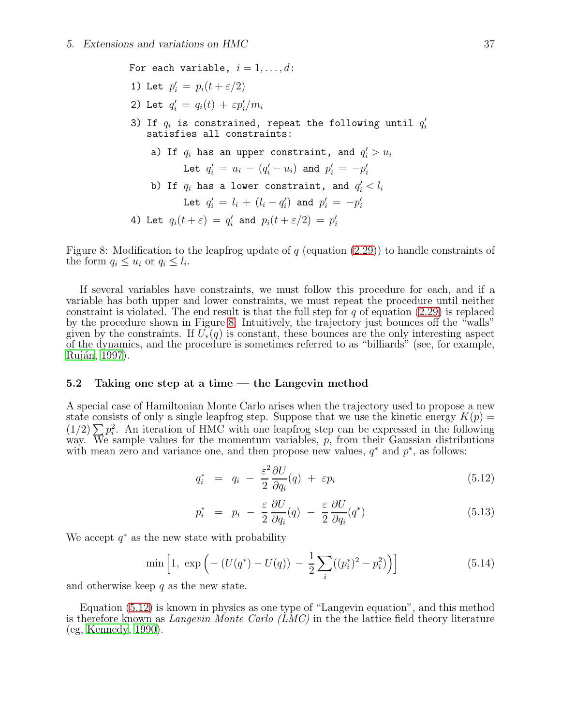For each variable,  $i = 1, \ldots, d$ : 1) Let  $p'_i = p_i(t + \varepsilon/2)$ 2) Let  $q'_i = q_i(t) + \varepsilon p'_i/m_i$ 3) If  $q_i$  is constrained, repeat the following until  $q'_i$ satisfies all constraints: a) If  $q_i$  has an upper constraint, and  $q'_i > u_i$ Let  $q'_{i} = u_{i} - (q'_{i} - u_{i})$  and  $p'_{i} = -p'_{i}$ i b) If  $q_i$  has a lower constraint, and  $q'_i < l_i$ Let  $q'_{i} = l_{i} + (l_{i} - q'_{i})$  $p'_i$ ) and  $p'_i = -p'_i$ i 4) Let  $q_i(t+\varepsilon) = q_i'$  and  $p_i(t+\varepsilon/2) = p_i'$ i

<span id="page-36-1"></span>Figure 8: Modification to the leapfrog update of q (equation  $(2.29)$ ) to handle constraints of the form  $q_i \leq u_i$  or  $q_i \leq l_i$ .

If several variables have constraints, we must follow this procedure for each, and if a variable has both upper and lower constraints, we must repeat the procedure until neither constraint is violated. The end result is that the full step for  $q$  of equation [\(2.29\)](#page-7-1) is replaced by the procedure shown in Figure [8.](#page-36-1) Intuitively, the trajectory just bounces off the "walls" given by the constraints. If  $U_*(q)$  is constant, these bounces are the only interesting aspect of the dynamics, and the procedure is sometimes referred to as "billiards" (see, for example, Ruján, [1997\)](#page-50-4).

#### <span id="page-36-0"></span>5.2 Taking one step at a time — the Langevin method

A special case of Hamiltonian Monte Carlo arises when the trajectory used to propose a new state consists of only a single leapfrog step. Suppose that we use the kinetic energy  $K(p)$  =  $(1/2)\sum p_i^2$ . An iteration of HMC with one leapfrog step can be expressed in the following way. We sample values for the momentum variables,  $p$ , from their Gaussian distributions with mean zero and variance one, and then propose new values,  $q^*$  and  $p^*$ , as follows:

<span id="page-36-2"></span>
$$
q_i^* = q_i - \frac{\varepsilon^2}{2} \frac{\partial U}{\partial q_i}(q) + \varepsilon p_i \tag{5.12}
$$

$$
p_i^* = p_i - \frac{\varepsilon}{2} \frac{\partial U}{\partial q_i}(q) - \frac{\varepsilon}{2} \frac{\partial U}{\partial q_i}(q^*)
$$
\n(5.13)

We accept  $q^*$  as the new state with probability

<span id="page-36-3"></span>
$$
\min\left[1, \exp\left(-\left(U(q^*) - U(q)\right) - \frac{1}{2}\sum_{i} \left((p_i^*)^2 - p_i^2\right)\right)\right] \tag{5.14}
$$

and otherwise keep q as the new state.

Equation [\(5.12\)](#page-36-2) is known in physics as one type of "Langevin equation", and this method is therefore known as *Langevin Monte Carlo (LMC)* in the the lattice field theory literature (eg, [Kennedy](#page-49-10), [1990\)](#page-49-10).

i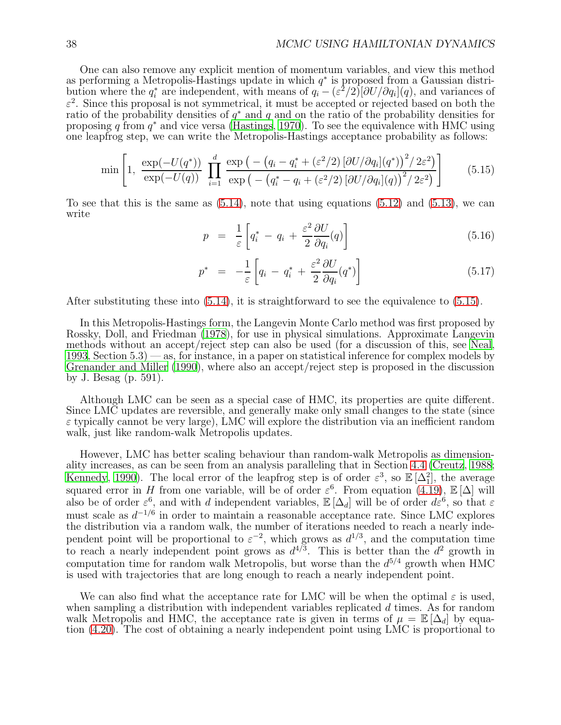One can also remove any explicit mention of momentum variables, and view this method as performing a Metropolis-Hastings update in which  $q^*$  is proposed from a Gaussian distribution where the  $q_i^*$ <sup>\*</sup> are independent, with means of  $q_i - (\varepsilon^2/2)[\partial U/\partial q_i](q)$ , and variances of  $\varepsilon^2$ . Since this proposal is not symmetrical, it must be accepted or rejected based on both the ratio of the probability densities of  $q^*$  and q and on the ratio of the probability densities for proposing q from  $q^*$  and vice versa [\(Hastings, 1970\)](#page-48-12). To see the equivalence with HMC using one leapfrog step, we can write the Metropolis-Hastings acceptance probability as follows:

<span id="page-37-0"></span>
$$
\min\left[1,\ \frac{\exp(-U(q^*))}{\exp(-U(q))}\ \prod_{i=1}^d\ \frac{\exp\left(-\left(q_i-q_i^*+\left(\varepsilon^2/2\right)\left[\partial U/\partial q_i\right](q^*)\right)^2/2\varepsilon^2\right)}{\exp\left(-\left(q_i^*-q_i+\left(\varepsilon^2/2\right)\left[\partial U/\partial q_i\right](q)\right)^2/2\varepsilon^2\right)}\right]\tag{5.15}
$$

To see that this is the same as  $(5.14)$ , note that using equations  $(5.12)$  and  $(5.13)$ , we can write

$$
p = \frac{1}{\varepsilon} \left[ q_i^* - q_i + \frac{\varepsilon^2}{2} \frac{\partial U}{\partial q_i}(q) \right]
$$
(5.16)

$$
p^* = -\frac{1}{\varepsilon} \left[ q_i - q_i^* + \frac{\varepsilon^2}{2} \frac{\partial U}{\partial q_i}(q^*) \right] \tag{5.17}
$$

After substituting these into [\(5.14\)](#page-36-3), it is straightforward to see the equivalence to [\(5.15\)](#page-37-0).

In this Metropolis-Hastings form, the Langevin Monte Carlo method was first proposed by Rossky, Doll, and Friedman [\(1978\)](#page-50-5), for use in physical simulations. Approximate Langevin methods without an accept/reject step can also be used (for a discussion of this, see [Neal,](#page-49-2) [1993,](#page-49-2) Section 5.3) — as, for instance, in a paper on statistical inference for complex models by [Grenander and Miller \(1990\)](#page-48-13), where also an accept/reject step is proposed in the discussion by J. Besag (p. 591).

Although LMC can be seen as a special case of HMC, its properties are quite different. Since LMC updates are reversible, and generally make only small changes to the state (since  $\varepsilon$  typically cannot be very large), LMC will explore the distribution via an inefficient random walk, just like random-walk Metropolis updates.

However, LMC has better scaling behaviour than random-walk Metropolis as dimensionality increases, as can be seen from an analysis paralleling that in Section [4.4](#page-26-0) [\(Creutz, 1988;](#page-48-6) [Kennedy](#page-49-10), [1990\)](#page-49-10). The local error of the leapfrog step is of order  $\varepsilon^3$ , so  $\mathbb{E}[\Delta_1^2]$ , the average squared error in H from one variable, will be of order  $\varepsilon^6$ . From equation [\(4.19\)](#page-28-0),  $\mathbb{E}[\Delta]$  will also be of order  $\varepsilon^6$ , and with d independent variables,  $\mathbb{E}[\Delta_d]$  will be of order  $d\varepsilon^6$ , so that  $\varepsilon$ must scale as  $d^{-1/6}$  in order to maintain a reasonable acceptance rate. Since LMC explores the distribution via a random walk, the number of iterations needed to reach a nearly independent point will be proportional to  $\varepsilon^{-2}$ , which grows as  $d^{1/3}$ , and the computation time to reach a nearly independent point grows as  $d^{4/3}$ . This is better than the  $d^2$  growth in computation time for random walk Metropolis, but worse than the  $d^{5/4}$  growth when HMC is used with trajectories that are long enough to reach a nearly independent point.

We can also find what the acceptance rate for LMC will be when the optimal  $\varepsilon$  is used, when sampling a distribution with independent variables replicated d times. As for random walk Metropolis and HMC, the acceptance rate is given in terms of  $\mu = \mathbb{E}[\Delta_d]$  by equation [\(4.20\)](#page-29-0). The cost of obtaining a nearly independent point using LMC is proportional to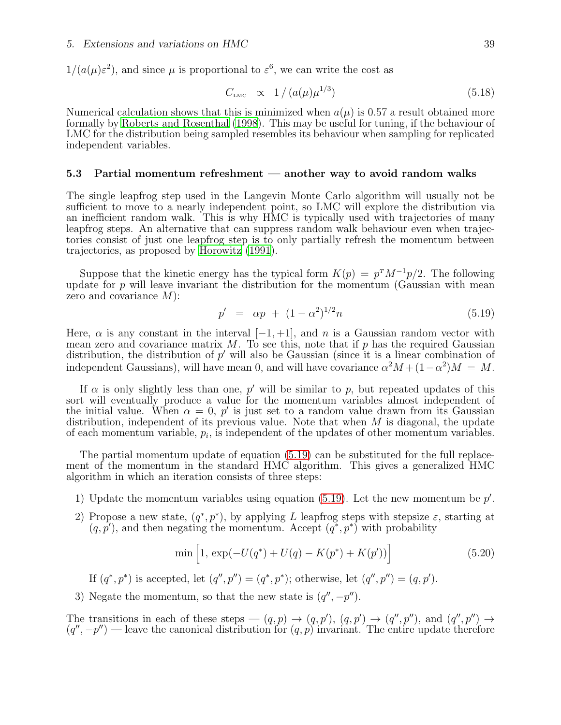$1/(a(\mu)\varepsilon^2)$ , and since  $\mu$  is proportional to  $\varepsilon^6$ , we can write the cost as

$$
C_{\text{LMC}} \propto 1/(a(\mu)\mu^{1/3}) \tag{5.18}
$$

Numerical calculation shows that this is minimized when  $a(\mu)$  is 0.57 a result obtained more formally by [Roberts and Rosenthal \(1998](#page-50-6)). This may be useful for tuning, if the behaviour of LMC for the distribution being sampled resembles its behaviour when sampling for replicated independent variables.

#### <span id="page-38-0"></span>5.3 Partial momentum refreshment — another way to avoid random walks

The single leapfrog step used in the Langevin Monte Carlo algorithm will usually not be sufficient to move to a nearly independent point, so LMC will explore the distribution via an inefficient random walk. This is why HMC is typically used with trajectories of many leapfrog steps. An alternative that can suppress random walk behaviour even when trajectories consist of just one leapfrog step is to only partially refresh the momentum between trajectories, as proposed by [Horowitz \(1991\)](#page-48-14).

Suppose that the kinetic energy has the typical form  $K(p) = p^T M^{-1} p/2$ . The following update for p will leave invariant the distribution for the momentum (Gaussian with mean zero and covariance  $M$ ):

<span id="page-38-1"></span>
$$
p' = \alpha p + (1 - \alpha^2)^{1/2} n \tag{5.19}
$$

Here,  $\alpha$  is any constant in the interval  $[-1, +1]$ , and n is a Gaussian random vector with mean zero and covariance matrix  $M$ . To see this, note that if  $p$  has the required Gaussian distribution, the distribution of  $p'$  will also be Gaussian (since it is a linear combination of independent Gaussians), will have mean 0, and will have covariance  $\alpha^2 M + (1 - \alpha^2)M = M$ .

If  $\alpha$  is only slightly less than one,  $p'$  will be similar to p, but repeated updates of this sort will eventually produce a value for the momentum variables almost independent of the initial value. When  $\alpha = 0, p'$  is just set to a random value drawn from its Gaussian distribution, independent of its previous value. Note that when  $M$  is diagonal, the update of each momentum variable,  $p_i$ , is independent of the updates of other momentum variables.

The partial momentum update of equation [\(5.19\)](#page-38-1) can be substituted for the full replacement of the momentum in the standard HMC algorithm. This gives a generalized HMC algorithm in which an iteration consists of three steps:

- 1) Update the momentum variables using equation [\(5.19\)](#page-38-1). Let the new momentum be  $p'$ .
- 2) Propose a new state,  $(q^*, p^*)$ , by applying L leapfrog steps with stepsize  $\varepsilon$ , starting at  $(q, p')$ , and then negating the momentum. Accept  $(q^*, p^*)$  with probability

$$
\min\left[1, \exp(-U(q^*) + U(q) - K(p^*) + K(p'))\right] \tag{5.20}
$$

If  $(q^*, p^*)$  is accepted, let  $(q'', p'') = (q^*, p^*)$ ; otherwise, let  $(q'', p'') = (q, p')$ .

3) Negate the momentum, so that the new state is  $(q'', -p'')$ .

The transitions in each of these steps —  $(q, p) \rightarrow (q, p')$ ,  $(q, p') \rightarrow (q'', p'')$ , and  $(q'', p'') \rightarrow (q''', p'')$  $(q'', -p'')$  — leave the canonical distribution for  $(q, p)$  invariant. The entire update therefore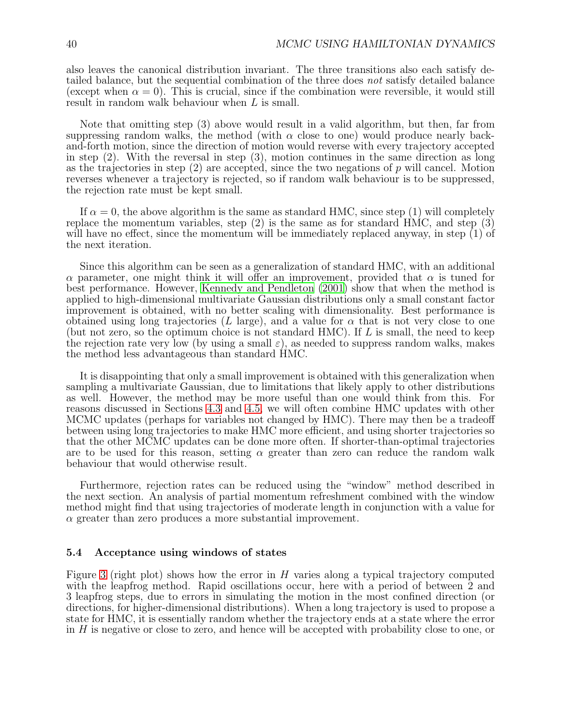also leaves the canonical distribution invariant. The three transitions also each satisfy detailed balance, but the sequential combination of the three does *not* satisfy detailed balance (except when  $\alpha = 0$ ). This is crucial, since if the combination were reversible, it would still result in random walk behaviour when L is small.

Note that omitting step (3) above would result in a valid algorithm, but then, far from suppressing random walks, the method (with  $\alpha$  close to one) would produce nearly backand-forth motion, since the direction of motion would reverse with every trajectory accepted in step (2). With the reversal in step (3), motion continues in the same direction as long as the trajectories in step  $(2)$  are accepted, since the two negations of p will cancel. Motion reverses whenever a trajectory is rejected, so if random walk behaviour is to be suppressed, the rejection rate must be kept small.

If  $\alpha = 0$ , the above algorithm is the same as standard HMC, since step (1) will completely replace the momentum variables, step  $(2)$  is the same as for standard HMC, and step  $(3)$ will have no effect, since the momentum will be immediately replaced anyway, in step (1) of the next iteration.

Since this algorithm can be seen as a generalization of standard HMC, with an additional  $\alpha$  parameter, one might think it will offer an improvement, provided that  $\alpha$  is tuned for best performance. However, [Kennedy and Pendleton \(2001](#page-49-11)) show that when the method is applied to high-dimensional multivariate Gaussian distributions only a small constant factor improvement is obtained, with no better scaling with dimensionality. Best performance is obtained using long trajectories (L large), and a value for  $\alpha$  that is not very close to one (but not zero, so the optimum choice is not standard HMC). If  $L$  is small, the need to keep the rejection rate very low (by using a small  $\varepsilon$ ), as needed to suppress random walks, makes the method less advantageous than standard HMC.

It is disappointing that only a small improvement is obtained with this generalization when sampling a multivariate Gaussian, due to limitations that likely apply to other distributions as well. However, the method may be more useful than one would think from this. For reasons discussed in Sections [4.3](#page-26-1) and [4.5,](#page-30-0) we will often combine HMC updates with other MCMC updates (perhaps for variables not changed by HMC). There may then be a tradeoff between using long trajectories to make HMC more efficient, and using shorter trajectories so that the other MCMC updates can be done more often. If shorter-than-optimal trajectories are to be used for this reason, setting  $\alpha$  greater than zero can reduce the random walk behaviour that would otherwise result.

Furthermore, rejection rates can be reduced using the "window" method described in the next section. An analysis of partial momentum refreshment combined with the window method might find that using trajectories of moderate length in conjunction with a value for  $\alpha$  greater than zero produces a more substantial improvement.

#### <span id="page-39-0"></span>5.4 Acceptance using windows of states

Figure [3](#page-15-0) (right plot) shows how the error in  $H$  varies along a typical trajectory computed with the leapfrog method. Rapid oscillations occur, here with a period of between 2 and 3 leapfrog steps, due to errors in simulating the motion in the most confined direction (or directions, for higher-dimensional distributions). When a long trajectory is used to propose a state for HMC, it is essentially random whether the trajectory ends at a state where the error in H is negative or close to zero, and hence will be accepted with probability close to one, or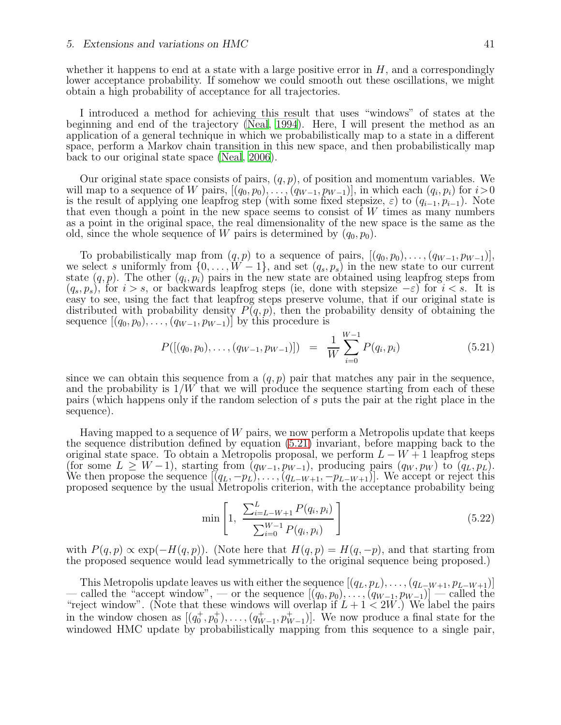whether it happens to end at a state with a large positive error in  $H$ , and a correspondingly lower acceptance probability. If somehow we could smooth out these oscillations, we might obtain a high probability of acceptance for all trajectories.

I introduced a method for achieving this result that uses "windows" of states at the beginning and end of the trajectory [\(Neal](#page-49-6), [1994\)](#page-49-6). Here, I will present the method as an application of a general technique in which we probabilistically map to a state in a different space, perform a Markov chain transition in this new space, and then probabilistically map back to our original state space [\(Neal](#page-50-7), [2006](#page-50-7)).

Our original state space consists of pairs,  $(q, p)$ , of position and momentum variables. We will map to a sequence of W pairs,  $[(q_0, p_0), \ldots, (q_{W-1}, p_{W-1})]$ , in which each  $(q_i, p_i)$  for  $i>0$ is the result of applying one leapfrog step (with some fixed stepsize,  $\varepsilon$ ) to  $(q_{i-1}, p_{i-1})$ . Note that even though a point in the new space seems to consist of  $W$  times as many numbers as a point in the original space, the real dimensionality of the new space is the same as the old, since the whole sequence of W pairs is determined by  $(q_0, p_0)$ .

To probabilistically map from  $(q, p)$  to a sequence of pairs,  $[(q_0, p_0), \ldots, (q_{W-1}, p_{W-1})]$ , we select s uniformly from  $\{0, \ldots, W-1\}$ , and set  $(q_s, p_s)$  in the new state to our current state  $(q, p)$ . The other  $(q_i, p_i)$  pairs in the new state are obtained using leapfrog steps from  $(q_s, p_s)$ , for  $i > s$ , or backwards leapfrog steps (ie, done with stepsize  $-\varepsilon$ ) for  $i < s$ . It is easy to see, using the fact that leapfrog steps preserve volume, that if our original state is distributed with probability density  $P(q, p)$ , then the probability density of obtaining the sequence  $[(q_0, p_0), \ldots, (q_{W-1}, p_{W-1})]$  by this procedure is

<span id="page-40-0"></span>
$$
P([(q_0, p_0), \dots, (q_{W-1}, p_{W-1})]) = \frac{1}{W} \sum_{i=0}^{W-1} P(q_i, p_i)
$$
(5.21)

since we can obtain this sequence from a  $(q, p)$  pair that matches any pair in the sequence, and the probability is  $1/W$  that we will produce the sequence starting from each of these pairs (which happens only if the random selection of s puts the pair at the right place in the sequence).

Having mapped to a sequence of  $W$  pairs, we now perform a Metropolis update that keeps the sequence distribution defined by equation [\(5.21\)](#page-40-0) invariant, before mapping back to the original state space. To obtain a Metropolis proposal, we perform  $L - W + 1$  leapfrog steps (for some  $L \geq W-1$ ), starting from  $(q_{W-1}, p_{W-1})$ , producing pairs  $(q_W, p_W)$  to  $(q_L, p_L)$ . We then propose the sequence  $[(q_L, -p_L), \ldots, (q_{L-W+1}, -p_{L-W+1})]$ . We accept or reject this proposed sequence by the usual Metropolis criterion, with the acceptance probability being

<span id="page-40-1"></span>
$$
\min\left[1, \frac{\sum_{i=L-W+1}^{L} P(q_i, p_i)}{\sum_{i=0}^{W-1} P(q_i, p_i)}\right]
$$
\n(5.22)

with  $P(q, p) \propto \exp(-H(q, p))$ . (Note here that  $H(q, p) = H(q, -p)$ , and that starting from the proposed sequence would lead symmetrically to the original sequence being proposed.)

This Metropolis update leaves us with either the sequence  $[(q_L, p_L), \ldots, (q_{L-W+1}, p_{L-W+1})]$ — called the "accept window", — or the sequence  $[(q_0, p_0), \ldots, (q_{W-1}, p_{W-1})]$  — called the "reject window". (Note that these windows will overlap if  $L + 1 < 2W$ .) We label the pairs in the window chosen as  $[(q_0^+, p_0^+), \ldots, (q_{W-1}^+, p_{W-1}^+)]$ . We now produce a final state for the windowed HMC update by probabilistically mapping from this sequence to a single pair,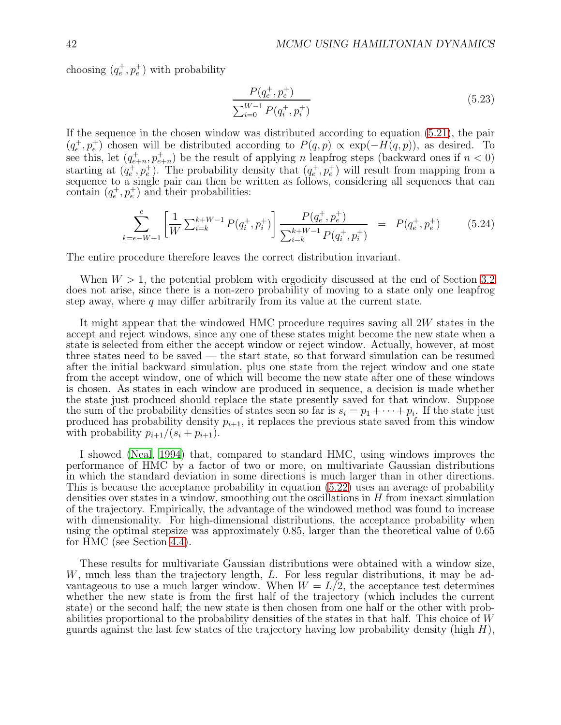choosing  $(q_e^+, p_e^+)$  with probability

$$
\frac{P(q_e^+, p_e^+)}{\sum_{i=0}^{W-1} P(q_i^+, p_i^+)}\tag{5.23}
$$

If the sequence in the chosen window was distributed according to equation [\(5.21\)](#page-40-0), the pair  $(q_e^+, p_e^+)$  chosen will be distributed according to  $P(q, p) \propto \exp(-H(q, p))$ , as desired. To see this, let  $(q_{e+n}^+, p_{e+n}^+)$  be the result of applying n leapfrog steps (backward ones if  $n < 0$ ) starting at  $(q_e^+, p_e^+)$ . The probability density that  $(q_e^+, p_e^+)$  will result from mapping from a sequence to a single pair can then be written as follows, considering all sequences that can contain  $(q_e^+, p_e^+)$  and their probabilities:

$$
\sum_{k=e-W+1}^{e} \left[ \frac{1}{W} \sum_{i=k}^{k+W-1} P(q_i^+, p_i^+) \right] \frac{P(q_e^+, p_e^+)}{\sum_{i=k}^{k+W-1} P(q_i^+, p_i^+)} = P(q_e^+, p_e^+) \tag{5.24}
$$

The entire procedure therefore leaves the correct distribution invariant.

When  $W > 1$ , the potential problem with ergodicity discussed at the end of Section [3.2](#page-10-3) does not arise, since there is a non-zero probability of moving to a state only one leapfrog step away, where  $q$  may differ arbitrarily from its value at the current state.

It might appear that the windowed HMC procedure requires saving all 2W states in the accept and reject windows, since any one of these states might become the new state when a state is selected from either the accept window or reject window. Actually, however, at most three states need to be saved — the start state, so that forward simulation can be resumed after the initial backward simulation, plus one state from the reject window and one state from the accept window, one of which will become the new state after one of these windows is chosen. As states in each window are produced in sequence, a decision is made whether the state just produced should replace the state presently saved for that window. Suppose the sum of the probability densities of states seen so far is  $s_i = p_1 + \cdots + p_i$ . If the state just produced has probability density  $p_{i+1}$ , it replaces the previous state saved from this window with probability  $p_{i+1}/(s_i + p_{i+1}).$ 

I showed [\(Neal, 1994\)](#page-49-6) that, compared to standard HMC, using windows improves the performance of HMC by a factor of two or more, on multivariate Gaussian distributions in which the standard deviation in some directions is much larger than in other directions. This is because the acceptance probability in equation [\(5.22\)](#page-40-1) uses an average of probability densities over states in a window, smoothing out the oscillations in  $H$  from inexact simulation of the trajectory. Empirically, the advantage of the windowed method was found to increase with dimensionality. For high-dimensional distributions, the acceptance probability when using the optimal stepsize was approximately 0.85, larger than the theoretical value of 0.65 for HMC (see Section [4.4\)](#page-26-0).

These results for multivariate Gaussian distributions were obtained with a window size, W, much less than the trajectory length, L. For less regular distributions, it may be advantageous to use a much larger window. When  $W = L/2$ , the acceptance test determines whether the new state is from the first half of the trajectory (which includes the current state) or the second half; the new state is then chosen from one half or the other with probabilities proportional to the probability densities of the states in that half. This choice of W guards against the last few states of the trajectory having low probability density (high  $H$ ),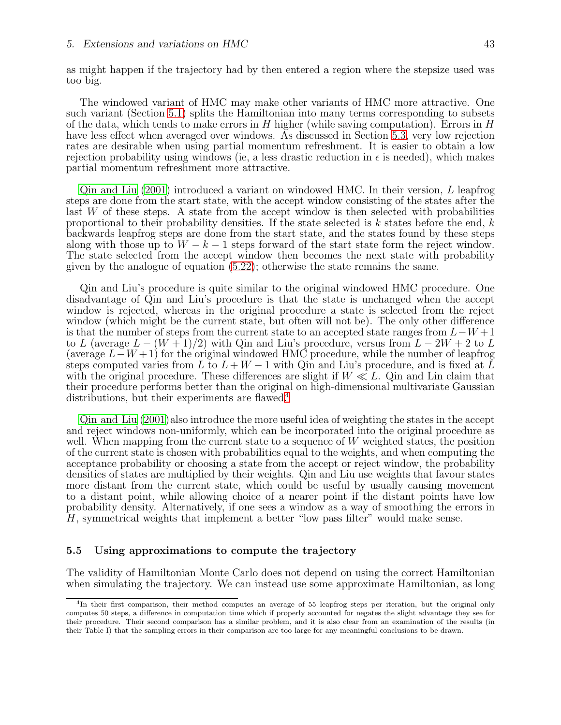as might happen if the trajectory had by then entered a region where the stepsize used was too big.

The windowed variant of HMC may make other variants of HMC more attractive. One such variant (Section [5.1\)](#page-32-0) splits the Hamiltonian into many terms corresponding to subsets of the data, which tends to make errors in  $H$  higher (while saving computation). Errors in  $H$ have less effect when averaged over windows. As discussed in Section [5.3,](#page-38-0) very low rejection rates are desirable when using partial momentum refreshment. It is easier to obtain a low rejection probability using windows (ie, a less drastic reduction in  $\epsilon$  is needed), which makes partial momentum refreshment more attractive.

[Qin and Liu \(2001\)](#page-50-8) introduced a variant on windowed HMC. In their version, L leapfrog steps are done from the start state, with the accept window consisting of the states after the last W of these steps. A state from the accept window is then selected with probabilities proportional to their probability densities. If the state selected is  $k$  states before the end,  $k$ backwards leapfrog steps are done from the start state, and the states found by these steps along with those up to  $W - k - 1$  steps forward of the start state form the reject window. The state selected from the accept window then becomes the next state with probability given by the analogue of equation [\(5.22\)](#page-40-1); otherwise the state remains the same.

Qin and Liu's procedure is quite similar to the original windowed HMC procedure. One disadvantage of Qin and Liu's procedure is that the state is unchanged when the accept window is rejected, whereas in the original procedure a state is selected from the reject window (which might be the current state, but often will not be). The only other difference is that the number of steps from the current state to an accepted state ranges from  $L-W+1$ to L (average  $L - (W + 1)/2$ ) with Qin and Liu's procedure, versus from  $L - 2W + 2$  to L (average  $L-W+1$ ) for the original windowed HMC procedure, while the number of leapfrog steps computed varies from L to  $L + W - 1$  with Qin and Liu's procedure, and is fixed at L with the original procedure. These differences are slight if  $W \ll L$ . Qin and Lin claim that their procedure performs better than the original on high-dimensional multivariate Gaussian distributions, but their experiments are flawed[.](#page-42-0)<sup>4</sup>

 $\chi$  [Qin and Liu \(2001\)](#page-50-8)also introduce the more useful idea of weighting the states in the accept and reject windows non-uniformly, which can be incorporated into the original procedure as well. When mapping from the current state to a sequence of W weighted states, the position of the current state is chosen with probabilities equal to the weights, and when computing the acceptance probability or choosing a state from the accept or reject window, the probability densities of states are multiplied by their weights. Qin and Liu use weights that favour states more distant from the current state, which could be useful by usually causing movement to a distant point, while allowing choice of a nearer point if the distant points have low probability density. Alternatively, if one sees a window as a way of smoothing the errors in H, symmetrical weights that implement a better "low pass filter" would make sense.

#### 5.5 Using approximations to compute the trajectory

The validity of Hamiltonian Monte Carlo does not depend on using the correct Hamiltonian when simulating the trajectory. We can instead use some approximate Hamiltonian, as long

<span id="page-42-0"></span><sup>4</sup> In their first comparison, their method computes an average of 55 leapfrog steps per iteration, but the original only computes 50 steps, a difference in computation time which if properly accounted for negates the slight advantage they see for their procedure. Their second comparison has a similar problem, and it is also clear from an examination of the results (in their Table I) that the sampling errors in their comparison are too large for any meaningful conclusions to be drawn.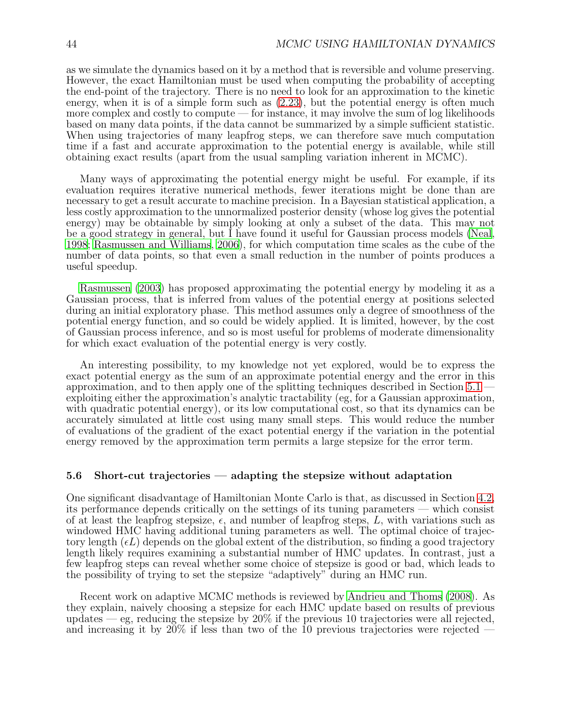as we simulate the dynamics based on it by a method that is reversible and volume preserving. However, the exact Hamiltonian must be used when computing the probability of accepting the end-point of the trajectory. There is no need to look for an approximation to the kinetic energy, when it is of a simple form such as [\(2.23\)](#page-6-1), but the potential energy is often much more complex and costly to compute — for instance, it may involve the sum of log likelihoods based on many data points, if the data cannot be summarized by a simple sufficient statistic. When using trajectories of many leapfrog steps, we can therefore save much computation time if a fast and accurate approximation to the potential energy is available, while still obtaining exact results (apart from the usual sampling variation inherent in MCMC).

Many ways of approximating the potential energy might be useful. For example, if its evaluation requires iterative numerical methods, fewer iterations might be done than are necessary to get a result accurate to machine precision. In a Bayesian statistical application, a less costly approximation to the unnormalized posterior density (whose log gives the potential energy) may be obtainable by simply looking at only a subset of the data. This may not be a good strategy in general, but I have found it useful for Gaussian process models [\(Neal](#page-49-12), [1998;](#page-49-12) [Rasmussen and Williams](#page-50-9), [2006\)](#page-50-9), for which computation time scales as the cube of the number of data points, so that even a small reduction in the number of points produces a useful speedup.

[Rasmussen \(2003](#page-50-10)) has proposed approximating the potential energy by modeling it as a Gaussian process, that is inferred from values of the potential energy at positions selected during an initial exploratory phase. This method assumes only a degree of smoothness of the potential energy function, and so could be widely applied. It is limited, however, by the cost of Gaussian process inference, and so is most useful for problems of moderate dimensionality for which exact evaluation of the potential energy is very costly.

An interesting possibility, to my knowledge not yet explored, would be to express the exact potential energy as the sum of an approximate potential energy and the error in this approximation, and to then apply one of the splitting techniques described in Section [5.1](#page-32-0) exploiting either the approximation's analytic tractability (eg, for a Gaussian approximation, with quadratic potential energy), or its low computational cost, so that its dynamics can be accurately simulated at little cost using many small steps. This would reduce the number of evaluations of the gradient of the exact potential energy if the variation in the potential energy removed by the approximation term permits a large stepsize for the error term.

#### <span id="page-43-0"></span>5.6 Short-cut trajectories — adapting the stepsize without adaptation

One significant disadvantage of Hamiltonian Monte Carlo is that, as discussed in Section [4.2,](#page-22-0) its performance depends critically on the settings of its tuning parameters — which consist of at least the leapfrog stepsize,  $\epsilon$ , and number of leapfrog steps, L, with variations such as windowed HMC having additional tuning parameters as well. The optimal choice of trajectory length  $(\epsilon L)$  depends on the global extent of the distribution, so finding a good trajectory length likely requires examining a substantial number of HMC updates. In contrast, just a few leapfrog steps can reveal whether some choice of stepsize is good or bad, which leads to the possibility of trying to set the stepsize "adaptively" during an HMC run.

Recent work on adaptive MCMC methods is reviewed by [Andrieu and Thoms \(2008\)](#page-48-15). As they explain, naively choosing a stepsize for each HMC update based on results of previous updates — eg, reducing the stepsize by  $20\%$  if the previous 10 trajectories were all rejected, and increasing it by 20% if less than two of the 10 previous trajectories were rejected —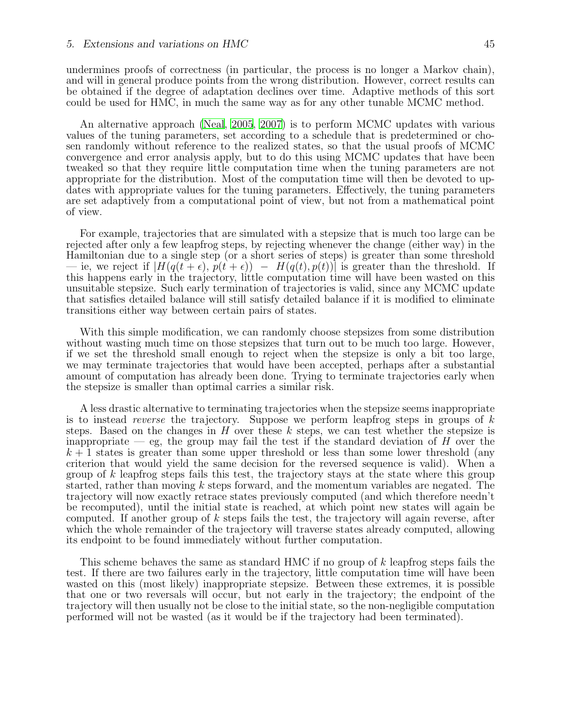undermines proofs of correctness (in particular, the process is no longer a Markov chain), and will in general produce points from the wrong distribution. However, correct results can be obtained if the degree of adaptation declines over time. Adaptive methods of this sort could be used for HMC, in much the same way as for any other tunable MCMC method.

An alternative approach [\(Neal](#page-49-13), [2005](#page-49-13), [2007\)](#page-50-11) is to perform MCMC updates with various values of the tuning parameters, set according to a schedule that is predetermined or chosen randomly without reference to the realized states, so that the usual proofs of MCMC convergence and error analysis apply, but to do this using MCMC updates that have been tweaked so that they require little computation time when the tuning parameters are not appropriate for the distribution. Most of the computation time will then be devoted to updates with appropriate values for the tuning parameters. Effectively, the tuning parameters are set adaptively from a computational point of view, but not from a mathematical point of view.

For example, trajectories that are simulated with a stepsize that is much too large can be rejected after only a few leapfrog steps, by rejecting whenever the change (either way) in the Hamiltonian due to a single step (or a short series of steps) is greater than some threshold ie, we reject if  $|H(q(t+\epsilon), p(t+\epsilon)) - H(q(t), p(t))|$  is greater than the threshold. If this happens early in the trajectory, little computation time will have been wasted on this unsuitable stepsize. Such early termination of trajectories is valid, since any MCMC update that satisfies detailed balance will still satisfy detailed balance if it is modified to eliminate transitions either way between certain pairs of states.

With this simple modification, we can randomly choose stepsizes from some distribution without wasting much time on those stepsizes that turn out to be much too large. However, if we set the threshold small enough to reject when the stepsize is only a bit too large, we may terminate trajectories that would have been accepted, perhaps after a substantial amount of computation has already been done. Trying to terminate trajectories early when the stepsize is smaller than optimal carries a similar risk.

A less drastic alternative to terminating trajectories when the stepsize seems inappropriate is to instead *reverse* the trajectory. Suppose we perform leapfrog steps in groups of k steps. Based on the changes in  $H$  over these k steps, we can test whether the stepsize is inappropriate — eg, the group may fail the test if the standard deviation of H over the  $k + 1$  states is greater than some upper threshold or less than some lower threshold (any criterion that would yield the same decision for the reversed sequence is valid). When a group of  $k$  leapfrog steps fails this test, the trajectory stays at the state where this group started, rather than moving k steps forward, and the momentum variables are negated. The trajectory will now exactly retrace states previously computed (and which therefore needn't be recomputed), until the initial state is reached, at which point new states will again be computed. If another group of k steps fails the test, the trajectory will again reverse, after which the whole remainder of the trajectory will traverse states already computed, allowing its endpoint to be found immediately without further computation.

This scheme behaves the same as standard HMC if no group of k leapfrog steps fails the test. If there are two failures early in the trajectory, little computation time will have been wasted on this (most likely) inappropriate stepsize. Between these extremes, it is possible that one or two reversals will occur, but not early in the trajectory; the endpoint of the trajectory will then usually not be close to the initial state, so the non-negligible computation performed will not be wasted (as it would be if the trajectory had been terminated).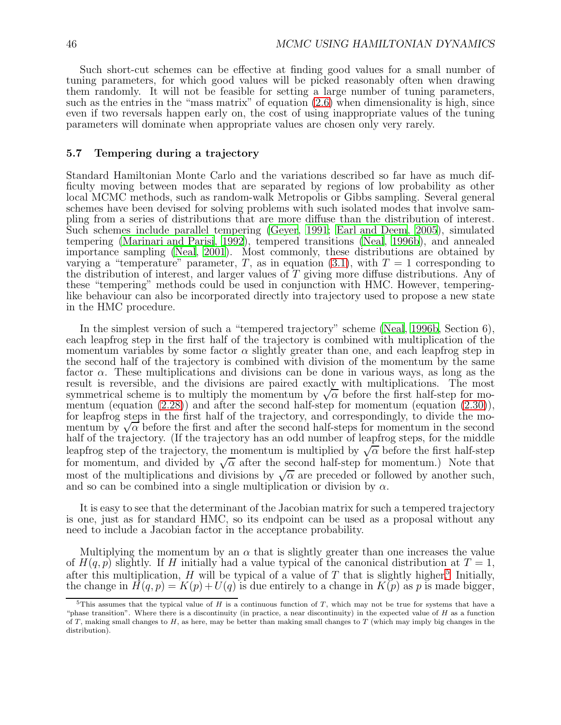Such short-cut schemes can be effective at finding good values for a small number of tuning parameters, for which good values will be picked reasonably often when drawing them randomly. It will not be feasible for setting a large number of tuning parameters, such as the entries in the "mass matrix" of equation [\(2.6\)](#page-2-2) when dimensionality is high, since even if two reversals happen early on, the cost of using inappropriate values of the tuning parameters will dominate when appropriate values are chosen only very rarely.

#### <span id="page-45-0"></span>5.7 Tempering during a trajectory

Standard Hamiltonian Monte Carlo and the variations described so far have as much difficulty moving between modes that are separated by regions of low probability as other local MCMC methods, such as random-walk Metropolis or Gibbs sampling. Several general schemes have been devised for solving problems with such isolated modes that involve sampling from a series of distributions that are more diffuse than the distribution of interest. Such schemes include parallel tempering [\(Geyer](#page-48-16), [1991;](#page-48-16) [Earl and Deem, 2005](#page-48-17)), simulated tempering [\(Marinari and Parisi](#page-49-14), [1992](#page-49-14)), tempered transitions [\(Neal](#page-49-15), [1996b\)](#page-49-15), and annealed importance sampling [\(Neal, 2001](#page-49-16)). Most commonly, these distributions are obtained by varying a "temperature" parameter, T, as in equation [\(3.1\)](#page-10-4), with  $T = 1$  corresponding to the distribution of interest, and larger values of  $T$  giving more diffuse distributions. Any of these "tempering" methods could be used in conjunction with HMC. However, temperinglike behaviour can also be incorporated directly into trajectory used to propose a new state in the HMC procedure.

In the simplest version of such a "tempered trajectory" scheme [\(Neal, 1996b,](#page-49-15) Section 6), each leapfrog step in the first half of the trajectory is combined with multiplication of the momentum variables by some factor  $\alpha$  slightly greater than one, and each leapfrog step in the second half of the trajectory is combined with division of the momentum by the same factor  $\alpha$ . These multiplications and divisions can be done in various ways, as long as the result is reversible, and the divisions are paired exactly with multiplications. The most symmetrical scheme is to multiply the momentum by  $\sqrt{\alpha}$  before the first half-step for momentum (equation  $(2.28)$ ) and after the second half-step for momentum (equation  $(2.30)$ ), for leapfrog steps in the first half of the trajectory, and correspondingly, to divide the momentum by  $\sqrt{\alpha}$  before the first and after the second half-steps for momentum in the second half of the trajectory. (If the trajectory has an odd number of leapfrog steps, for the middle leapfrog step of the trajectory, the momentum is multiplied by  $\sqrt{\alpha}$  before the first half-step for momentum, and divided by  $\sqrt{\alpha}$  after the second half-step for momentum.) Note that most of the multiplications and divisions by  $\sqrt{\alpha}$  are preceded or followed by another such, and so can be combined into a single multiplication or division by  $\alpha$ .

It is easy to see that the determinant of the Jacobian matrix for such a tempered trajectory is one, just as for standard HMC, so its endpoint can be used as a proposal without any need to include a Jacobian factor in the acceptance probability.

Multiplying the momentum by an  $\alpha$  that is slightly greater than one increases the value of  $H(q, p)$  slightly. If H initially had a value typical of the canonical distribution at  $T = 1$ , after this multiplication,  $H$  will be typical of a value of  $T$  that is slightly higher.<sup>[5](#page-45-1)</sup> Initially, the change in  $H(q, p) = K(p) + U(q)$  is due entirely to a change in  $K(p)$  as p is made bigger,

<span id="page-45-1"></span> $5$ This assumes that the typical value of H is a continuous function of T, which may not be true for systems that have a "phase transition". Where there is a discontinuity (in practice, a near discontinuity) in the expected value of H as a function of T, making small changes to H, as here, may be better than making small changes to T (which may imply big changes in the distribution).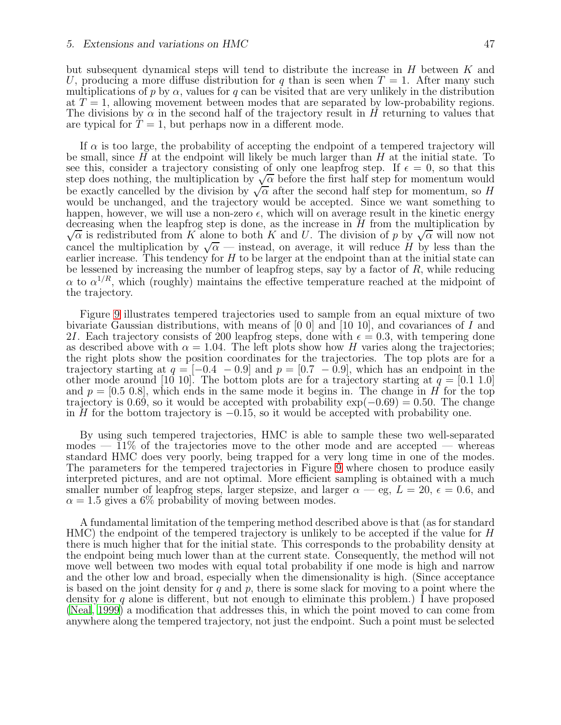but subsequent dynamical steps will tend to distribute the increase in  $H$  between  $K$  and U, producing a more diffuse distribution for q than is seen when  $T = 1$ . After many such multiplications of p by  $\alpha$ , values for q can be visited that are very unlikely in the distribution at  $T = 1$ , allowing movement between modes that are separated by low-probability regions. The divisions by  $\alpha$  in the second half of the trajectory result in H returning to values that are typical for  $T = 1$ , but perhaps now in a different mode.

If  $\alpha$  is too large, the probability of accepting the endpoint of a tempered trajectory will be small, since  $H$  at the endpoint will likely be much larger than  $H$  at the initial state. To see this, consider a trajectory consisting of only one leapfrog step. If  $\epsilon = 0$ , so that this step does nothing, the multiplication by  $\sqrt{\alpha}$  before the first half step for momentum would be exactly cancelled by the division by  $\sqrt{\alpha}$  after the second half step for momentum, so H would be unchanged, and the trajectory would be accepted. Since we want something to happen, however, we will use a non-zero  $\epsilon$ , which will on average result in the kinetic energy decreasing when the leapfrog step is done, as the increase in  $H$  from the multiplication by  $\sqrt{\alpha}$  is redistributed from K alone to both K and U. The division of p by  $\sqrt{\alpha}$  will now not cancel the multiplication by  $\sqrt{\alpha}$  — instead, on average, it will reduce H by less than the earlier increase. This tendency for  $H$  to be larger at the endpoint than at the initial state can be lessened by increasing the number of leapfrog steps, say by a factor of  $R$ , while reducing  $\alpha$  to  $\alpha^{1/R}$ , which (roughly) maintains the effective temperature reached at the midpoint of the trajectory.

Figure [9](#page-47-0) illustrates tempered trajectories used to sample from an equal mixture of two bivariate Gaussian distributions, with means of  $[0\ 0]$  and  $[10\ 10]$ , and covariances of I and 2I. Each trajectory consists of 200 leapfrog steps, done with  $\epsilon = 0.3$ , with tempering done as described above with  $\alpha = 1.04$ . The left plots show how H varies along the trajectories; the right plots show the position coordinates for the trajectories. The top plots are for a trajectory starting at  $q = [-0.4 - 0.9]$  and  $p = [0.7 - 0.9]$ , which has an endpoint in the other mode around [10 10]. The bottom plots are for a trajectory starting at  $q = [0.1 \ 1.0]$ and  $p = \{0.5, 0.8\}$ , which ends in the same mode it begins in. The change in H for the top trajectory is 0.69, so it would be accepted with probability  $\exp(-0.69) = 0.50$ . The change in H for the bottom trajectory is  $-0.15$ , so it would be accepted with probability one.

By using such tempered trajectories, HMC is able to sample these two well-separated modes  $-11\%$  of the trajectories move to the other mode and are accepted  $-$  whereas standard HMC does very poorly, being trapped for a very long time in one of the modes. The parameters for the tempered trajectories in Figure [9](#page-47-0) where chosen to produce easily interpreted pictures, and are not optimal. More efficient sampling is obtained with a much smaller number of leapfrog steps, larger stepsize, and larger  $\alpha$  — eg,  $L = 20$ ,  $\epsilon = 0.6$ , and  $\alpha = 1.5$  gives a 6% probability of moving between modes.

A fundamental limitation of the tempering method described above is that (as for standard HMC) the endpoint of the tempered trajectory is unlikely to be accepted if the value for H there is much higher that for the initial state. This corresponds to the probability density at the endpoint being much lower than at the current state. Consequently, the method will not move well between two modes with equal total probability if one mode is high and narrow and the other low and broad, especially when the dimensionality is high. (Since acceptance is based on the joint density for  $q$  and  $p$ , there is some slack for moving to a point where the density for q alone is different, but not enough to eliminate this problem.) I have proposed [\(Neal, 1999](#page-49-17)) a modification that addresses this, in which the point moved to can come from anywhere along the tempered trajectory, not just the endpoint. Such a point must be selected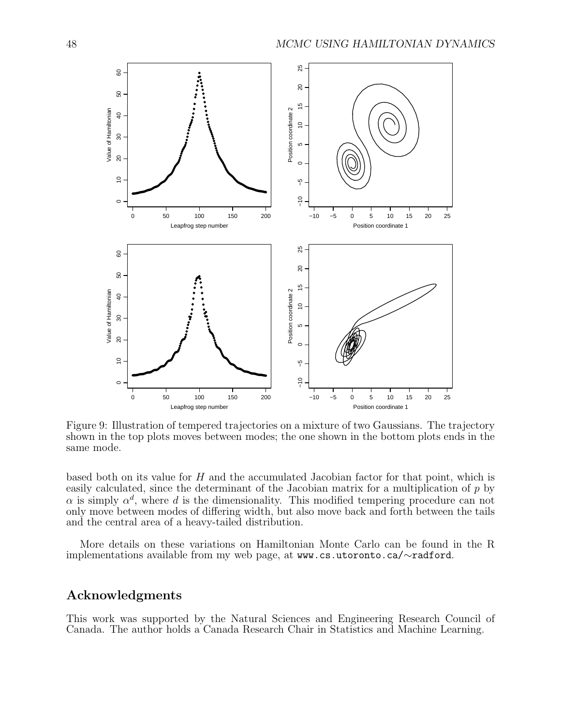

<span id="page-47-0"></span>Figure 9: Illustration of tempered trajectories on a mixture of two Gaussians. The trajectory shown in the top plots moves between modes; the one shown in the bottom plots ends in the same mode.

based both on its value for  $H$  and the accumulated Jacobian factor for that point, which is easily calculated, since the determinant of the Jacobian matrix for a multiplication of p by  $\alpha$  is simply  $\alpha^d$ , where d is the dimensionality. This modified tempering procedure can not only move between modes of differing width, but also move back and forth between the tails and the central area of a heavy-tailed distribution.

More details on these variations on Hamiltonian Monte Carlo can be found in the R implementations available from my web page, at www.cs.utoronto.ca/∼radford.

# Acknowledgments

This work was supported by the Natural Sciences and Engineering Research Council of Canada. The author holds a Canada Research Chair in Statistics and Machine Learning.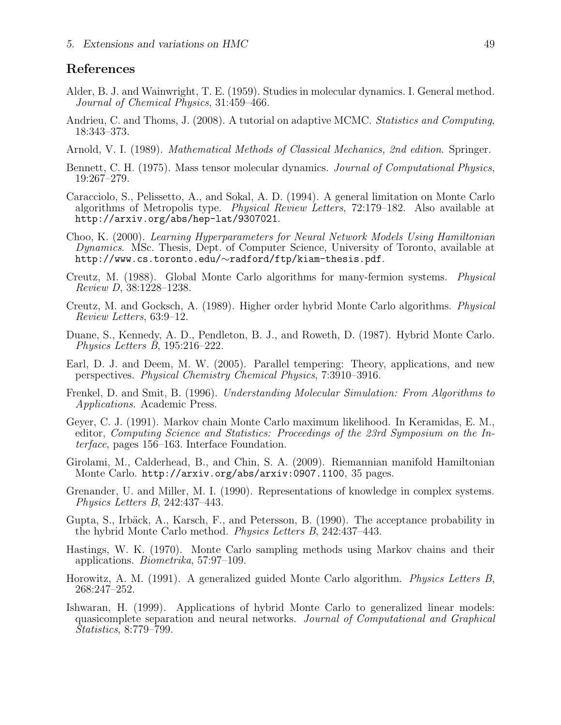## References

- <span id="page-48-0"></span>Alder, B. J. and Wainwright, T. E. (1959). Studies in molecular dynamics. I. General method. *Journal of Chemical Physics*, 31:459–466.
- <span id="page-48-15"></span>Andrieu, C. and Thoms, J. (2008). A tutorial on adaptive MCMC. *Statistics and Computing*, 18:343–373.
- <span id="page-48-4"></span>Arnold, V. I. (1989). *Mathematical Methods of Classical Mechanics, 2nd edition*. Springer.
- <span id="page-48-5"></span>Bennett, C. H. (1975). Mass tensor molecular dynamics. *Journal of Computational Physics*, 19:267–279.
- <span id="page-48-8"></span>Caracciolo, S., Pelissetto, A., and Sokal, A. D. (1994). A general limitation on Monte Carlo algorithms of Metropolis type. *Physical Review Letters*, 72:179–182. Also available at http://arxiv.org/abs/hep-lat/9307021.
- <span id="page-48-9"></span>Choo, K. (2000). *Learning Hyperparameters for Neural Network Models Using Hamiltonian Dynamics*. MSc. Thesis, Dept. of Computer Science, University of Toronto, available at http://www.cs.toronto.edu/∼radford/ftp/kiam-thesis.pdf.
- <span id="page-48-6"></span>Creutz, M. (1988). Global Monte Carlo algorithms for many-fermion systems. *Physical Review D*, 38:1228–1238.
- <span id="page-48-10"></span>Creutz, M. and Gocksch, A. (1989). Higher order hybrid Monte Carlo algorithms. *Physical Review Letters*, 63:9–12.
- <span id="page-48-2"></span>Duane, S., Kennedy, A. D., Pendleton, B. J., and Roweth, D. (1987). Hybrid Monte Carlo. *Physics Letters B*, 195:216–222.
- <span id="page-48-17"></span>Earl, D. J. and Deem, M. W. (2005). Parallel tempering: Theory, applications, and new perspectives. *Physical Chemistry Chemical Physics*, 7:3910–3916.
- <span id="page-48-1"></span>Frenkel, D. and Smit, B. (1996). *Understanding Molecular Simulation: From Algorithms to Applications*. Academic Press.
- <span id="page-48-16"></span>Geyer, C. J. (1991). Markov chain Monte Carlo maximum likelihood. In Keramidas, E. M., editor, *Computing Science and Statistics: Proceedings of the 23rd Symposium on the Interface*, pages 156–163. Interface Foundation.
- <span id="page-48-11"></span>Girolami, M., Calderhead, B., and Chin, S. A. (2009). Riemannian manifold Hamiltonian Monte Carlo. http://arxiv.org/abs/arxiv:0907.1100, 35 pages.
- <span id="page-48-13"></span>Grenander, U. and Miller, M. I. (1990). Representations of knowledge in complex systems. *Physics Letters B*, 242:437–443.
- <span id="page-48-7"></span>Gupta, S., Irbäck, A., Karsch, F., and Petersson, B. (1990). The acceptance probability in the hybrid Monte Carlo method. *Physics Letters B*, 242:437–443.
- <span id="page-48-12"></span>Hastings, W. K. (1970). Monte Carlo sampling methods using Markov chains and their applications. *Biometrika*, 57:97–109.
- <span id="page-48-14"></span>Horowitz, A. M. (1991). A generalized guided Monte Carlo algorithm. *Physics Letters B*, 268:247–252.
- <span id="page-48-3"></span>Ishwaran, H. (1999). Applications of hybrid Monte Carlo to generalized linear models: quasicomplete separation and neural networks. *Journal of Computational and Graphical Statistics*, 8:779–799.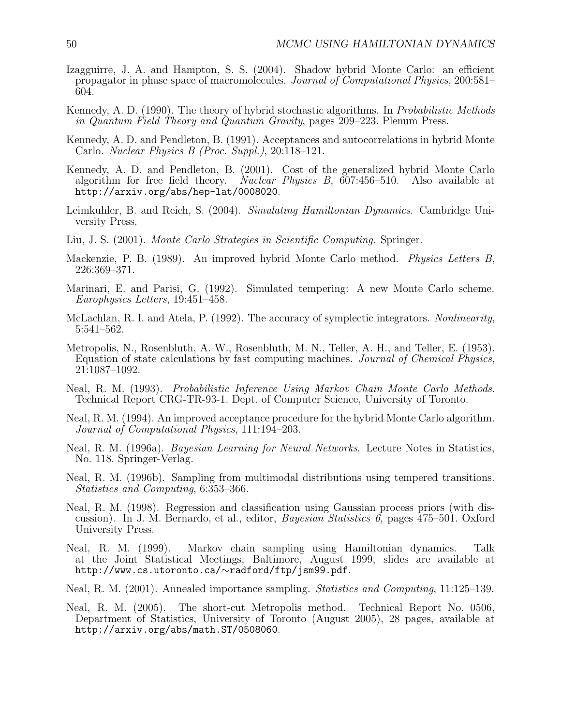- <span id="page-49-8"></span>Izagguirre, J. A. and Hampton, S. S. (2004). Shadow hybrid Monte Carlo: an efficient propagator in phase space of macromolecules. *Journal of Computational Physics*, 200:581– 604.
- <span id="page-49-10"></span>Kennedy, A. D. (1990). The theory of hybrid stochastic algorithms. In *Probabilistic Methods in Quantum Field Theory and Quantum Gravity*, pages 209–223. Plenum Press.
- <span id="page-49-7"></span>Kennedy, A. D. and Pendleton, B. (1991). Acceptances and autocorrelations in hybrid Monte Carlo. *Nuclear Physics B (Proc. Suppl.)*, 20:118–121.
- <span id="page-49-11"></span>Kennedy, A. D. and Pendleton, B. (2001). Cost of the generalized hybrid Monte Carlo algorithm for free field theory. *Nuclear Physics B*, 607:456–510. Also available at http://arxiv.org/abs/hep-lat/0008020.
- <span id="page-49-4"></span>Leimkuhler, B. and Reich, S. (2004). *Simulating Hamiltonian Dynamics*. Cambridge University Press.
- <span id="page-49-3"></span>Liu, J. S. (2001). *Monte Carlo Strategies in Scientific Computing*. Springer.
- <span id="page-49-5"></span>Mackenzie, P. B. (1989). An improved hybrid Monte Carlo method. *Physics Letters B*, 226:369–371.
- <span id="page-49-14"></span>Marinari, E. and Parisi, G. (1992). Simulated tempering: A new Monte Carlo scheme. *Europhysics Letters*, 19:451–458.
- <span id="page-49-9"></span>McLachlan, R. I. and Atela, P. (1992). The accuracy of symplectic integrators. *Nonlinearity*, 5:541–562.
- <span id="page-49-0"></span>Metropolis, N., Rosenbluth, A. W., Rosenbluth, M. N., Teller, A. H., and Teller, E. (1953). Equation of state calculations by fast computing machines. *Journal of Chemical Physics*, 21:1087–1092.
- <span id="page-49-2"></span>Neal, R. M. (1993). *Probabilistic Inference Using Markov Chain Monte Carlo Methods*. Technical Report CRG-TR-93-1. Dept. of Computer Science, University of Toronto.
- <span id="page-49-6"></span>Neal, R. M. (1994). An improved acceptance procedure for the hybrid Monte Carlo algorithm. *Journal of Computational Physics*, 111:194–203.
- <span id="page-49-1"></span>Neal, R. M. (1996a). *Bayesian Learning for Neural Networks*. Lecture Notes in Statistics, No. 118. Springer-Verlag.
- <span id="page-49-15"></span>Neal, R. M. (1996b). Sampling from multimodal distributions using tempered transitions. *Statistics and Computing*, 6:353–366.
- <span id="page-49-12"></span>Neal, R. M. (1998). Regression and classification using Gaussian process priors (with discussion). In J. M. Bernardo, et al., editor, *Bayesian Statistics 6*, pages 475–501. Oxford University Press.
- <span id="page-49-17"></span>Neal, R. M. (1999). Markov chain sampling using Hamiltonian dynamics. Talk at the Joint Statistical Meetings, Baltimore, August 1999, slides are available at http://www.cs.utoronto.ca/∼radford/ftp/jsm99.pdf.
- <span id="page-49-16"></span>Neal, R. M. (2001). Annealed importance sampling. *Statistics and Computing*, 11:125–139.
- <span id="page-49-13"></span>Neal, R. M. (2005). The short-cut Metropolis method. Technical Report No. 0506, Department of Statistics, University of Toronto (August 2005), 28 pages, available at http://arxiv.org/abs/math.ST/0508060.